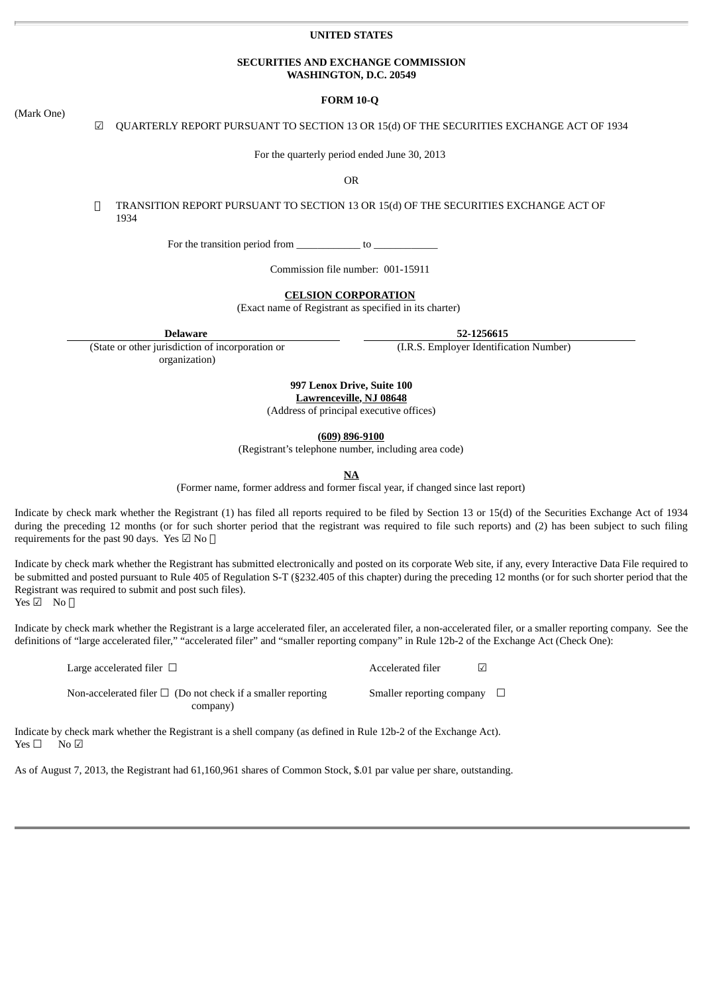#### **UNITED STATES**

### **SECURITIES AND EXCHANGE COMMISSION WASHINGTON, D.C. 20549**

#### **FORM 10-Q**

(Mark One)

#### ☑ QUARTERLY REPORT PURSUANT TO SECTION 13 OR 15(d) OF THE SECURITIES EXCHANGE ACT OF 1934

For the quarterly period ended June 30, 2013

OR

 TRANSITION REPORT PURSUANT TO SECTION 13 OR 15(d) OF THE SECURITIES EXCHANGE ACT OF 1934

For the transition period from \_\_\_\_\_\_\_\_\_\_\_\_\_\_\_ to \_

Commission file number: 001-15911

#### **CELSION CORPORATION**

(Exact name of Registrant as specified in its charter)

**Delaware 52-1256615**

(State or other jurisdiction of incorporation or organization)

(I.R.S. Employer Identification Number)

**997 Lenox Drive, Suite 100**

**Lawrenceville, NJ 08648**

(Address of principal executive offices)

**(609) 896-9100**

(Registrant's telephone number, including area code)

**NA**

(Former name, former address and former fiscal year, if changed since last report)

Indicate by check mark whether the Registrant (1) has filed all reports required to be filed by Section 13 or 15(d) of the Securities Exchange Act of 1934 during the preceding 12 months (or for such shorter period that the registrant was required to file such reports) and (2) has been subject to such filing requirements for the past 90 days. Yes  $\boxtimes$  No  $\Box$ 

Indicate by check mark whether the Registrant has submitted electronically and posted on its corporate Web site, if any, every Interactive Data File required to be submitted and posted pursuant to Rule 405 of Regulation S-T (§232.405 of this chapter) during the preceding 12 months (or for such shorter period that the Registrant was required to submit and post such files).

Yes ☑ No

Indicate by check mark whether the Registrant is a large accelerated filer, an accelerated filer, a non-accelerated filer, or a smaller reporting company. See the definitions of "large accelerated filer," "accelerated filer" and "smaller reporting company" in Rule 12b-2 of the Exchange Act (Check One):

| Large accelerated filer $\Box$                                    | Accelerated filer                |  |
|-------------------------------------------------------------------|----------------------------------|--|
| Non-accelerated filer $\Box$ (Do not check if a smaller reporting | Smaller reporting company $\Box$ |  |
| company)                                                          |                                  |  |

Indicate by check mark whether the Registrant is a shell company (as defined in Rule 12b-2 of the Exchange Act).<br>
Yes  $\Box$  No  $\Box$  $N_0$  ⊠

As of August 7, 2013, the Registrant had 61,160,961 shares of Common Stock, \$.01 par value per share, outstanding.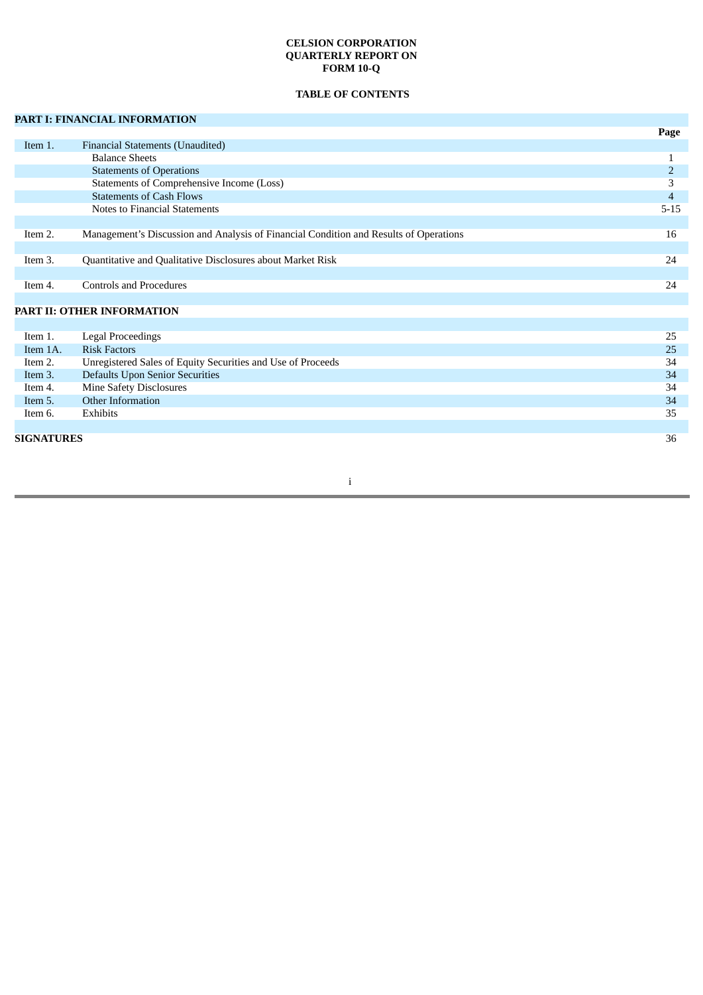## **CELSION CORPORATION QUARTERLY REPORT ON FORM 10-Q**

## **TABLE OF CONTENTS**

٠

## **PART I: FINANCIAL INFORMATION**

|          |                                                                                       | Page           |
|----------|---------------------------------------------------------------------------------------|----------------|
| Item 1.  | Financial Statements (Unaudited)                                                      |                |
|          | <b>Balance Sheets</b>                                                                 | Τ.             |
|          | <b>Statements of Operations</b>                                                       | 2              |
|          | Statements of Comprehensive Income (Loss)                                             | 3              |
|          | <b>Statements of Cash Flows</b>                                                       | $\overline{4}$ |
|          | Notes to Financial Statements                                                         | $5 - 15$       |
|          |                                                                                       |                |
| Item 2.  | Management's Discussion and Analysis of Financial Condition and Results of Operations | 16             |
|          |                                                                                       |                |
| Item 3.  | Quantitative and Qualitative Disclosures about Market Risk                            | 24             |
|          |                                                                                       |                |
| Item 4.  | <b>Controls and Procedures</b>                                                        | 24             |
|          |                                                                                       |                |
|          | <b>PART II: OTHER INFORMATION</b>                                                     |                |
|          |                                                                                       |                |
| Item 1.  | Legal Proceedings                                                                     | 25             |
| Item 1A. | <b>Risk Factors</b>                                                                   | 25             |
| Item 2.  | Unregistered Sales of Equity Securities and Use of Proceeds                           | 34             |

| 100.00 17 1. | TUBIL L'UCIDI B                                             | ںے |
|--------------|-------------------------------------------------------------|----|
| Item 2.      | Unregistered Sales of Equity Securities and Use of Proceeds | 34 |
| Item 3.      | Defaults Upon Senior Securities                             | 34 |
| Item 4.      | Mine Safety Disclosures                                     | 34 |
| Item 5.      | Other Information                                           | 34 |
| Item 6.      | <b>Exhibits</b>                                             | 35 |
|              |                                                             |    |

**SIGNATURES** 36

## i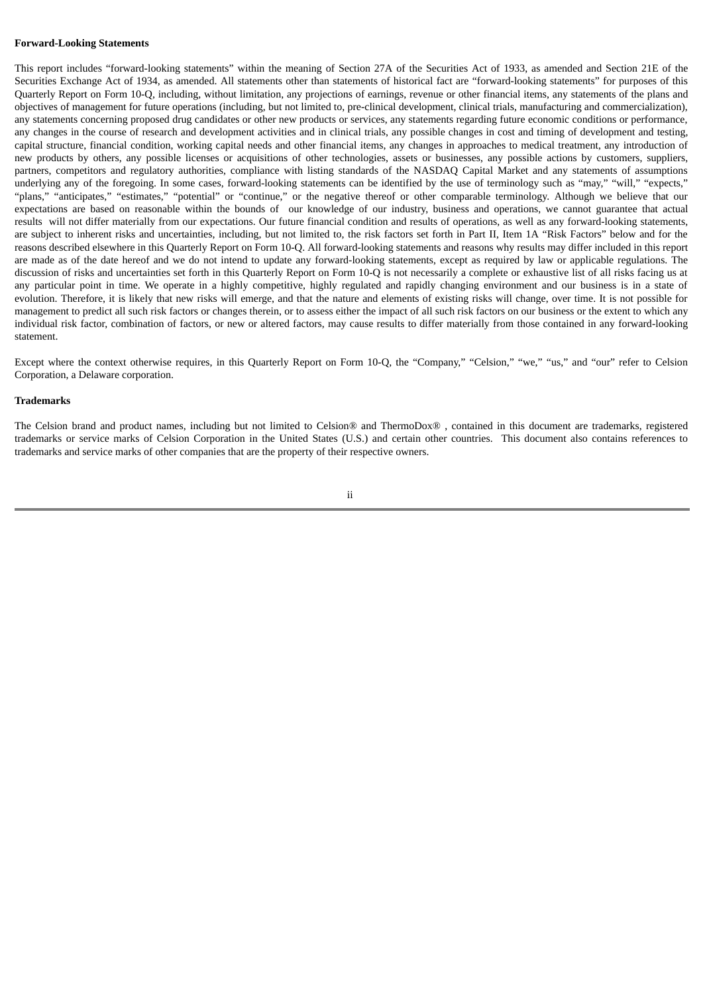## **Forward-Looking Statements**

This report includes "forward-looking statements" within the meaning of Section 27A of the Securities Act of 1933, as amended and Section 21E of the Securities Exchange Act of 1934, as amended. All statements other than statements of historical fact are "forward-looking statements" for purposes of this Quarterly Report on Form 10-Q, including, without limitation, any projections of earnings, revenue or other financial items, any statements of the plans and objectives of management for future operations (including, but not limited to, pre-clinical development, clinical trials, manufacturing and commercialization), any statements concerning proposed drug candidates or other new products or services, any statements regarding future economic conditions or performance, any changes in the course of research and development activities and in clinical trials, any possible changes in cost and timing of development and testing, capital structure, financial condition, working capital needs and other financial items, any changes in approaches to medical treatment, any introduction of new products by others, any possible licenses or acquisitions of other technologies, assets or businesses, any possible actions by customers, suppliers, partners, competitors and regulatory authorities, compliance with listing standards of the NASDAQ Capital Market and any statements of assumptions underlying any of the foregoing. In some cases, forward-looking statements can be identified by the use of terminology such as "may," "will," "expects," "plans," "anticipates," "estimates," "potential" or "continue," or the negative thereof or other comparable terminology. Although we believe that our expectations are based on reasonable within the bounds of our knowledge of our industry, business and operations, we cannot guarantee that actual results will not differ materially from our expectations. Our future financial condition and results of operations, as well as any forward-looking statements, are subject to inherent risks and uncertainties, including, but not limited to, the risk factors set forth in Part II, Item 1A "Risk Factors" below and for the reasons described elsewhere in this Quarterly Report on Form 10-Q. All forward-looking statements and reasons why results may differ included in this report are made as of the date hereof and we do not intend to update any forward-looking statements, except as required by law or applicable regulations. The discussion of risks and uncertainties set forth in this Quarterly Report on Form 10-Q is not necessarily a complete or exhaustive list of all risks facing us at any particular point in time. We operate in a highly competitive, highly regulated and rapidly changing environment and our business is in a state of evolution. Therefore, it is likely that new risks will emerge, and that the nature and elements of existing risks will change, over time. It is not possible for management to predict all such risk factors or changes therein, or to assess either the impact of all such risk factors on our business or the extent to which any individual risk factor, combination of factors, or new or altered factors, may cause results to differ materially from those contained in any forward-looking statement.

Except where the context otherwise requires, in this Quarterly Report on Form 10-Q, the "Company," "Celsion," "we," "us," and "our" refer to Celsion Corporation, a Delaware corporation.

#### **Trademarks**

The Celsion brand and product names, including but not limited to Celsion® and ThermoDox® , contained in this document are trademarks, registered trademarks or service marks of Celsion Corporation in the United States (U.S.) and certain other countries. This document also contains references to trademarks and service marks of other companies that are the property of their respective owners.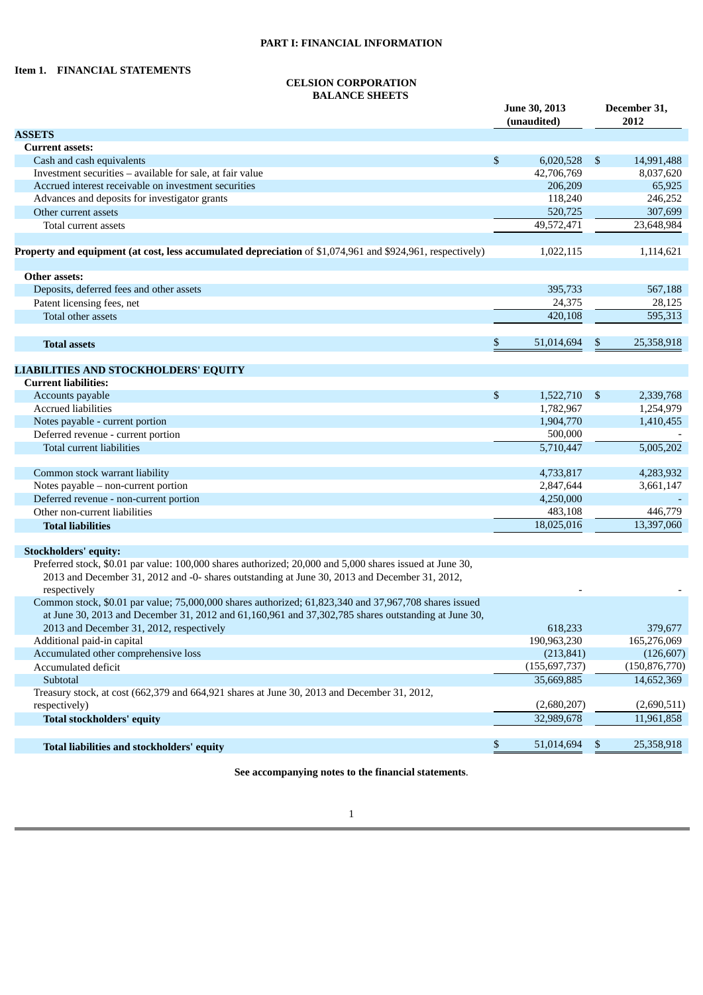## **PART I: FINANCIAL INFORMATION**

## **Item 1. FINANCIAL STATEMENTS**

## **CELSION CORPORATION BALANCE SHEETS**

|                                                                                                                                                                                                              | June 30, 2013<br>(unaudited) |                 |                | December 31,<br>2012 |  |
|--------------------------------------------------------------------------------------------------------------------------------------------------------------------------------------------------------------|------------------------------|-----------------|----------------|----------------------|--|
| <b>ASSETS</b>                                                                                                                                                                                                |                              |                 |                |                      |  |
| <b>Current assets:</b>                                                                                                                                                                                       |                              |                 |                |                      |  |
| Cash and cash equivalents                                                                                                                                                                                    | \$                           | 6,020,528       | $\mathfrak{S}$ | 14,991,488           |  |
| Investment securities - available for sale, at fair value                                                                                                                                                    |                              | 42,706,769      |                | 8,037,620            |  |
| Accrued interest receivable on investment securities                                                                                                                                                         |                              | 206,209         |                | 65,925               |  |
| Advances and deposits for investigator grants                                                                                                                                                                |                              | 118,240         |                | 246,252              |  |
| Other current assets                                                                                                                                                                                         |                              | 520,725         |                | 307,699              |  |
| Total current assets                                                                                                                                                                                         |                              | 49,572,471      |                | 23,648,984           |  |
| Property and equipment (at cost, less accumulated depreciation of \$1,074,961 and \$924,961, respectively)                                                                                                   |                              | 1,022,115       |                | 1,114,621            |  |
| Other assets:                                                                                                                                                                                                |                              |                 |                |                      |  |
| Deposits, deferred fees and other assets                                                                                                                                                                     |                              | 395,733         |                | 567,188              |  |
| Patent licensing fees, net                                                                                                                                                                                   |                              | 24,375          |                | 28,125               |  |
| Total other assets                                                                                                                                                                                           |                              | 420,108         |                | 595,313              |  |
|                                                                                                                                                                                                              |                              |                 |                |                      |  |
| <b>Total assets</b>                                                                                                                                                                                          | \$                           | 51,014,694      | $\mathfrak{F}$ | 25,358,918           |  |
| <b>LIABILITIES AND STOCKHOLDERS' EQUITY</b>                                                                                                                                                                  |                              |                 |                |                      |  |
| <b>Current liabilities:</b>                                                                                                                                                                                  |                              |                 |                |                      |  |
| Accounts payable                                                                                                                                                                                             | \$                           | 1,522,710       | \$             | 2,339,768            |  |
| <b>Accrued liabilities</b>                                                                                                                                                                                   |                              | 1,782,967       |                | 1,254,979            |  |
| Notes payable - current portion                                                                                                                                                                              |                              | 1,904,770       |                | 1,410,455            |  |
| Deferred revenue - current portion                                                                                                                                                                           |                              | 500,000         |                |                      |  |
| <b>Total current liabilities</b>                                                                                                                                                                             |                              | 5,710,447       |                | 5,005,202            |  |
| Common stock warrant liability                                                                                                                                                                               |                              | 4,733,817       |                | 4,283,932            |  |
| Notes payable - non-current portion                                                                                                                                                                          |                              | 2,847,644       |                | 3,661,147            |  |
| Deferred revenue - non-current portion                                                                                                                                                                       |                              | 4,250,000       |                |                      |  |
| Other non-current liabilities                                                                                                                                                                                |                              | 483,108         |                | 446,779              |  |
| <b>Total liabilities</b>                                                                                                                                                                                     |                              | 18,025,016      |                | 13,397,060           |  |
|                                                                                                                                                                                                              |                              |                 |                |                      |  |
| <b>Stockholders' equity:</b>                                                                                                                                                                                 |                              |                 |                |                      |  |
| Preferred stock, \$0.01 par value: 100,000 shares authorized; 20,000 and 5,000 shares issued at June 30,<br>2013 and December 31, 2012 and -0- shares outstanding at June 30, 2013 and December 31, 2012,    |                              |                 |                |                      |  |
| respectively                                                                                                                                                                                                 |                              |                 |                |                      |  |
| Common stock, \$0.01 par value; 75,000,000 shares authorized; 61,823,340 and 37,967,708 shares issued<br>at June 30, 2013 and December 31, 2012 and 61,160,961 and 37,302,785 shares outstanding at June 30, |                              |                 |                |                      |  |
| 2013 and December 31, 2012, respectively                                                                                                                                                                     |                              | 618,233         |                | 379,677              |  |
| Additional paid-in capital                                                                                                                                                                                   |                              | 190,963,230     |                | 165,276,069          |  |
| Accumulated other comprehensive loss                                                                                                                                                                         |                              | (213, 841)      |                | (126, 607)           |  |
| Accumulated deficit                                                                                                                                                                                          |                              | (155, 697, 737) |                | (150, 876, 770)      |  |
| Subtotal                                                                                                                                                                                                     |                              | 35.669.885      |                | 14,652,369           |  |
| Treasury stock, at cost (662,379 and 664,921 shares at June 30, 2013 and December 31, 2012,                                                                                                                  |                              |                 |                |                      |  |
| respectively)                                                                                                                                                                                                |                              | (2,680,207)     |                | (2,690,511)          |  |
| <b>Total stockholders' equity</b>                                                                                                                                                                            |                              | 32,989,678      |                | 11,961,858           |  |
| <b>Total liabilities and stockholders' equity</b>                                                                                                                                                            | \$                           | 51,014,694      | \$             | 25,358,918           |  |

**See accompanying notes to the financial statements**.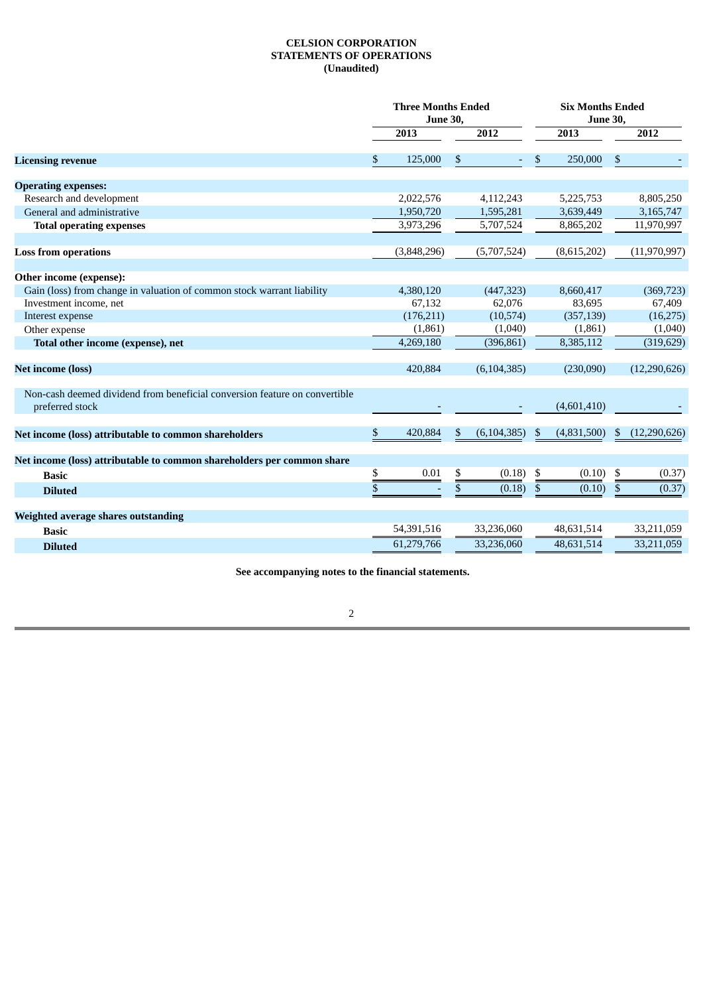## **CELSION CORPORATION STATEMENTS OF OPERATIONS (Unaudited)**

|                                                                                               | <b>Three Months Ended</b><br>June 30, |             |      |               |    | <b>Six Months Ended</b><br><b>June 30,</b> |              |                |  |
|-----------------------------------------------------------------------------------------------|---------------------------------------|-------------|------|---------------|----|--------------------------------------------|--------------|----------------|--|
|                                                                                               |                                       | 2013        |      | 2012          |    | 2013                                       |              | 2012           |  |
| <b>Licensing revenue</b>                                                                      | \$                                    | 125,000     | \$   |               | \$ | 250,000                                    | \$           |                |  |
| <b>Operating expenses:</b>                                                                    |                                       |             |      |               |    |                                            |              |                |  |
| Research and development                                                                      |                                       | 2,022,576   |      | 4,112,243     |    | 5,225,753                                  |              | 8,805,250      |  |
| General and administrative                                                                    |                                       | 1,950,720   |      | 1,595,281     |    | 3,639,449                                  |              | 3,165,747      |  |
| <b>Total operating expenses</b>                                                               |                                       | 3,973,296   |      | 5,707,524     |    | 8,865,202                                  |              | 11,970,997     |  |
| <b>Loss from operations</b>                                                                   |                                       | (3,848,296) |      | (5,707,524)   |    | (8,615,202)                                |              | (11, 970, 997) |  |
| Other income (expense):                                                                       |                                       |             |      |               |    |                                            |              |                |  |
| Gain (loss) from change in valuation of common stock warrant liability                        |                                       | 4,380,120   |      | (447, 323)    |    | 8,660,417                                  |              | (369, 723)     |  |
| Investment income, net                                                                        |                                       | 67,132      |      | 62,076        |    | 83,695                                     |              | 67,409         |  |
| Interest expense                                                                              |                                       | (176, 211)  |      | (10, 574)     |    | (357, 139)                                 |              | (16, 275)      |  |
| Other expense                                                                                 |                                       | (1,861)     |      | (1,040)       |    | (1,861)                                    |              | (1,040)        |  |
| Total other income (expense), net                                                             |                                       | 4,269,180   |      | (396, 861)    |    | 8,385,112                                  |              | (319, 629)     |  |
| <b>Net income (loss)</b>                                                                      |                                       | 420,884     |      | (6, 104, 385) |    | (230,090)                                  |              | (12,290,626)   |  |
| Non-cash deemed dividend from beneficial conversion feature on convertible<br>preferred stock |                                       |             |      |               |    | (4,601,410)                                |              |                |  |
| Net income (loss) attributable to common shareholders                                         | \$                                    | 420,884     | \$   | (6, 104, 385) | \$ | (4,831,500)                                | \$           | (12,290,626)   |  |
| Net income (loss) attributable to common shareholders per common share                        |                                       |             |      |               |    |                                            |              |                |  |
| <b>Basic</b>                                                                                  | \$                                    | 0.01        | \$   | (0.18)        | \$ | (0.10)                                     | \$           | (0.37)         |  |
| <b>Diluted</b>                                                                                | $\overline{\$}$                       |             | $\$$ | (0.18)        | \$ | (0.10)                                     | $\mathbb{S}$ | (0.37)         |  |
| Weighted average shares outstanding                                                           |                                       |             |      |               |    |                                            |              |                |  |
| <b>Basic</b>                                                                                  |                                       | 54,391,516  |      | 33,236,060    |    | 48,631,514                                 |              | 33,211,059     |  |
| <b>Diluted</b>                                                                                |                                       | 61,279,766  |      | 33,236,060    |    | 48,631,514                                 |              | 33,211,059     |  |

**See accompanying notes to the financial statements.**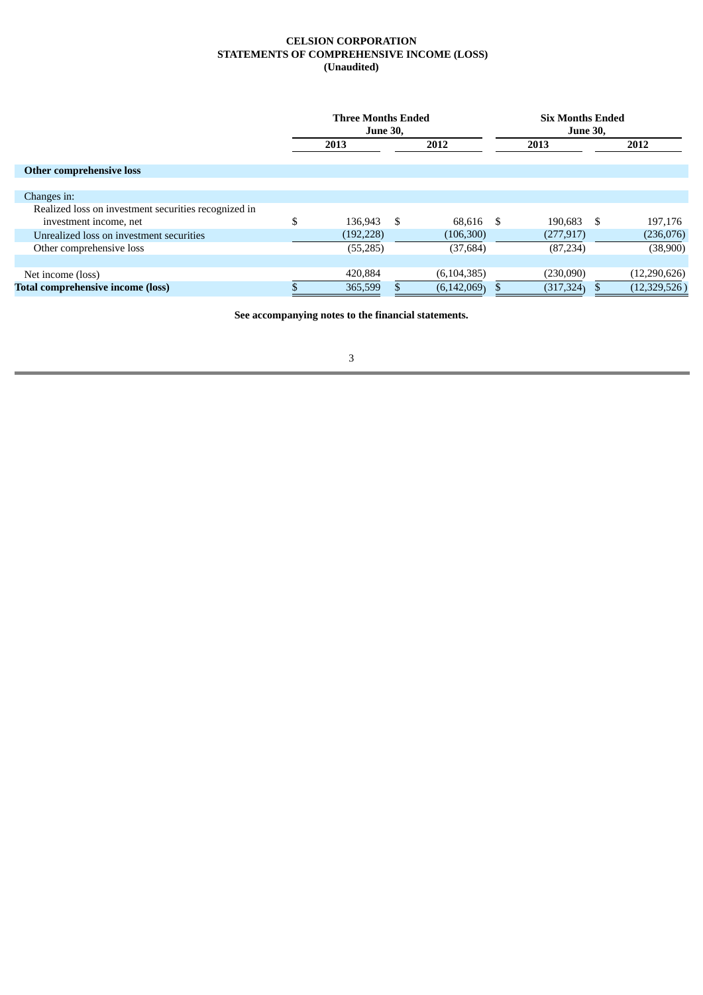## **CELSION CORPORATION STATEMENTS OF COMPREHENSIVE INCOME (LOSS) (Unaudited)**

|                                                      |               | <b>Six Months Ended</b><br><b>Three Months Ended</b><br><b>June 30.</b><br><b>June 30,</b> |               |      |            |  |              |  |  |  |
|------------------------------------------------------|---------------|--------------------------------------------------------------------------------------------|---------------|------|------------|--|--------------|--|--|--|
|                                                      | 2013          |                                                                                            | 2012          |      | 2013       |  | 2012         |  |  |  |
| <b>Other comprehensive loss</b>                      |               |                                                                                            |               |      |            |  |              |  |  |  |
|                                                      |               |                                                                                            |               |      |            |  |              |  |  |  |
| Changes in:                                          |               |                                                                                            |               |      |            |  |              |  |  |  |
| Realized loss on investment securities recognized in |               |                                                                                            |               |      |            |  |              |  |  |  |
| investment income, net                               | \$<br>136.943 | - \$                                                                                       | 68.616        | - \$ | 190.683 \$ |  | 197,176      |  |  |  |
| Unrealized loss on investment securities             | (192, 228)    |                                                                                            | (106, 300)    |      | (277, 917) |  | (236, 076)   |  |  |  |
| Other comprehensive loss                             | (55, 285)     |                                                                                            | (37,684)      |      | (87,234)   |  | (38,900)     |  |  |  |
|                                                      |               |                                                                                            |               |      |            |  |              |  |  |  |
| Net income (loss)                                    | 420.884       |                                                                                            | (6, 104, 385) |      | (230,090)  |  | (12,290,626) |  |  |  |
| <b>Total comprehensive income (loss)</b>             | 365,599       |                                                                                            | (6,142,069)   |      | (317, 324) |  | (12,329,526) |  |  |  |

**See accompanying notes to the financial statements.**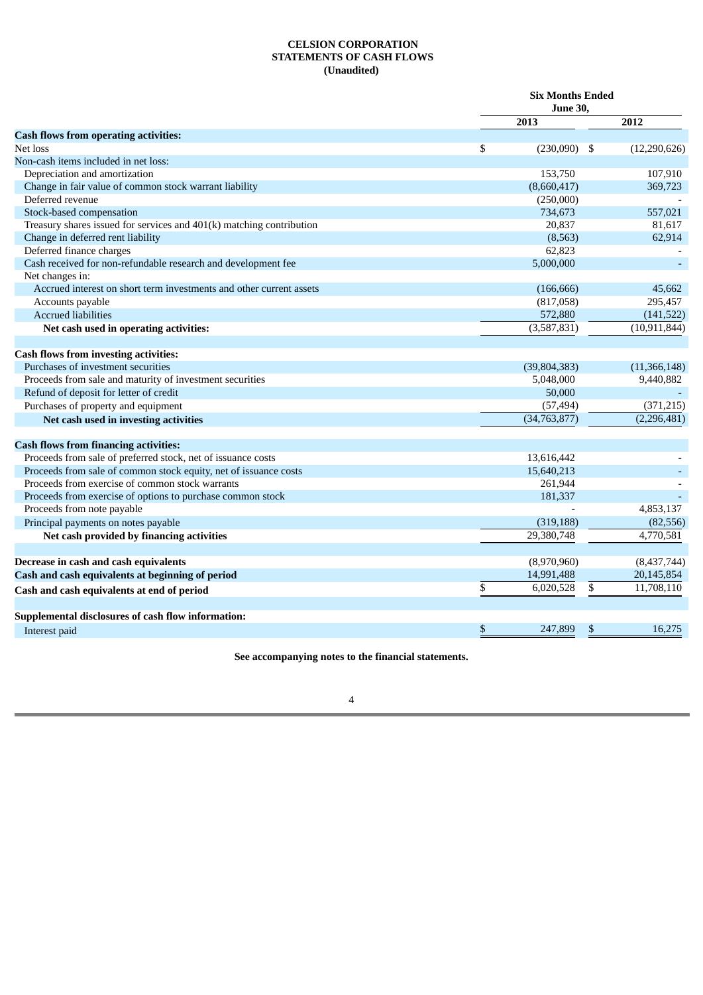## **CELSION CORPORATION STATEMENTS OF CASH FLOWS (Unaudited)**

|                                                                      | <b>Six Months Ended</b><br><b>June 30,</b> |                  |
|----------------------------------------------------------------------|--------------------------------------------|------------------|
|                                                                      | 2013                                       | 2012             |
| <b>Cash flows from operating activities:</b>                         |                                            |                  |
| Net loss                                                             | \$<br>$(230,090)$ \$                       | (12, 290, 626)   |
| Non-cash items included in net loss:                                 |                                            |                  |
| Depreciation and amortization                                        | 153,750                                    | 107,910          |
| Change in fair value of common stock warrant liability               | (8,660,417)                                | 369,723          |
| Deferred revenue                                                     | (250,000)                                  |                  |
| Stock-based compensation                                             | 734,673                                    | 557,021          |
| Treasury shares issued for services and 401(k) matching contribution | 20,837                                     | 81,617           |
| Change in deferred rent liability                                    | (8,563)                                    | 62,914           |
| Deferred finance charges                                             | 62,823                                     |                  |
| Cash received for non-refundable research and development fee        | 5,000,000                                  |                  |
| Net changes in:                                                      |                                            |                  |
| Accrued interest on short term investments and other current assets  | (166, 666)                                 | 45,662           |
| Accounts payable                                                     | (817,058)                                  | 295,457          |
| <b>Accrued liabilities</b>                                           | 572,880                                    | (141, 522)       |
| Net cash used in operating activities:                               | (3,587,831)                                | (10, 911, 844)   |
| <b>Cash flows from investing activities:</b>                         |                                            |                  |
| Purchases of investment securities                                   | (39,804,383)                               | (11,366,148)     |
| Proceeds from sale and maturity of investment securities             | 5,048,000                                  | 9,440,882        |
| Refund of deposit for letter of credit                               | 50,000                                     |                  |
| Purchases of property and equipment                                  | (57, 494)                                  | (371, 215)       |
| Net cash used in investing activities                                | (34, 763, 877)                             | (2, 296, 481)    |
|                                                                      |                                            |                  |
| <b>Cash flows from financing activities:</b>                         |                                            |                  |
| Proceeds from sale of preferred stock, net of issuance costs         | 13,616,442                                 |                  |
| Proceeds from sale of common stock equity, net of issuance costs     | 15,640,213                                 |                  |
| Proceeds from exercise of common stock warrants                      | 261,944                                    |                  |
| Proceeds from exercise of options to purchase common stock           | 181,337                                    |                  |
| Proceeds from note payable                                           |                                            | 4,853,137        |
| Principal payments on notes payable                                  | (319, 188)                                 | (82, 556)        |
| Net cash provided by financing activities                            | 29,380,748                                 | 4,770,581        |
| Decrease in cash and cash equivalents                                | (8,970,960)                                | (8,437,744)      |
| Cash and cash equivalents at beginning of period                     | 14,991,488                                 | 20,145,854       |
| Cash and cash equivalents at end of period                           | \$<br>6,020,528                            | \$<br>11,708,110 |
| <b>Supplemental disclosures of cash flow information:</b>            |                                            |                  |
|                                                                      | \$<br>247,899                              | \$<br>16,275     |
| Interest paid                                                        |                                            |                  |

**See accompanying notes to the financial statements.**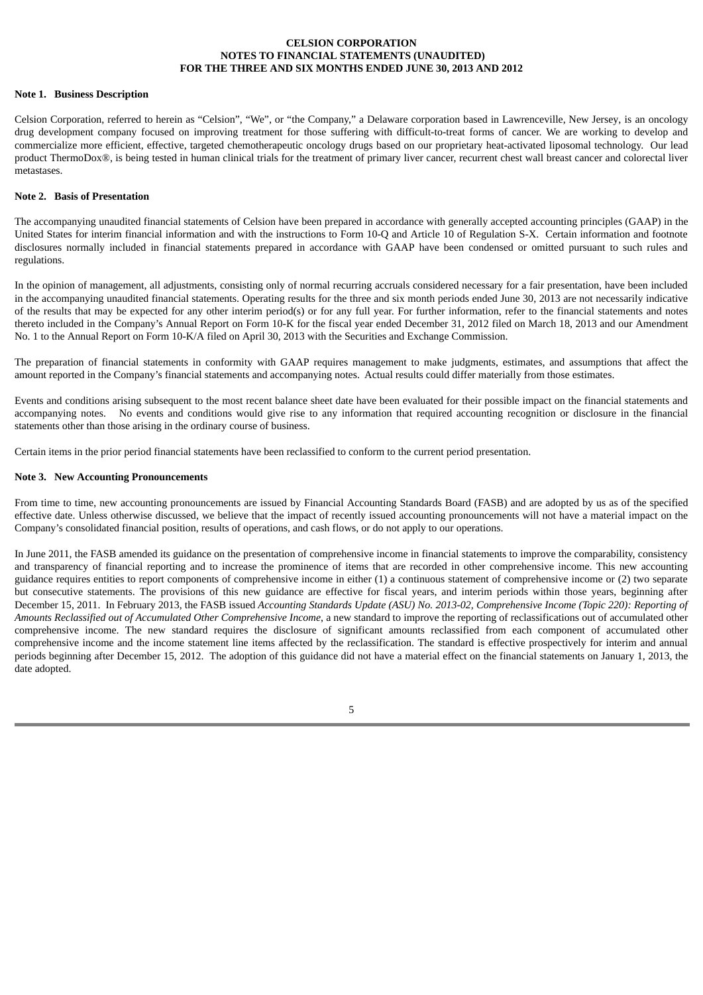## **CELSION CORPORATION NOTES TO FINANCIAL STATEMENTS (UNAUDITED) FOR THE THREE AND SIX MONTHS ENDED JUNE 30, 2013 AND 2012**

#### **Note 1. Business Description**

Celsion Corporation, referred to herein as "Celsion", "We", or "the Company," a Delaware corporation based in Lawrenceville, New Jersey, is an oncology drug development company focused on improving treatment for those suffering with difficult-to-treat forms of cancer. We are working to develop and commercialize more efficient, effective, targeted chemotherapeutic oncology drugs based on our proprietary heat-activated liposomal technology. Our lead product ThermoDox®, is being tested in human clinical trials for the treatment of primary liver cancer, recurrent chest wall breast cancer and colorectal liver metastases.

## **Note 2. Basis of Presentation**

The accompanying unaudited financial statements of Celsion have been prepared in accordance with generally accepted accounting principles (GAAP) in the United States for interim financial information and with the instructions to Form 10-Q and Article 10 of Regulation S-X. Certain information and footnote disclosures normally included in financial statements prepared in accordance with GAAP have been condensed or omitted pursuant to such rules and regulations.

In the opinion of management, all adjustments, consisting only of normal recurring accruals considered necessary for a fair presentation, have been included in the accompanying unaudited financial statements. Operating results for the three and six month periods ended June 30, 2013 are not necessarily indicative of the results that may be expected for any other interim period(s) or for any full year. For further information, refer to the financial statements and notes thereto included in the Company's Annual Report on Form 10-K for the fiscal year ended December 31, 2012 filed on March 18, 2013 and our Amendment No. 1 to the Annual Report on Form 10-K/A filed on April 30, 2013 with the Securities and Exchange Commission.

The preparation of financial statements in conformity with GAAP requires management to make judgments, estimates, and assumptions that affect the amount reported in the Company's financial statements and accompanying notes. Actual results could differ materially from those estimates.

Events and conditions arising subsequent to the most recent balance sheet date have been evaluated for their possible impact on the financial statements and accompanying notes. No events and conditions would give rise to any information that required accounting recognition or disclosure in the financial statements other than those arising in the ordinary course of business.

Certain items in the prior period financial statements have been reclassified to conform to the current period presentation.

#### **Note 3. New Accounting Pronouncements**

From time to time, new accounting pronouncements are issued by Financial Accounting Standards Board (FASB) and are adopted by us as of the specified effective date. Unless otherwise discussed, we believe that the impact of recently issued accounting pronouncements will not have a material impact on the Company's consolidated financial position, results of operations, and cash flows, or do not apply to our operations.

In June 2011, the FASB amended its guidance on the presentation of comprehensive income in financial statements to improve the comparability, consistency and transparency of financial reporting and to increase the prominence of items that are recorded in other comprehensive income. This new accounting guidance requires entities to report components of comprehensive income in either (1) a continuous statement of comprehensive income or (2) two separate but consecutive statements. The provisions of this new guidance are effective for fiscal years, and interim periods within those years, beginning after December 15, 2011. In February 2013, the FASB issued Accounting Standards Update (ASU) No. 2013-02, Comprehensive Income (Topic 220): Reporting of *Amounts Reclassified out of Accumulated Other Comprehensive Income*, a new standard to improve the reporting of reclassifications out of accumulated other comprehensive income. The new standard requires the disclosure of significant amounts reclassified from each component of accumulated other comprehensive income and the income statement line items affected by the reclassification. The standard is effective prospectively for interim and annual periods beginning after December 15, 2012. The adoption of this guidance did not have a material effect on the financial statements on January 1, 2013, the date adopted.

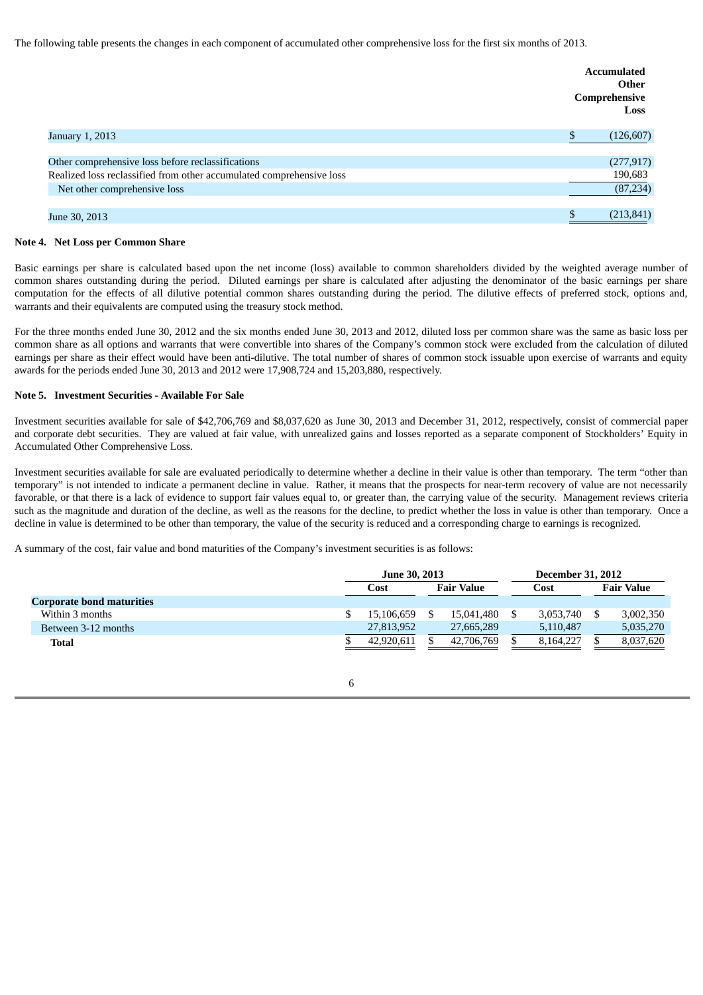The following table presents the changes in each component of accumulated other comprehensive loss for the first six months of 2013.

|                                                                      | <b>Accumulated</b><br>Other<br>Comprehensive<br>Loss |
|----------------------------------------------------------------------|------------------------------------------------------|
| January 1, 2013                                                      | (126, 607)                                           |
|                                                                      |                                                      |
| Other comprehensive loss before reclassifications                    | (277, 917)                                           |
| Realized loss reclassified from other accumulated comprehensive loss | 190,683                                              |
| Net other comprehensive loss                                         | (87, 234)                                            |
|                                                                      |                                                      |
| June 30, 2013                                                        | (213, 841)                                           |

#### **Note 4. Net Loss per Common Share**

Basic earnings per share is calculated based upon the net income (loss) available to common shareholders divided by the weighted average number of common shares outstanding during the period. Diluted earnings per share is calculated after adjusting the denominator of the basic earnings per share computation for the effects of all dilutive potential common shares outstanding during the period. The dilutive effects of preferred stock, options and, warrants and their equivalents are computed using the treasury stock method.

For the three months ended June 30, 2012 and the six months ended June 30, 2013 and 2012, diluted loss per common share was the same as basic loss per common share as all options and warrants that were convertible into shares of the Company's common stock were excluded from the calculation of diluted earnings per share as their effect would have been anti-dilutive. The total number of shares of common stock issuable upon exercise of warrants and equity awards for the periods ended June 30, 2013 and 2012 were 17,908,724 and 15,203,880, respectively.

### **Note 5. Investment Securities - Available For Sale**

Investment securities available for sale of \$42,706,769 and \$8,037,620 as June 30, 2013 and December 31, 2012, respectively, consist of commercial paper and corporate debt securities. They are valued at fair value, with unrealized gains and losses reported as a separate component of Stockholders' Equity in Accumulated Other Comprehensive Loss.

Investment securities available for sale are evaluated periodically to determine whether a decline in their value is other than temporary. The term "other than temporary" is not intended to indicate a permanent decline in value. Rather, it means that the prospects for near-term recovery of value are not necessarily favorable, or that there is a lack of evidence to support fair values equal to, or greater than, the carrying value of the security. Management reviews criteria such as the magnitude and duration of the decline, as well as the reasons for the decline, to predict whether the loss in value is other than temporary. Once a decline in value is determined to be other than temporary, the value of the security is reduced and a corresponding charge to earnings is recognized.

A summary of the cost, fair value and bond maturities of the Company's investment securities is as follows:

|                                  | <b>June 30, 2013</b> |                   | <b>December 31, 2012</b> |  |                   |  |
|----------------------------------|----------------------|-------------------|--------------------------|--|-------------------|--|
|                                  | Cost                 | <b>Fair Value</b> | Cost                     |  | <b>Fair Value</b> |  |
| <b>Corporate bond maturities</b> |                      |                   |                          |  |                   |  |
| Within 3 months                  | 15.106.659           | 15.041.480        | 3.053.740                |  | 3,002,350         |  |
| Between 3-12 months              | 27,813,952           | 27,665,289        | 5.110.487                |  | 5,035,270         |  |
| <b>Total</b>                     | 42,920,611           | 42,706,769        | 8.164.227                |  | 8,037,620         |  |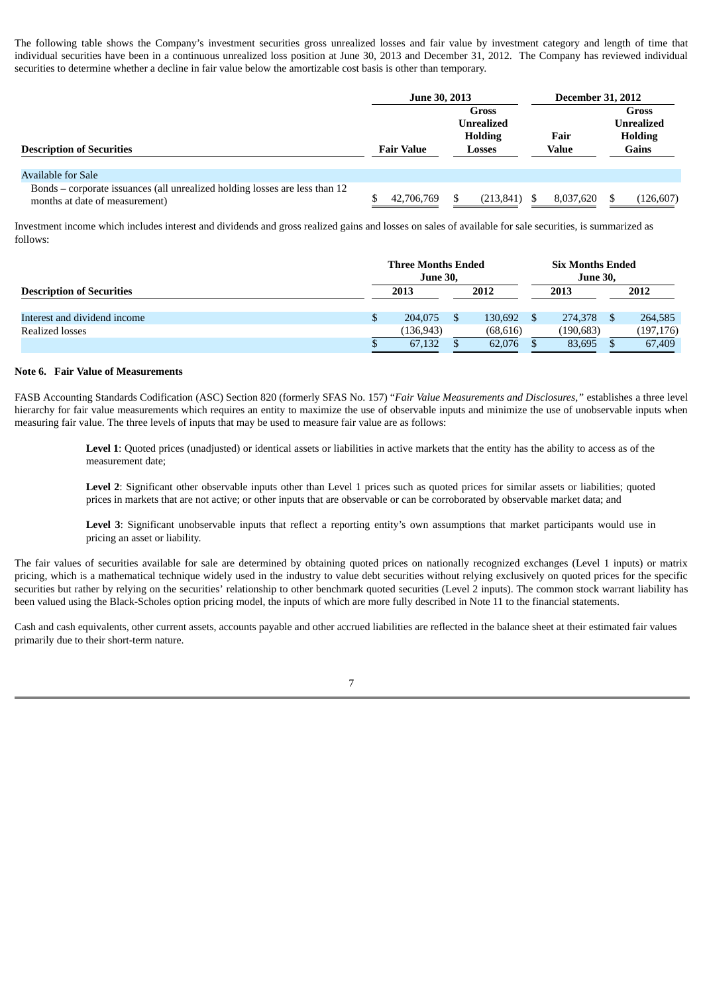The following table shows the Company's investment securities gross unrealized losses and fair value by investment category and length of time that individual securities have been in a continuous unrealized loss position at June 30, 2013 and December 31, 2012. The Company has reviewed individual securities to determine whether a decline in fair value below the amortizable cost basis is other than temporary.

|                                                                                                               |  | <b>June 30, 2013</b> |                                                               |               | <b>December 31, 2012</b> |                                                       |            |
|---------------------------------------------------------------------------------------------------------------|--|----------------------|---------------------------------------------------------------|---------------|--------------------------|-------------------------------------------------------|------------|
| <b>Description of Securities</b>                                                                              |  | <b>Fair Value</b>    | Gross<br><b>Unrealized</b><br><b>Holding</b><br><b>Losses</b> | Fair<br>Value |                          | Gross<br><b>Unrealized</b><br><b>Holding</b><br>Gains |            |
| Available for Sale                                                                                            |  |                      |                                                               |               |                          |                                                       |            |
| Bonds – corporate issuances (all unrealized holding losses are less than 12<br>months at date of measurement) |  | 42,706,769           | (213, 841)                                                    |               | 8,037,620                |                                                       | (126, 607) |

Investment income which includes interest and dividends and gross realized gains and losses on sales of available for sale securities, is summarized as follows:

|                                  |    | <b>Three Months Ended</b><br><b>June 30.</b> |  |           | <b>Six Months Ended</b><br><b>June 30.</b> |           |  |            |  |
|----------------------------------|----|----------------------------------------------|--|-----------|--------------------------------------------|-----------|--|------------|--|
| <b>Description of Securities</b> |    | 2013                                         |  | 2012      |                                            | 2013      |  | 2012       |  |
| Interest and dividend income     | \$ | 204,075                                      |  | 130.692   |                                            | 274,378   |  | 264,585    |  |
| Realized losses                  |    | (136,943)                                    |  | (68, 616) |                                            | (190,683) |  | (197, 176) |  |
|                                  |    | 67,132                                       |  | 62,076    |                                            | 83,695    |  | 67,409     |  |

## **Note 6. Fair Value of Measurements**

FASB Accounting Standards Codification (ASC) Section 820 (formerly SFAS No. 157) "*Fair Value Measurements and Disclosures,"* establishes a three level hierarchy for fair value measurements which requires an entity to maximize the use of observable inputs and minimize the use of unobservable inputs when measuring fair value. The three levels of inputs that may be used to measure fair value are as follows:

> **Level 1**: Quoted prices (unadjusted) or identical assets or liabilities in active markets that the entity has the ability to access as of the measurement date;

> **Level 2**: Significant other observable inputs other than Level 1 prices such as quoted prices for similar assets or liabilities; quoted prices in markets that are not active; or other inputs that are observable or can be corroborated by observable market data; and

> **Level 3**: Significant unobservable inputs that reflect a reporting entity's own assumptions that market participants would use in pricing an asset or liability.

The fair values of securities available for sale are determined by obtaining quoted prices on nationally recognized exchanges (Level 1 inputs) or matrix pricing, which is a mathematical technique widely used in the industry to value debt securities without relying exclusively on quoted prices for the specific securities but rather by relying on the securities' relationship to other benchmark quoted securities (Level 2 inputs). The common stock warrant liability has been valued using the Black-Scholes option pricing model, the inputs of which are more fully described in Note 11 to the financial statements.

Cash and cash equivalents, other current assets, accounts payable and other accrued liabilities are reflected in the balance sheet at their estimated fair values primarily due to their short-term nature.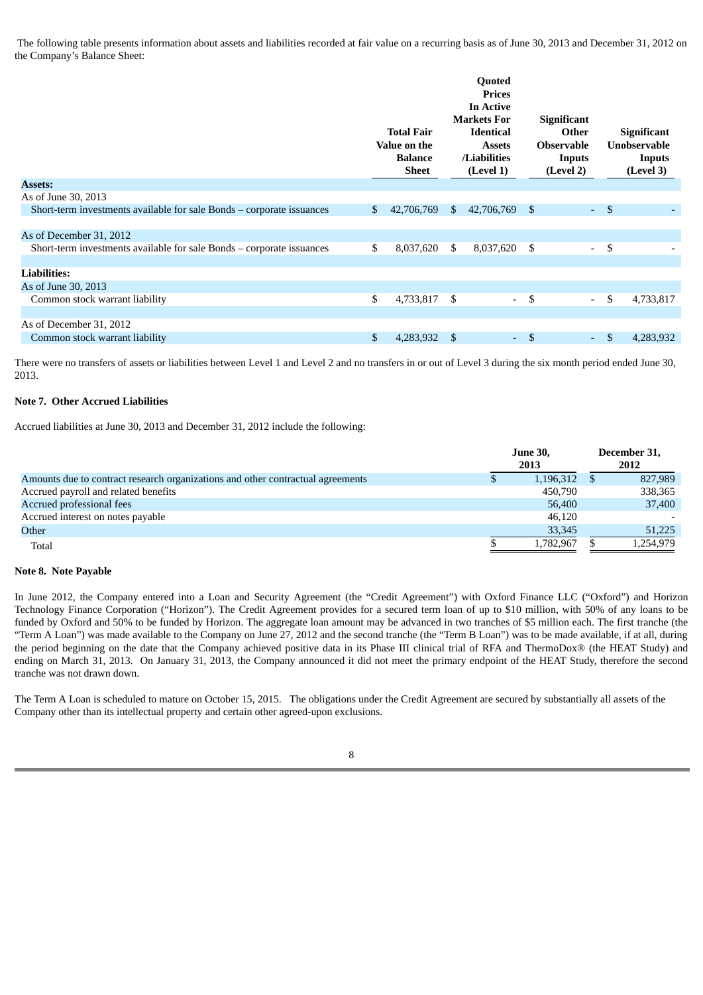The following table presents information about assets and liabilities recorded at fair value on a recurring basis as of June 30, 2013 and December 31, 2012 on the Company's Balance Sheet:

|                                                                       | <b>Total Fair</b><br>Value on the<br><b>Balance</b><br><b>Sheet</b> |               | <b>Quoted</b><br><b>Prices</b><br><b>In Active</b><br><b>Markets For</b><br><b>Identical</b><br><b>Assets</b><br>/Liabilities<br>(Level 1) |      | <b>Significant</b><br>Other<br><b>Observable</b><br>Inputs<br>(Level 2) |               | <b>Significant</b><br><b>Unobservable</b><br><b>Inputs</b><br>(Level 3) |
|-----------------------------------------------------------------------|---------------------------------------------------------------------|---------------|--------------------------------------------------------------------------------------------------------------------------------------------|------|-------------------------------------------------------------------------|---------------|-------------------------------------------------------------------------|
| <b>Assets:</b>                                                        |                                                                     |               |                                                                                                                                            |      |                                                                         |               |                                                                         |
| As of June 30, 2013                                                   |                                                                     |               |                                                                                                                                            |      |                                                                         |               |                                                                         |
| Short-term investments available for sale Bonds – corporate issuances | \$<br>42,706,769                                                    | <sup>\$</sup> | 42,706,769                                                                                                                                 | -S   | $\omega_{\rm c}$                                                        | - \$          |                                                                         |
| As of December 31, 2012                                               |                                                                     |               |                                                                                                                                            |      |                                                                         |               |                                                                         |
| Short-term investments available for sale Bonds – corporate issuances | \$<br>8,037,620                                                     | \$            | 8,037,620                                                                                                                                  | \$   | $\sim$                                                                  | \$            |                                                                         |
|                                                                       |                                                                     |               |                                                                                                                                            |      |                                                                         |               |                                                                         |
| <b>Liabilities:</b>                                                   |                                                                     |               |                                                                                                                                            |      |                                                                         |               |                                                                         |
| As of June 30, 2013                                                   |                                                                     |               |                                                                                                                                            |      |                                                                         |               |                                                                         |
| Common stock warrant liability                                        | \$<br>4,733,817                                                     | \$            |                                                                                                                                            | $-5$ | $\sim$                                                                  | \$            | 4,733,817                                                               |
|                                                                       |                                                                     |               |                                                                                                                                            |      |                                                                         |               |                                                                         |
| As of December 31, 2012                                               |                                                                     |               |                                                                                                                                            |      |                                                                         |               |                                                                         |
| Common stock warrant liability                                        | \$<br>4,283,932                                                     | <sup>\$</sup> | $\sim 100$                                                                                                                                 | -S   | $\omega_{\rm{eff}}$                                                     | <sup>\$</sup> | 4,283,932                                                               |

There were no transfers of assets or liabilities between Level 1 and Level 2 and no transfers in or out of Level 3 during the six month period ended June 30, 2013.

## **Note 7. Other Accrued Liabilities**

Accrued liabilities at June 30, 2013 and December 31, 2012 include the following:

|                                                                                 | <b>June 30,</b><br>2013 |        |  | December 31,<br>2012 |  |  |
|---------------------------------------------------------------------------------|-------------------------|--------|--|----------------------|--|--|
| Amounts due to contract research organizations and other contractual agreements | 1,196,312               |        |  | 827,989              |  |  |
| Accrued payroll and related benefits                                            | 450,790                 |        |  | 338.365              |  |  |
| Accrued professional fees                                                       |                         | 56,400 |  | 37,400               |  |  |
| Accrued interest on notes payable                                               |                         | 46.120 |  |                      |  |  |
| Other                                                                           |                         | 33,345 |  | 51,225               |  |  |
| Total                                                                           | 1,782,967               |        |  | 1,254,979            |  |  |

#### **Note 8. Note Payable**

In June 2012, the Company entered into a Loan and Security Agreement (the "Credit Agreement") with Oxford Finance LLC ("Oxford") and Horizon Technology Finance Corporation ("Horizon"). The Credit Agreement provides for a secured term loan of up to \$10 million, with 50% of any loans to be funded by Oxford and 50% to be funded by Horizon. The aggregate loan amount may be advanced in two tranches of \$5 million each. The first tranche (the "Term A Loan") was made available to the Company on June 27, 2012 and the second tranche (the "Term B Loan") was to be made available, if at all, during the period beginning on the date that the Company achieved positive data in its Phase III clinical trial of RFA and ThermoDox® (the HEAT Study) and ending on March 31, 2013. On January 31, 2013, the Company announced it did not meet the primary endpoint of the HEAT Study, therefore the second tranche was not drawn down.

The Term A Loan is scheduled to mature on October 15, 2015. The obligations under the Credit Agreement are secured by substantially all assets of the Company other than its intellectual property and certain other agreed-upon exclusions.

<sup>8</sup>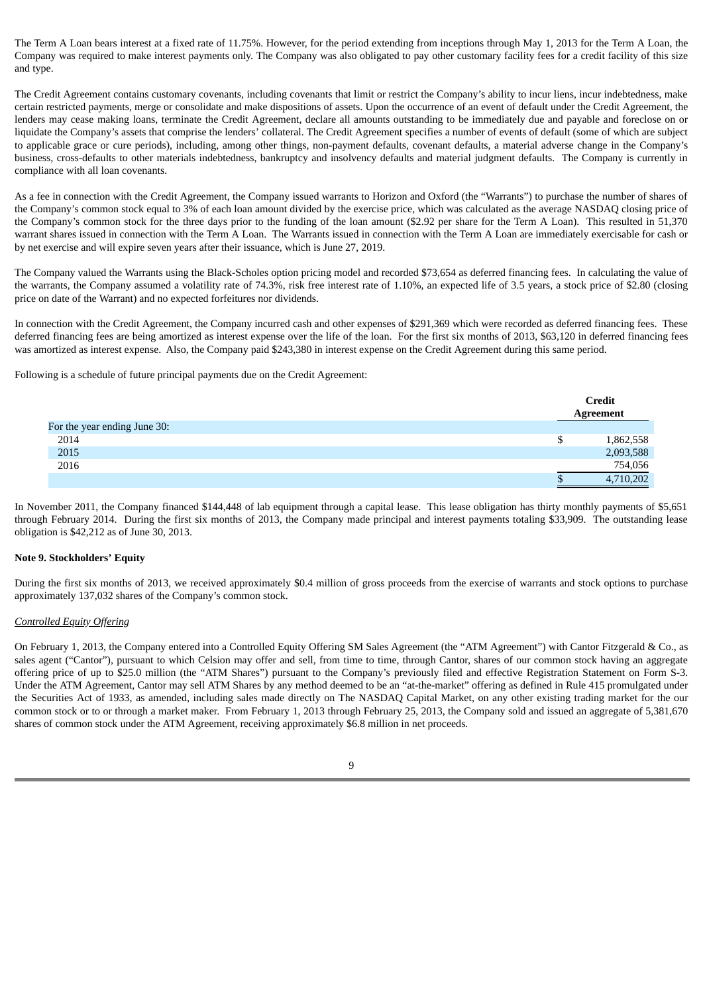The Term A Loan bears interest at a fixed rate of 11.75%. However, for the period extending from inceptions through May 1, 2013 for the Term A Loan, the Company was required to make interest payments only. The Company was also obligated to pay other customary facility fees for a credit facility of this size and type.

The Credit Agreement contains customary covenants, including covenants that limit or restrict the Company's ability to incur liens, incur indebtedness, make certain restricted payments, merge or consolidate and make dispositions of assets. Upon the occurrence of an event of default under the Credit Agreement, the lenders may cease making loans, terminate the Credit Agreement, declare all amounts outstanding to be immediately due and payable and foreclose on or liquidate the Company's assets that comprise the lenders' collateral. The Credit Agreement specifies a number of events of default (some of which are subject to applicable grace or cure periods), including, among other things, non-payment defaults, covenant defaults, a material adverse change in the Company's business, cross-defaults to other materials indebtedness, bankruptcy and insolvency defaults and material judgment defaults. The Company is currently in compliance with all loan covenants.

As a fee in connection with the Credit Agreement, the Company issued warrants to Horizon and Oxford (the "Warrants") to purchase the number of shares of the Company's common stock equal to 3% of each loan amount divided by the exercise price, which was calculated as the average NASDAQ closing price of the Company's common stock for the three days prior to the funding of the loan amount (\$2.92 per share for the Term A Loan). This resulted in 51,370 warrant shares issued in connection with the Term A Loan. The Warrants issued in connection with the Term A Loan are immediately exercisable for cash or by net exercise and will expire seven years after their issuance, which is June 27, 2019.

The Company valued the Warrants using the Black-Scholes option pricing model and recorded \$73,654 as deferred financing fees. In calculating the value of the warrants, the Company assumed a volatility rate of 74.3%, risk free interest rate of 1.10%, an expected life of 3.5 years, a stock price of \$2.80 (closing price on date of the Warrant) and no expected forfeitures nor dividends.

In connection with the Credit Agreement, the Company incurred cash and other expenses of \$291,369 which were recorded as deferred financing fees. These deferred financing fees are being amortized as interest expense over the life of the loan. For the first six months of 2013, \$63,120 in deferred financing fees was amortized as interest expense. Also, the Company paid \$243,380 in interest expense on the Credit Agreement during this same period.

Following is a schedule of future principal payments due on the Credit Agreement:

|                              |   | <b>Credit</b><br><b>Agreement</b> |  |
|------------------------------|---|-----------------------------------|--|
| For the year ending June 30: |   |                                   |  |
| 2014                         | D | 1,862,558                         |  |
| 2015                         |   | 2,093,588                         |  |
| 2016                         |   | 754,056                           |  |
|                              |   | 4,710,202                         |  |

In November 2011, the Company financed \$144,448 of lab equipment through a capital lease. This lease obligation has thirty monthly payments of \$5,651 through February 2014. During the first six months of 2013, the Company made principal and interest payments totaling \$33,909. The outstanding lease obligation is \$42,212 as of June 30, 2013.

#### **Note 9. Stockholders' Equity**

During the first six months of 2013, we received approximately \$0.4 million of gross proceeds from the exercise of warrants and stock options to purchase approximately 137,032 shares of the Company's common stock.

## *Controlled Equity Offering*

On February 1, 2013, the Company entered into a Controlled Equity Offering SM Sales Agreement (the "ATM Agreement") with Cantor Fitzgerald & Co., as sales agent ("Cantor"), pursuant to which Celsion may offer and sell, from time to time, through Cantor, shares of our common stock having an aggregate offering price of up to \$25.0 million (the "ATM Shares") pursuant to the Company's previously filed and effective Registration Statement on Form S-3. Under the ATM Agreement, Cantor may sell ATM Shares by any method deemed to be an "at-the-market" offering as defined in Rule 415 promulgated under the Securities Act of 1933, as amended, including sales made directly on The NASDAQ Capital Market, on any other existing trading market for the our common stock or to or through a market maker. From February 1, 2013 through February 25, 2013, the Company sold and issued an aggregate of 5,381,670 shares of common stock under the ATM Agreement, receiving approximately \$6.8 million in net proceeds.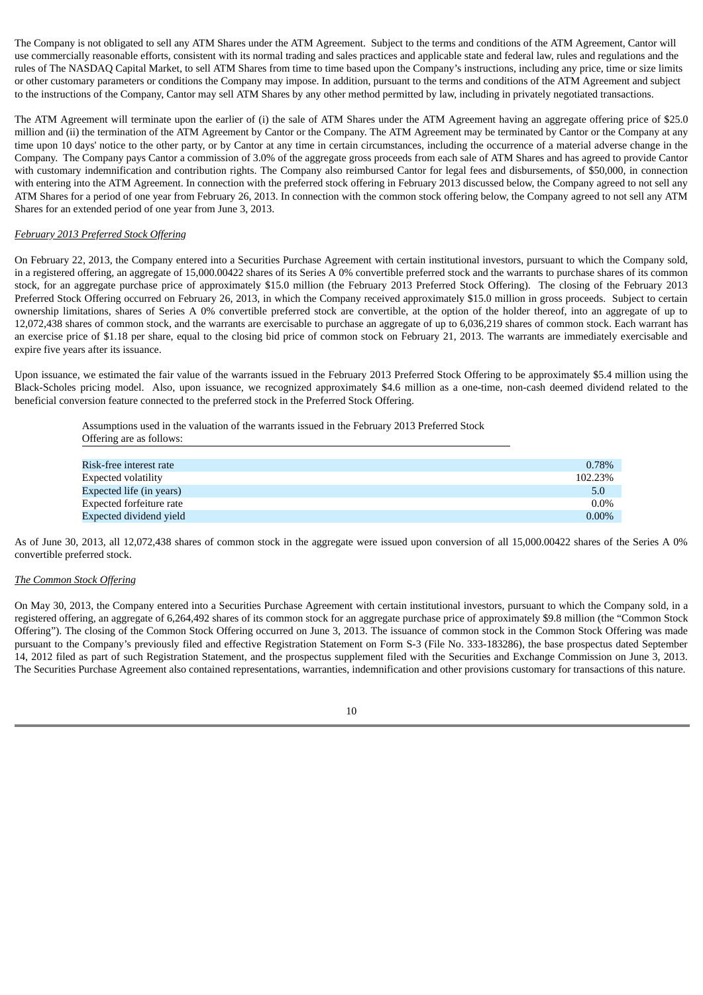The Company is not obligated to sell any ATM Shares under the ATM Agreement. Subject to the terms and conditions of the ATM Agreement, Cantor will use commercially reasonable efforts, consistent with its normal trading and sales practices and applicable state and federal law, rules and regulations and the rules of The NASDAQ Capital Market, to sell ATM Shares from time to time based upon the Company's instructions, including any price, time or size limits or other customary parameters or conditions the Company may impose. In addition, pursuant to the terms and conditions of the ATM Agreement and subject to the instructions of the Company, Cantor may sell ATM Shares by any other method permitted by law, including in privately negotiated transactions.

The ATM Agreement will terminate upon the earlier of (i) the sale of ATM Shares under the ATM Agreement having an aggregate offering price of \$25.0 million and (ii) the termination of the ATM Agreement by Cantor or the Company. The ATM Agreement may be terminated by Cantor or the Company at any time upon 10 days' notice to the other party, or by Cantor at any time in certain circumstances, including the occurrence of a material adverse change in the Company. The Company pays Cantor a commission of 3.0% of the aggregate gross proceeds from each sale of ATM Shares and has agreed to provide Cantor with customary indemnification and contribution rights. The Company also reimbursed Cantor for legal fees and disbursements, of \$50,000, in connection with entering into the ATM Agreement. In connection with the preferred stock offering in February 2013 discussed below, the Company agreed to not sell any ATM Shares for a period of one year from February 26, 2013. In connection with the common stock offering below, the Company agreed to not sell any ATM Shares for an extended period of one year from June 3, 2013.

#### *February 2013 Preferred Stock Offering*

On February 22, 2013, the Company entered into a Securities Purchase Agreement with certain institutional investors, pursuant to which the Company sold, in a registered offering, an aggregate of 15,000.00422 shares of its Series A 0% convertible preferred stock and the warrants to purchase shares of its common stock, for an aggregate purchase price of approximately \$15.0 million (the February 2013 Preferred Stock Offering). The closing of the February 2013 Preferred Stock Offering occurred on February 26, 2013, in which the Company received approximately \$15.0 million in gross proceeds. Subject to certain ownership limitations, shares of Series A 0% convertible preferred stock are convertible, at the option of the holder thereof, into an aggregate of up to 12,072,438 shares of common stock, and the warrants are exercisable to purchase an aggregate of up to 6,036,219 shares of common stock. Each warrant has an exercise price of \$1.18 per share, equal to the closing bid price of common stock on February 21, 2013. The warrants are immediately exercisable and expire five years after its issuance.

Upon issuance, we estimated the fair value of the warrants issued in the February 2013 Preferred Stock Offering to be approximately \$5.4 million using the Black-Scholes pricing model. Also, upon issuance, we recognized approximately \$4.6 million as a one-time, non-cash deemed dividend related to the beneficial conversion feature connected to the preferred stock in the Preferred Stock Offering.

Assumptions used in the valuation of the warrants issued in the February 2013 Preferred Stock Offering are as follows:

| Risk-free interest rate  | $0.78\%$ |
|--------------------------|----------|
| Expected volatility      | 102.23%  |
| Expected life (in years) | 5.0      |
| Expected forfeiture rate | $0.0\%$  |
| Expected dividend yield  | $0.00\%$ |

As of June 30, 2013, all 12,072,438 shares of common stock in the aggregate were issued upon conversion of all 15,000.00422 shares of the Series A 0% convertible preferred stock.

#### *The Common Stock Offering*

On May 30, 2013, the Company entered into a Securities Purchase Agreement with certain institutional investors, pursuant to which the Company sold, in a registered offering, an aggregate of 6,264,492 shares of its common stock for an aggregate purchase price of approximately \$9.8 million (the "Common Stock Offering"). The closing of the Common Stock Offering occurred on June 3, 2013. The issuance of common stock in the Common Stock Offering was made pursuant to the Company's previously filed and effective Registration Statement on Form S-3 (File No. 333-183286), the base prospectus dated September 14, 2012 filed as part of such Registration Statement, and the prospectus supplement filed with the Securities and Exchange Commission on June 3, 2013. The Securities Purchase Agreement also contained representations, warranties, indemnification and other provisions customary for transactions of this nature.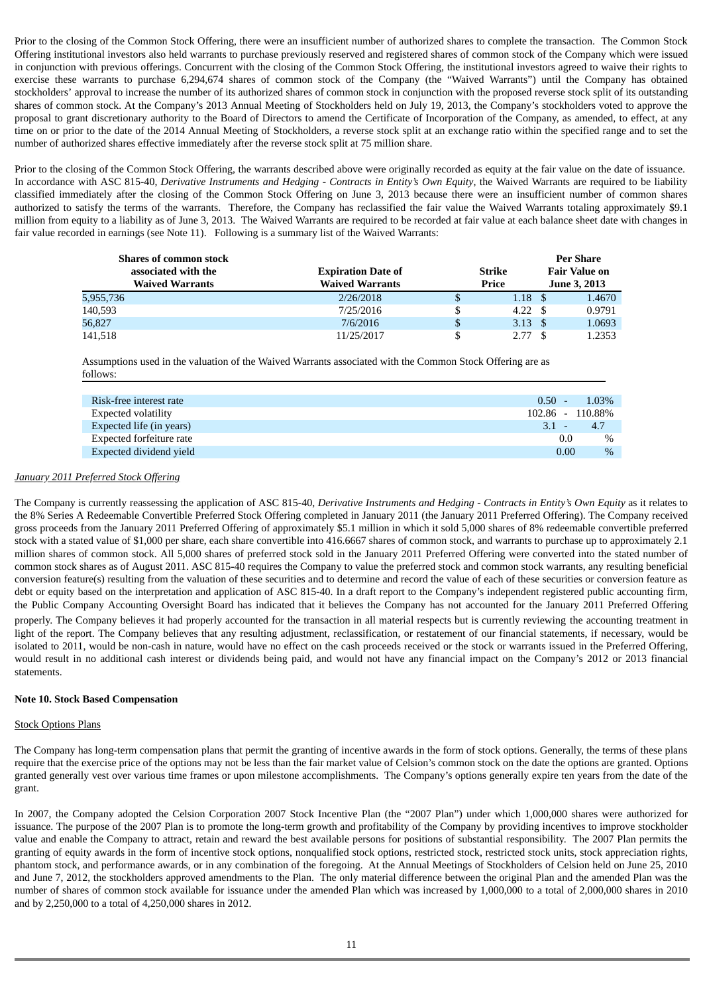Prior to the closing of the Common Stock Offering, there were an insufficient number of authorized shares to complete the transaction. The Common Stock Offering institutional investors also held warrants to purchase previously reserved and registered shares of common stock of the Company which were issued in conjunction with previous offerings. Concurrent with the closing of the Common Stock Offering, the institutional investors agreed to waive their rights to exercise these warrants to purchase 6,294,674 shares of common stock of the Company (the "Waived Warrants") until the Company has obtained stockholders' approval to increase the number of its authorized shares of common stock in conjunction with the proposed reverse stock split of its outstanding shares of common stock. At the Company's 2013 Annual Meeting of Stockholders held on July 19, 2013, the Company's stockholders voted to approve the proposal to grant discretionary authority to the Board of Directors to amend the Certificate of Incorporation of the Company, as amended, to effect, at any time on or prior to the date of the 2014 Annual Meeting of Stockholders, a reverse stock split at an exchange ratio within the specified range and to set the number of authorized shares effective immediately after the reverse stock split at 75 million share.

Prior to the closing of the Common Stock Offering, the warrants described above were originally recorded as equity at the fair value on the date of issuance. In accordance with ASC 815-40, *Derivative Instruments and Hedging - Contracts in Entity's Own Equity,* the Waived Warrants are required to be liability classified immediately after the closing of the Common Stock Offering on June 3, 2013 because there were an insufficient number of common shares authorized to satisfy the terms of the warrants. Therefore, the Company has reclassified the fair value the Waived Warrants totaling approximately \$9.1 million from equity to a liability as of June 3, 2013. The Waived Warrants are required to be recorded at fair value at each balance sheet date with changes in fair value recorded in earnings (see Note 11). Following is a summary list of the Waived Warrants:

| <b>Shares of common stock</b><br>associated with the<br><b>Waived Warrants</b> | <b>Expiration Date of</b><br><b>Waived Warrants</b> | Strike<br>Price      |      | <b>Per Share</b><br><b>Fair Value on</b><br><b>June 3, 2013</b> |
|--------------------------------------------------------------------------------|-----------------------------------------------------|----------------------|------|-----------------------------------------------------------------|
| 5,955,736                                                                      | 2/26/2018                                           | \$<br>1.18           | - \$ | 1.4670                                                          |
| 140,593                                                                        | 7/25/2016                                           | \$<br>$4.22 \quad $$ |      | 0.9791                                                          |
| 56,827                                                                         | 7/6/2016                                            | \$<br>$3.13 \quad $$ |      | 1.0693                                                          |
| 141,518                                                                        | 11/25/2017                                          | \$<br>2.77           |      | 1.2353                                                          |

Assumptions used in the valuation of the Waived Warrants associated with the Common Stock Offering are as follows:

| Risk-free interest rate  | $0.50 -$ |      | $-1.03\%$        |
|--------------------------|----------|------|------------------|
| Expected volatility      |          |      | 102.86 - 110.88% |
| Expected life (in years) | $3.1 -$  |      | 4.7              |
| Expected forfeiture rate |          | 0.0  | $\%$             |
| Expected dividend yield  |          | 0.00 | $\%$             |

## *January 2011 Preferred Stock Offering*

The Company is currently reassessing the application of ASC 815-40, *Derivative Instruments and Hedging - Contracts in Entity's Own Equity* as it relates to the 8% Series A Redeemable Convertible Preferred Stock Offering completed in January 2011 (the January 2011 Preferred Offering). The Company received gross proceeds from the January 2011 Preferred Offering of approximately \$5.1 million in which it sold 5,000 shares of 8% redeemable convertible preferred stock with a stated value of \$1,000 per share, each share convertible into 416.6667 shares of common stock, and warrants to purchase up to approximately 2.1 million shares of common stock. All 5,000 shares of preferred stock sold in the January 2011 Preferred Offering were converted into the stated number of common stock shares as of August 2011. ASC 815-40 requires the Company to value the preferred stock and common stock warrants, any resulting beneficial conversion feature(s) resulting from the valuation of these securities and to determine and record the value of each of these securities or conversion feature as debt or equity based on the interpretation and application of ASC 815-40. In a draft report to the Company's independent registered public accounting firm, the Public Company Accounting Oversight Board has indicated that it believes the Company has not accounted for the January 2011 Preferred Offering properly. The Company believes it had properly accounted for the transaction in all material respects but is currently reviewing the accounting treatment in light of the report. The Company believes that any resulting adjustment, reclassification, or restatement of our financial statements, if necessary, would be isolated to 2011, would be non-cash in nature, would have no effect on the cash proceeds received or the stock or warrants issued in the Preferred Offering, would result in no additional cash interest or dividends being paid, and would not have any financial impact on the Company's 2012 or 2013 financial statements.

#### **Note 10. Stock Based Compensation**

#### Stock Options Plans

The Company has long-term compensation plans that permit the granting of incentive awards in the form of stock options. Generally, the terms of these plans require that the exercise price of the options may not be less than the fair market value of Celsion's common stock on the date the options are granted. Options granted generally vest over various time frames or upon milestone accomplishments. The Company's options generally expire ten years from the date of the grant.

In 2007, the Company adopted the Celsion Corporation 2007 Stock Incentive Plan (the "2007 Plan") under which 1,000,000 shares were authorized for issuance. The purpose of the 2007 Plan is to promote the long-term growth and profitability of the Company by providing incentives to improve stockholder value and enable the Company to attract, retain and reward the best available persons for positions of substantial responsibility. The 2007 Plan permits the granting of equity awards in the form of incentive stock options, nonqualified stock options, restricted stock, restricted stock units, stock appreciation rights, phantom stock, and performance awards, or in any combination of the foregoing. At the Annual Meetings of Stockholders of Celsion held on June 25, 2010 and June 7, 2012, the stockholders approved amendments to the Plan. The only material difference between the original Plan and the amended Plan was the number of shares of common stock available for issuance under the amended Plan which was increased by 1,000,000 to a total of 2,000,000 shares in 2010 and by 2,250,000 to a total of 4,250,000 shares in 2012.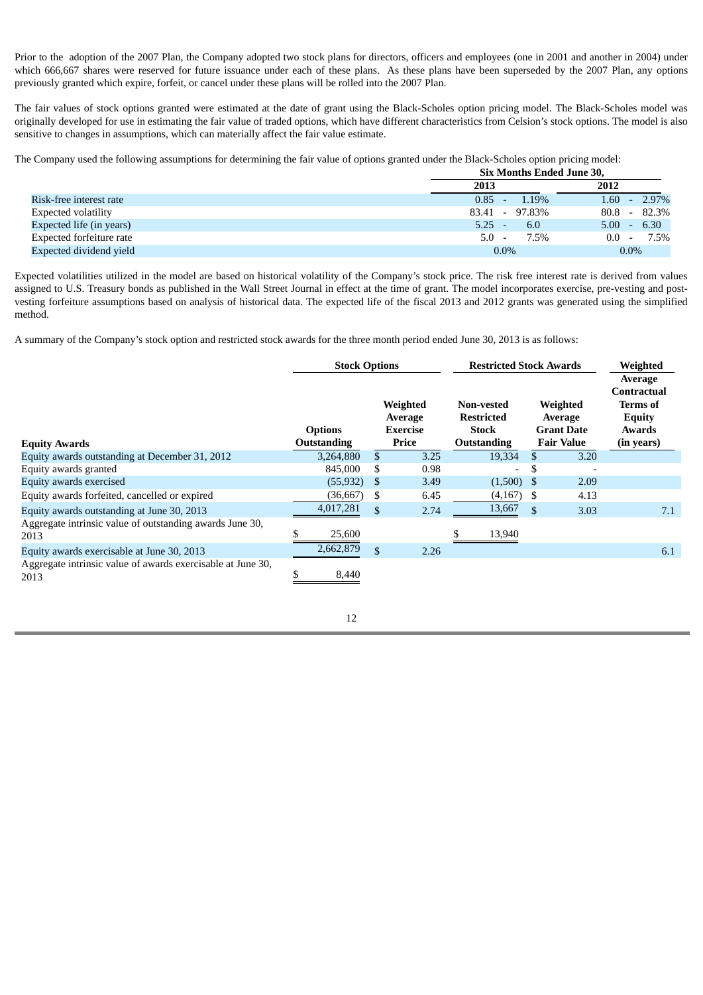Prior to the adoption of the 2007 Plan, the Company adopted two stock plans for directors, officers and employees (one in 2001 and another in 2004) under which 666,667 shares were reserved for future issuance under each of these plans. As these plans have been superseded by the 2007 Plan, any options previously granted which expire, forfeit, or cancel under these plans will be rolled into the 2007 Plan.

The fair values of stock options granted were estimated at the date of grant using the Black-Scholes option pricing model. The Black-Scholes model was originally developed for use in estimating the fair value of traded options, which have different characteristics from Celsion's stock options. The model is also sensitive to changes in assumptions, which can materially affect the fair value estimate.

The Company used the following assumptions for determining the fair value of options granted under the Black-Scholes option pricing model: **Six Months Ended June 30,**

|                                | <b>SIX MONUS ENGEU JUNE SU,</b>         |                 |
|--------------------------------|-----------------------------------------|-----------------|
|                                | 2013                                    | 2012            |
| Risk-free interest rate        | 0.85<br>1.19%                           | $1.60 - 2.97\%$ |
| <b>Expected volatility</b>     | 97.83%<br>83.41<br>$\sim$               | $80.8 - 82.3\%$ |
| Expected life (in years)       | 5.25<br>6.0                             | $5.00 - 6.30$   |
| Expected forfeiture rate       | 7.5%<br>5.0<br>$\overline{\phantom{a}}$ | 7.5%<br>$0.0 -$ |
| <b>Expected dividend yield</b> | $0.0\%$                                 | $0.0\%$         |

Expected volatilities utilized in the model are based on historical volatility of the Company's stock price. The risk free interest rate is derived from values assigned to U.S. Treasury bonds as published in the Wall Street Journal in effect at the time of grant. The model incorporates exercise, pre-vesting and postvesting forfeiture assumptions based on analysis of historical data. The expected life of the fiscal 2013 and 2012 grants was generated using the simplified method.

A summary of the Company's stock option and restricted stock awards for the three month period ended June 30, 2013 is as follows:

|                                                                     |                                      | <b>Stock Options</b> |                                          | <b>Restricted Stock Awards</b>                                               |    |                                                               | Weighted                                                                           |
|---------------------------------------------------------------------|--------------------------------------|----------------------|------------------------------------------|------------------------------------------------------------------------------|----|---------------------------------------------------------------|------------------------------------------------------------------------------------|
| <b>Equity Awards</b>                                                | <b>Options</b><br><b>Outstanding</b> |                      | Weighted<br>Average<br>Exercise<br>Price | <b>Non-vested</b><br><b>Restricted</b><br><b>Stock</b><br><b>Outstanding</b> |    | Weighted<br>Average<br><b>Grant Date</b><br><b>Fair Value</b> | Average<br><b>Contractual</b><br>Terms of<br><b>Equity</b><br>Awards<br>(in years) |
| Equity awards outstanding at December 31, 2012                      | 3,264,880                            | \$                   | 3.25                                     | 19,334                                                                       |    | 3.20                                                          |                                                                                    |
| Equity awards granted                                               | 845,000                              | \$                   | 0.98                                     | $\overline{\phantom{0}}$                                                     | S  |                                                               |                                                                                    |
| Equity awards exercised                                             | (55, 932)                            | \$                   | 3.49                                     | $(1,500)$ \$                                                                 |    | 2.09                                                          |                                                                                    |
| Equity awards forfeited, cancelled or expired                       | (36, 667)                            | S                    | 6.45                                     | (4,167)                                                                      | -S | 4.13                                                          |                                                                                    |
| Equity awards outstanding at June 30, 2013                          | 4,017,281                            | \$                   | 2.74                                     | 13,667                                                                       | \$ | 3.03                                                          | 7.1                                                                                |
| Aggregate intrinsic value of outstanding awards June 30,<br>2013    | 25,600                               |                      |                                          | 13,940                                                                       |    |                                                               |                                                                                    |
| Equity awards exercisable at June 30, 2013                          | 2,662,879                            | \$                   | 2.26                                     |                                                                              |    |                                                               | 6.1                                                                                |
| Aggregate intrinsic value of awards exercisable at June 30,<br>2013 | 8,440                                |                      |                                          |                                                                              |    |                                                               |                                                                                    |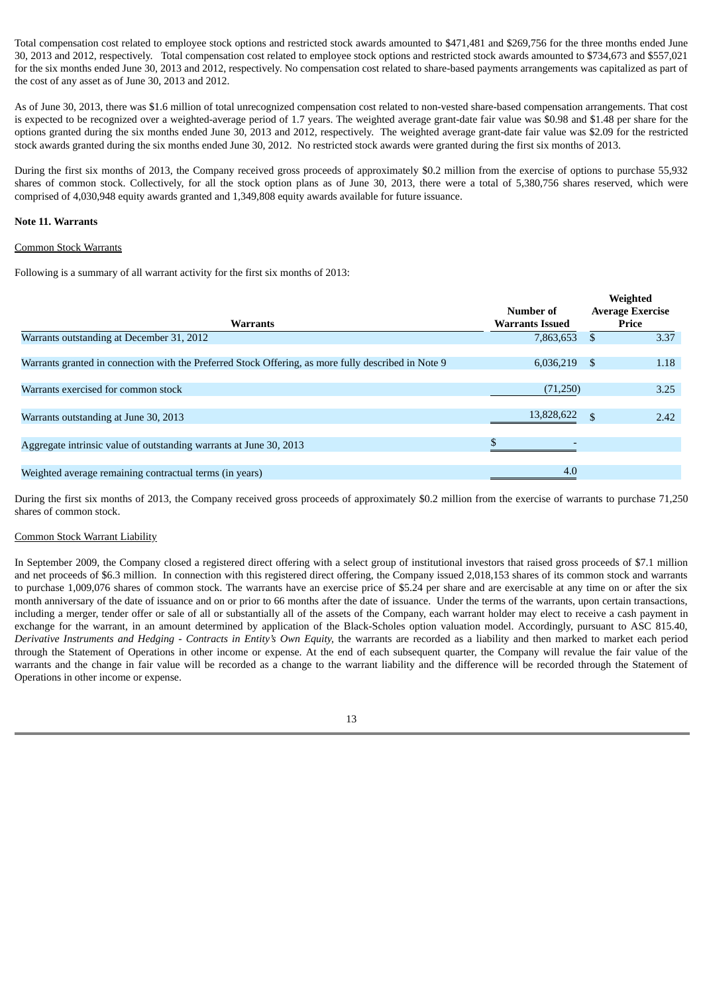Total compensation cost related to employee stock options and restricted stock awards amounted to \$471,481 and \$269,756 for the three months ended June 30, 2013 and 2012, respectively. Total compensation cost related to employee stock options and restricted stock awards amounted to \$734,673 and \$557,021 for the six months ended June 30, 2013 and 2012, respectively. No compensation cost related to share-based payments arrangements was capitalized as part of the cost of any asset as of June 30, 2013 and 2012.

As of June 30, 2013, there was \$1.6 million of total unrecognized compensation cost related to non-vested share-based compensation arrangements. That cost is expected to be recognized over a weighted-average period of 1.7 years. The weighted average grant-date fair value was \$0.98 and \$1.48 per share for the options granted during the six months ended June 30, 2013 and 2012, respectively. The weighted average grant-date fair value was \$2.09 for the restricted stock awards granted during the six months ended June 30, 2012. No restricted stock awards were granted during the first six months of 2013.

During the first six months of 2013, the Company received gross proceeds of approximately \$0.2 million from the exercise of options to purchase 55,932 shares of common stock. Collectively, for all the stock option plans as of June 30, 2013, there were a total of 5,380,756 shares reserved, which were comprised of 4,030,948 equity awards granted and 1,349,808 equity awards available for future issuance.

## **Note 11. Warrants**

#### Common Stock Warrants

Following is a summary of all warrant activity for the first six months of 2013:

|                                                                                                     | Number of              | Weighted<br><b>Average Exercise</b> |      |
|-----------------------------------------------------------------------------------------------------|------------------------|-------------------------------------|------|
| <b>Warrants</b>                                                                                     | <b>Warrants Issued</b> | Price                               |      |
| Warrants outstanding at December 31, 2012                                                           | 7,863,653              |                                     | 3.37 |
| Warrants granted in connection with the Preferred Stock Offering, as more fully described in Note 9 | 6,036,219              | - \$                                | 1.18 |
|                                                                                                     |                        |                                     |      |
| Warrants exercised for common stock                                                                 | (71,250)               |                                     | 3.25 |
|                                                                                                     |                        |                                     |      |
| Warrants outstanding at June 30, 2013                                                               | 13,828,622             | \$.                                 | 2.42 |
|                                                                                                     |                        |                                     |      |
| Aggregate intrinsic value of outstanding warrants at June 30, 2013                                  |                        |                                     |      |
| Weighted average remaining contractual terms (in years)                                             | 4.0                    |                                     |      |
|                                                                                                     |                        |                                     |      |

During the first six months of 2013, the Company received gross proceeds of approximately \$0.2 million from the exercise of warrants to purchase 71,250 shares of common stock.

#### Common Stock Warrant Liability

In September 2009, the Company closed a registered direct offering with a select group of institutional investors that raised gross proceeds of \$7.1 million and net proceeds of \$6.3 million. In connection with this registered direct offering, the Company issued 2,018,153 shares of its common stock and warrants to purchase 1,009,076 shares of common stock. The warrants have an exercise price of \$5.24 per share and are exercisable at any time on or after the six month anniversary of the date of issuance and on or prior to 66 months after the date of issuance. Under the terms of the warrants, upon certain transactions, including a merger, tender offer or sale of all or substantially all of the assets of the Company, each warrant holder may elect to receive a cash payment in exchange for the warrant, in an amount determined by application of the Black-Scholes option valuation model. Accordingly, pursuant to ASC 815.40, *Derivative Instruments and Hedging - Contracts in Entity's Own Equity,* the warrants are recorded as a liability and then marked to market each period through the Statement of Operations in other income or expense. At the end of each subsequent quarter, the Company will revalue the fair value of the warrants and the change in fair value will be recorded as a change to the warrant liability and the difference will be recorded through the Statement of Operations in other income or expense.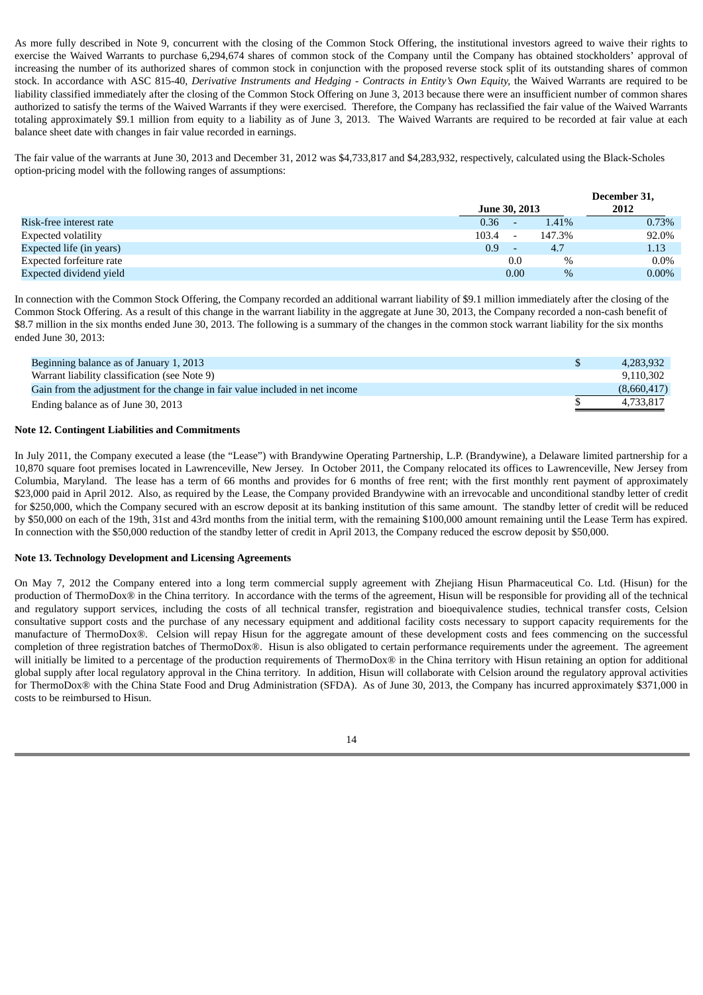As more fully described in Note 9, concurrent with the closing of the Common Stock Offering, the institutional investors agreed to waive their rights to exercise the Waived Warrants to purchase 6,294,674 shares of common stock of the Company until the Company has obtained stockholders' approval of increasing the number of its authorized shares of common stock in conjunction with the proposed reverse stock split of its outstanding shares of common stock. In accordance with ASC 815-40, *Derivative Instruments and Hedging - Contracts in Entity's Own Equity,* the Waived Warrants are required to be liability classified immediately after the closing of the Common Stock Offering on June 3, 2013 because there were an insufficient number of common shares authorized to satisfy the terms of the Waived Warrants if they were exercised. Therefore, the Company has reclassified the fair value of the Waived Warrants totaling approximately \$9.1 million from equity to a liability as of June 3, 2013. The Waived Warrants are required to be recorded at fair value at each balance sheet date with changes in fair value recorded in earnings.

The fair value of the warrants at June 30, 2013 and December 31, 2012 was \$4,733,817 and \$4,283,932, respectively, calculated using the Black-Scholes option-pricing model with the following ranges of assumptions:

|                                |       |                          |        | December 31, |
|--------------------------------|-------|--------------------------|--------|--------------|
|                                |       | <b>June 30, 2013</b>     |        | 2012         |
| Risk-free interest rate        | 0.36  | $\overline{\phantom{0}}$ | 1.41%  | 0.73%        |
| Expected volatility            | 103.4 | $\overline{\phantom{a}}$ | 147.3% | 92.0%        |
| Expected life (in years)       | 0.9   | $\overline{\phantom{0}}$ | 4.7    | 1.13         |
| Expected forfeiture rate       |       | 0.0                      | $\%$   | $0.0\%$      |
| <b>Expected dividend yield</b> |       | 0.00                     | $\%$   | $0.00\%$     |

In connection with the Common Stock Offering, the Company recorded an additional warrant liability of \$9.1 million immediately after the closing of the Common Stock Offering. As a result of this change in the warrant liability in the aggregate at June 30, 2013, the Company recorded a non-cash benefit of \$8.7 million in the six months ended June 30, 2013. The following is a summary of the changes in the common stock warrant liability for the six months ended June 30, 2013:

| Beginning balance as of January 1, 2013                                      | 4.283.932   |
|------------------------------------------------------------------------------|-------------|
| Warrant liability classification (see Note 9)                                | 9.110.302   |
| Gain from the adjustment for the change in fair value included in net income | (8,660,417) |
| Ending balance as of June 30, 2013                                           | 4.733.817   |

## **Note 12. Contingent Liabilities and Commitments**

In July 2011, the Company executed a lease (the "Lease") with Brandywine Operating Partnership, L.P. (Brandywine), a Delaware limited partnership for a 10,870 square foot premises located in Lawrenceville, New Jersey. In October 2011, the Company relocated its offices to Lawrenceville, New Jersey from Columbia, Maryland. The lease has a term of 66 months and provides for 6 months of free rent; with the first monthly rent payment of approximately \$23,000 paid in April 2012. Also, as required by the Lease, the Company provided Brandywine with an irrevocable and unconditional standby letter of credit for \$250,000, which the Company secured with an escrow deposit at its banking institution of this same amount. The standby letter of credit will be reduced by \$50,000 on each of the 19th, 31st and 43rd months from the initial term, with the remaining \$100,000 amount remaining until the Lease Term has expired. In connection with the \$50,000 reduction of the standby letter of credit in April 2013, the Company reduced the escrow deposit by \$50,000.

#### **Note 13. Technology Development and Licensing Agreements**

On May 7, 2012 the Company entered into a long term commercial supply agreement with Zhejiang Hisun Pharmaceutical Co. Ltd. (Hisun) for the production of ThermoDox® in the China territory. In accordance with the terms of the agreement, Hisun will be responsible for providing all of the technical and regulatory support services, including the costs of all technical transfer, registration and bioequivalence studies, technical transfer costs, Celsion consultative support costs and the purchase of any necessary equipment and additional facility costs necessary to support capacity requirements for the manufacture of ThermoDox®. Celsion will repay Hisun for the aggregate amount of these development costs and fees commencing on the successful completion of three registration batches of ThermoDox®. Hisun is also obligated to certain performance requirements under the agreement. The agreement will initially be limited to a percentage of the production requirements of ThermoDox® in the China territory with Hisun retaining an option for additional global supply after local regulatory approval in the China territory. In addition, Hisun will collaborate with Celsion around the regulatory approval activities for ThermoDox® with the China State Food and Drug Administration (SFDA). As of June 30, 2013, the Company has incurred approximately \$371,000 in costs to be reimbursed to Hisun.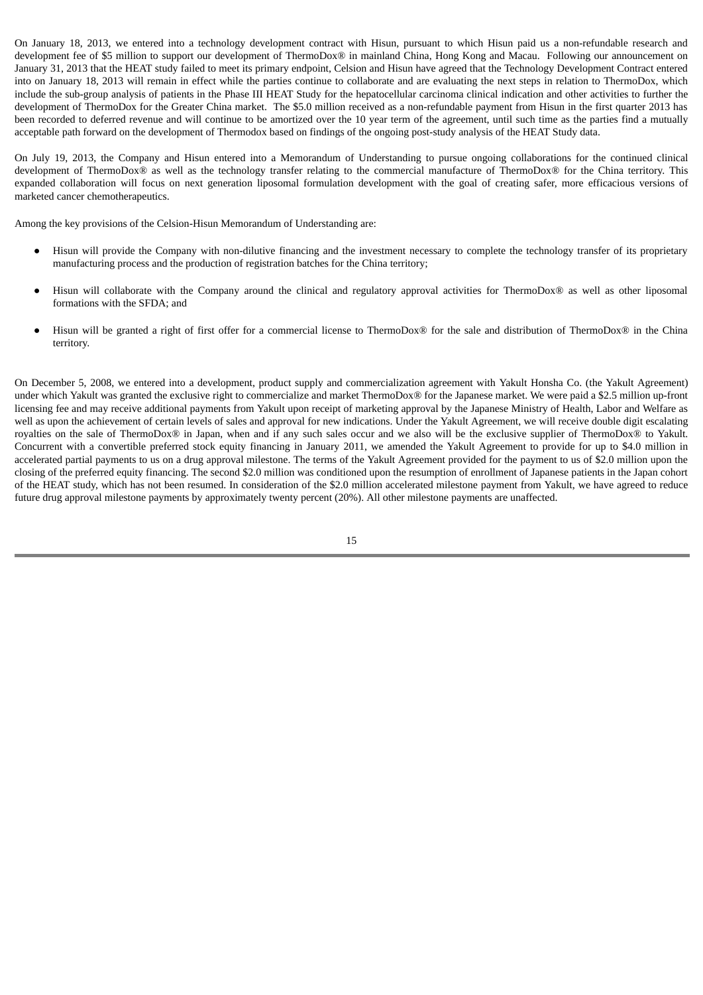On January 18, 2013, we entered into a technology development contract with Hisun, pursuant to which Hisun paid us a non-refundable research and development fee of \$5 million to support our development of ThermoDox® in mainland China, Hong Kong and Macau. Following our announcement on January 31, 2013 that the HEAT study failed to meet its primary endpoint, Celsion and Hisun have agreed that the Technology Development Contract entered into on January 18, 2013 will remain in effect while the parties continue to collaborate and are evaluating the next steps in relation to ThermoDox, which include the sub-group analysis of patients in the Phase III HEAT Study for the hepatocellular carcinoma clinical indication and other activities to further the development of ThermoDox for the Greater China market. The \$5.0 million received as a non-refundable payment from Hisun in the first quarter 2013 has been recorded to deferred revenue and will continue to be amortized over the 10 year term of the agreement, until such time as the parties find a mutually acceptable path forward on the development of Thermodox based on findings of the ongoing post-study analysis of the HEAT Study data.

On July 19, 2013, the Company and Hisun entered into a Memorandum of Understanding to pursue ongoing collaborations for the continued clinical development of ThermoDox® as well as the technology transfer relating to the commercial manufacture of ThermoDox® for the China territory. This expanded collaboration will focus on next generation liposomal formulation development with the goal of creating safer, more efficacious versions of marketed cancer chemotherapeutics.

Among the key provisions of the Celsion-Hisun Memorandum of Understanding are:

- **●** Hisun will provide the Company with non-dilutive financing and the investment necessary to complete the technology transfer of its proprietary manufacturing process and the production of registration batches for the China territory;
- **●** Hisun will collaborate with the Company around the clinical and regulatory approval activities for ThermoDox® as well as other liposomal formations with the SFDA; and
- **●** Hisun will be granted a right of first offer for a commercial license to ThermoDox® for the sale and distribution of ThermoDox® in the China territory.

On December 5, 2008, we entered into a development, product supply and commercialization agreement with Yakult Honsha Co. (the Yakult Agreement) under which Yakult was granted the exclusive right to commercialize and market ThermoDox® for the Japanese market. We were paid a \$2.5 million up-front licensing fee and may receive additional payments from Yakult upon receipt of marketing approval by the Japanese Ministry of Health, Labor and Welfare as well as upon the achievement of certain levels of sales and approval for new indications. Under the Yakult Agreement, we will receive double digit escalating royalties on the sale of ThermoDox® in Japan, when and if any such sales occur and we also will be the exclusive supplier of ThermoDox® to Yakult. Concurrent with a convertible preferred stock equity financing in January 2011, we amended the Yakult Agreement to provide for up to \$4.0 million in accelerated partial payments to us on a drug approval milestone. The terms of the Yakult Agreement provided for the payment to us of \$2.0 million upon the closing of the preferred equity financing. The second \$2.0 million was conditioned upon the resumption of enrollment of Japanese patients in the Japan cohort of the HEAT study, which has not been resumed. In consideration of the \$2.0 million accelerated milestone payment from Yakult, we have agreed to reduce future drug approval milestone payments by approximately twenty percent (20%). All other milestone payments are unaffected.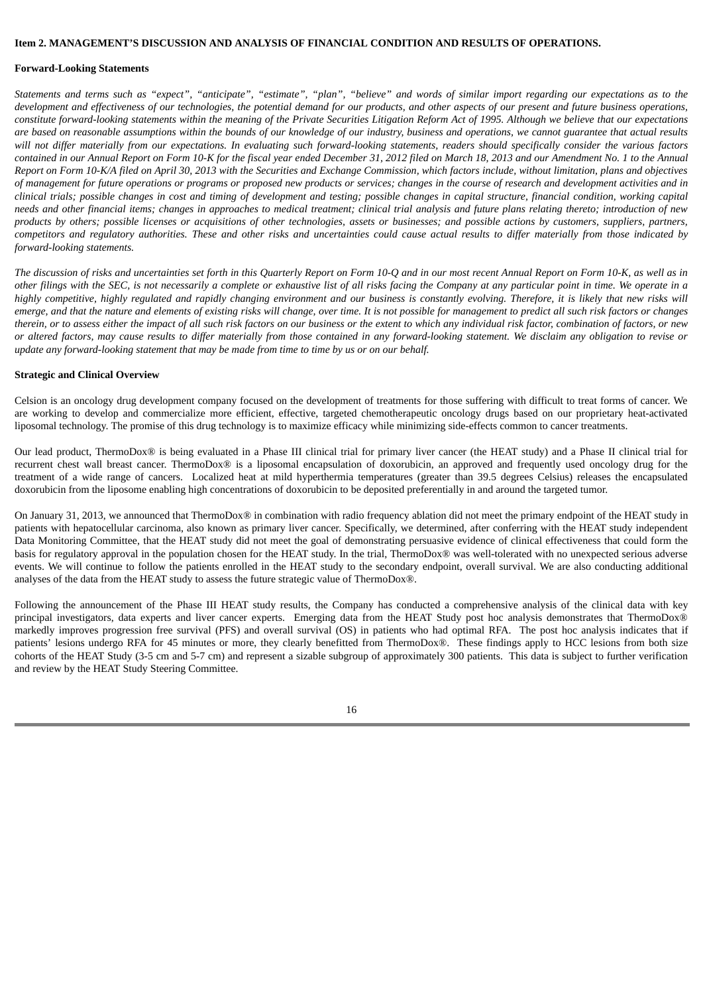#### **Item 2. MANAGEMENT'S DISCUSSION AND ANALYSIS OF FINANCIAL CONDITION AND RESULTS OF OPERATIONS.**

#### **Forward-Looking Statements**

Statements and terms such as "expect", "anticipate", "estimate", "plan", "believe" and words of similar import regarding our expectations as to the development and effectiveness of our technologies, the potential demand for our products, and other aspects of our present and future business operations, constitute forward-looking statements within the meaning of the Private Securities Litigation Reform Act of 1995. Although we believe that our expectations are based on reasonable assumptions within the bounds of our knowledge of our industry, business and operations, we cannot quarantee that actual results will not differ materially from our expectations. In evaluating such forward-looking statements, readers should specifically consider the various factors contained in our Annual Report on Form 10-K for the fiscal year ended December 31, 2012 filed on March 18, 2013 and our Amendment No. 1 to the Annual Report on Form 10-K/A filed on April 30, 2013 with the Securities and Exchange Commission, which factors include, without limitation, plans and objectives of management for future operations or programs or proposed new products or services; changes in the course of research and development activities and in clinical trials; possible changes in cost and timing of development and testing; possible changes in capital structure, financial condition, working capital needs and other financial items; changes in approaches to medical treatment; clinical trial analysis and future plans relating thereto; introduction of new products by others; possible licenses or acquisitions of other technologies, assets or businesses; and possible actions by customers, suppliers, partners, competitors and regulatory authorities. These and other risks and uncertainties could cause actual results to differ materially from those indicated by *forward-looking statements.*

The discussion of risks and uncertainties set forth in this Quarterly Report on Form 10-Q and in our most recent Annual Report on Form 10-K, as well as in other filings with the SEC, is not necessarily a complete or exhaustive list of all risks facing the Company at any particular point in time. We operate in a highly competitive, highly regulated and rapidly changing environment and our business is constantly evolving. Therefore, it is likely that new risks will emerge, and that the nature and elements of existing risks will change, over time. It is not possible for management to predict all such risk factors or changes therein, or to assess either the impact of all such risk factors on our business or the extent to which any individual risk factor, combination of factors, or new or altered factors, may cause results to differ materially from those contained in any forward-looking statement. We disclaim any obligation to revise or *update any forward-looking statement that may be made from time to time by us or on our behalf.*

#### **Strategic and Clinical Overview**

Celsion is an oncology drug development company focused on the development of treatments for those suffering with difficult to treat forms of cancer. We are working to develop and commercialize more efficient, effective, targeted chemotherapeutic oncology drugs based on our proprietary heat-activated liposomal technology. The promise of this drug technology is to maximize efficacy while minimizing side-effects common to cancer treatments.

Our lead product, ThermoDox® is being evaluated in a Phase III clinical trial for primary liver cancer (the HEAT study) and a Phase II clinical trial for recurrent chest wall breast cancer. ThermoDox® is a liposomal encapsulation of doxorubicin, an approved and frequently used oncology drug for the treatment of a wide range of cancers. Localized heat at mild hyperthermia temperatures (greater than 39.5 degrees Celsius) releases the encapsulated doxorubicin from the liposome enabling high concentrations of doxorubicin to be deposited preferentially in and around the targeted tumor.

On January 31, 2013, we announced that ThermoDox® in combination with radio frequency ablation did not meet the primary endpoint of the HEAT study in patients with hepatocellular carcinoma, also known as primary liver cancer. Specifically, we determined, after conferring with the HEAT study independent Data Monitoring Committee, that the HEAT study did not meet the goal of demonstrating persuasive evidence of clinical effectiveness that could form the basis for regulatory approval in the population chosen for the HEAT study. In the trial, ThermoDox® was well-tolerated with no unexpected serious adverse events. We will continue to follow the patients enrolled in the HEAT study to the secondary endpoint, overall survival. We are also conducting additional analyses of the data from the HEAT study to assess the future strategic value of ThermoDox®.

Following the announcement of the Phase III HEAT study results, the Company has conducted a comprehensive analysis of the clinical data with key principal investigators, data experts and liver cancer experts. Emerging data from the HEAT Study post hoc analysis demonstrates that ThermoDox® markedly improves progression free survival (PFS) and overall survival (OS) in patients who had optimal RFA. The post hoc analysis indicates that if patients' lesions undergo RFA for 45 minutes or more, they clearly benefitted from ThermoDox®. These findings apply to HCC lesions from both size cohorts of the HEAT Study (3-5 cm and 5-7 cm) and represent a sizable subgroup of approximately 300 patients. This data is subject to further verification and review by the HEAT Study Steering Committee.

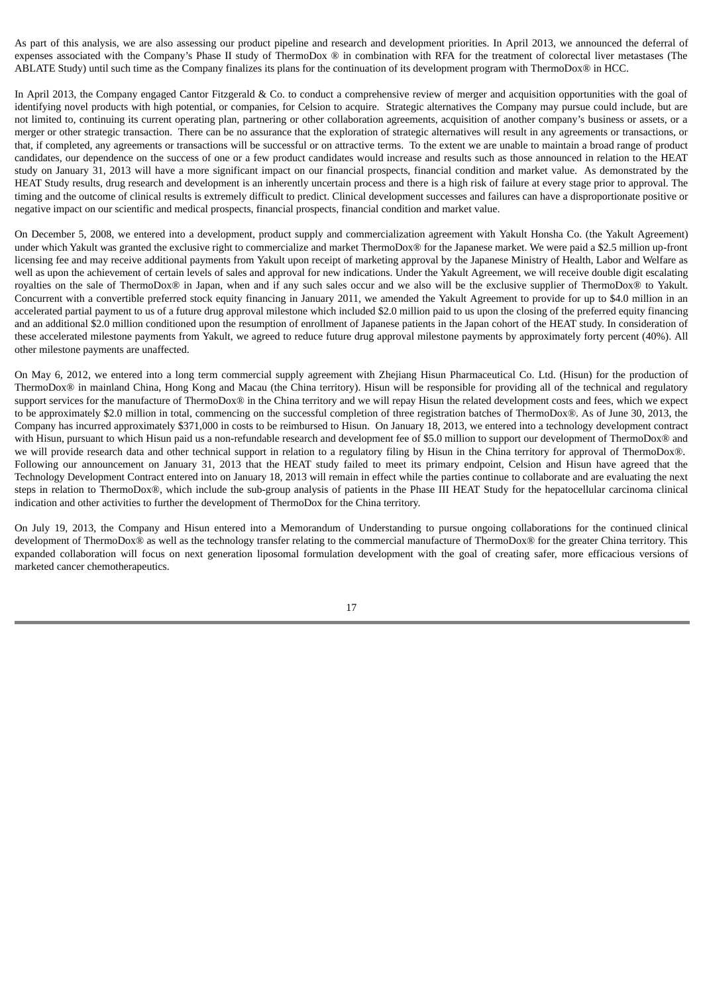As part of this analysis, we are also assessing our product pipeline and research and development priorities. In April 2013, we announced the deferral of expenses associated with the Company's Phase II study of ThermoDox ® in combination with RFA for the treatment of colorectal liver metastases (The ABLATE Study) until such time as the Company finalizes its plans for the continuation of its development program with ThermoDox® in HCC.

In April 2013, the Company engaged Cantor Fitzgerald & Co. to conduct a comprehensive review of merger and acquisition opportunities with the goal of identifying novel products with high potential, or companies, for Celsion to acquire. Strategic alternatives the Company may pursue could include, but are not limited to, continuing its current operating plan, partnering or other collaboration agreements, acquisition of another company's business or assets, or a merger or other strategic transaction. There can be no assurance that the exploration of strategic alternatives will result in any agreements or transactions, or that, if completed, any agreements or transactions will be successful or on attractive terms. To the extent we are unable to maintain a broad range of product candidates, our dependence on the success of one or a few product candidates would increase and results such as those announced in relation to the HEAT study on January 31, 2013 will have a more significant impact on our financial prospects, financial condition and market value. As demonstrated by the HEAT Study results, drug research and development is an inherently uncertain process and there is a high risk of failure at every stage prior to approval. The timing and the outcome of clinical results is extremely difficult to predict. Clinical development successes and failures can have a disproportionate positive or negative impact on our scientific and medical prospects, financial prospects, financial condition and market value.

On December 5, 2008, we entered into a development, product supply and commercialization agreement with Yakult Honsha Co. (the Yakult Agreement) under which Yakult was granted the exclusive right to commercialize and market ThermoDox® for the Japanese market. We were paid a \$2.5 million up-front licensing fee and may receive additional payments from Yakult upon receipt of marketing approval by the Japanese Ministry of Health, Labor and Welfare as well as upon the achievement of certain levels of sales and approval for new indications. Under the Yakult Agreement, we will receive double digit escalating royalties on the sale of ThermoDox® in Japan, when and if any such sales occur and we also will be the exclusive supplier of ThermoDox® to Yakult. Concurrent with a convertible preferred stock equity financing in January 2011, we amended the Yakult Agreement to provide for up to \$4.0 million in an accelerated partial payment to us of a future drug approval milestone which included \$2.0 million paid to us upon the closing of the preferred equity financing and an additional \$2.0 million conditioned upon the resumption of enrollment of Japanese patients in the Japan cohort of the HEAT study. In consideration of these accelerated milestone payments from Yakult, we agreed to reduce future drug approval milestone payments by approximately forty percent (40%). All other milestone payments are unaffected.

On May 6, 2012, we entered into a long term commercial supply agreement with Zhejiang Hisun Pharmaceutical Co. Ltd. (Hisun) for the production of ThermoDox® in mainland China, Hong Kong and Macau (the China territory). Hisun will be responsible for providing all of the technical and regulatory support services for the manufacture of ThermoDox® in the China territory and we will repay Hisun the related development costs and fees, which we expect to be approximately \$2.0 million in total, commencing on the successful completion of three registration batches of ThermoDox®. As of June 30, 2013, the Company has incurred approximately \$371,000 in costs to be reimbursed to Hisun. On January 18, 2013, we entered into a technology development contract with Hisun, pursuant to which Hisun paid us a non-refundable research and development fee of \$5.0 million to support our development of ThermoDox® and we will provide research data and other technical support in relation to a regulatory filing by Hisun in the China territory for approval of ThermoDox®. Following our announcement on January 31, 2013 that the HEAT study failed to meet its primary endpoint, Celsion and Hisun have agreed that the Technology Development Contract entered into on January 18, 2013 will remain in effect while the parties continue to collaborate and are evaluating the next steps in relation to ThermoDox®, which include the sub-group analysis of patients in the Phase III HEAT Study for the hepatocellular carcinoma clinical indication and other activities to further the development of ThermoDox for the China territory.

On July 19, 2013, the Company and Hisun entered into a Memorandum of Understanding to pursue ongoing collaborations for the continued clinical development of ThermoDox® as well as the technology transfer relating to the commercial manufacture of ThermoDox® for the greater China territory. This expanded collaboration will focus on next generation liposomal formulation development with the goal of creating safer, more efficacious versions of marketed cancer chemotherapeutics.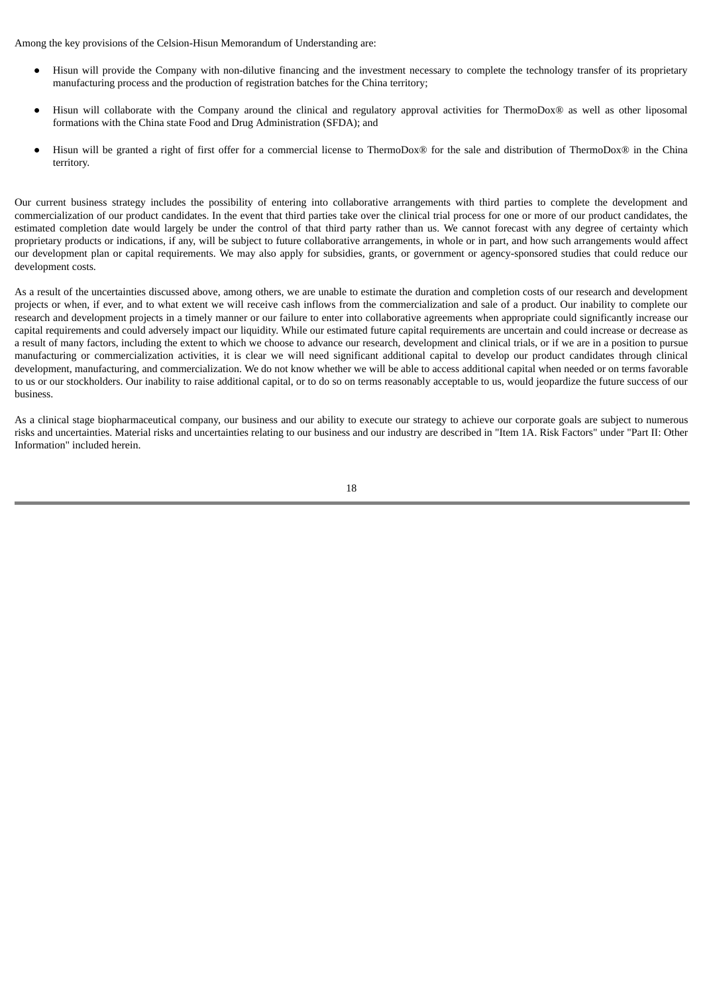Among the key provisions of the Celsion-Hisun Memorandum of Understanding are:

- **●** Hisun will provide the Company with non-dilutive financing and the investment necessary to complete the technology transfer of its proprietary manufacturing process and the production of registration batches for the China territory;
- **●** Hisun will collaborate with the Company around the clinical and regulatory approval activities for ThermoDox® as well as other liposomal formations with the China state Food and Drug Administration (SFDA); and
- **●** Hisun will be granted a right of first offer for a commercial license to ThermoDox® for the sale and distribution of ThermoDox® in the China territory.

Our current business strategy includes the possibility of entering into collaborative arrangements with third parties to complete the development and commercialization of our product candidates. In the event that third parties take over the clinical trial process for one or more of our product candidates, the estimated completion date would largely be under the control of that third party rather than us. We cannot forecast with any degree of certainty which proprietary products or indications, if any, will be subject to future collaborative arrangements, in whole or in part, and how such arrangements would affect our development plan or capital requirements. We may also apply for subsidies, grants, or government or agency-sponsored studies that could reduce our development costs.

As a result of the uncertainties discussed above, among others, we are unable to estimate the duration and completion costs of our research and development projects or when, if ever, and to what extent we will receive cash inflows from the commercialization and sale of a product. Our inability to complete our research and development projects in a timely manner or our failure to enter into collaborative agreements when appropriate could significantly increase our capital requirements and could adversely impact our liquidity. While our estimated future capital requirements are uncertain and could increase or decrease as a result of many factors, including the extent to which we choose to advance our research, development and clinical trials, or if we are in a position to pursue manufacturing or commercialization activities, it is clear we will need significant additional capital to develop our product candidates through clinical development, manufacturing, and commercialization. We do not know whether we will be able to access additional capital when needed or on terms favorable to us or our stockholders. Our inability to raise additional capital, or to do so on terms reasonably acceptable to us, would jeopardize the future success of our business.

As a clinical stage biopharmaceutical company, our business and our ability to execute our strategy to achieve our corporate goals are subject to numerous risks and uncertainties. Material risks and uncertainties relating to our business and our industry are described in "Item 1A. Risk Factors" under "Part II: Other Information" included herein.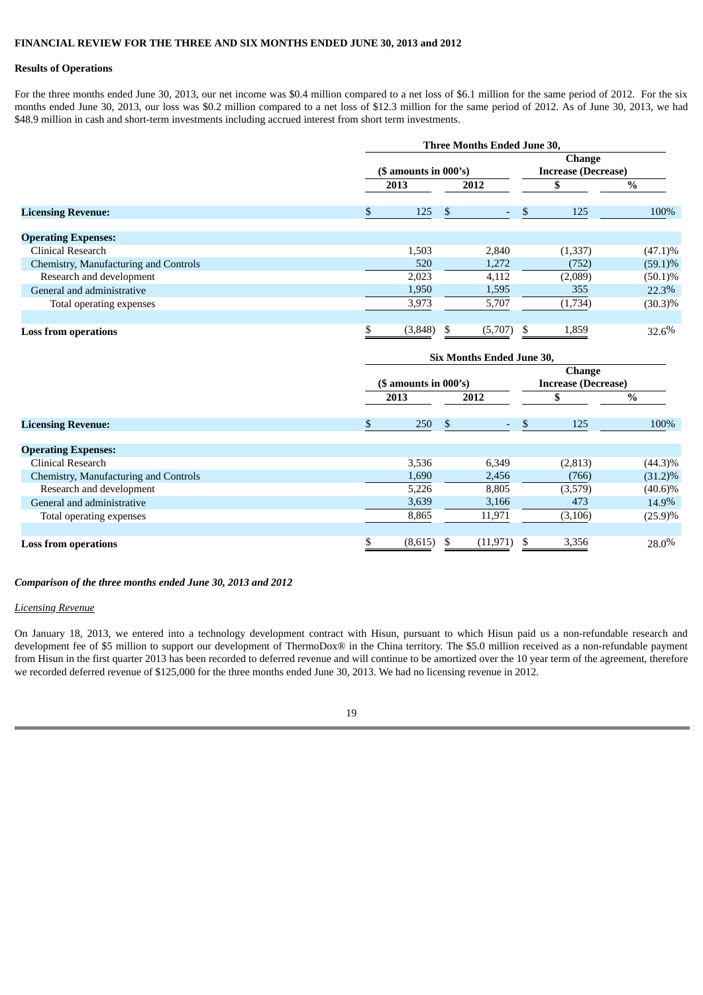### **FINANCIAL REVIEW FOR THE THREE AND SIX MONTHS ENDED JUNE 30, 2013 and 2012**

#### **Results of Operations**

For the three months ended June 30, 2013, our net income was \$0.4 million compared to a net loss of \$6.1 million for the same period of 2012. For the six months ended June 30, 2013, our loss was \$0.2 million compared to a net loss of \$12.3 million for the same period of 2012. As of June 30, 2013, we had \$48.9 million in cash and short-term investments including accrued interest from short term investments.

|                                       | Three Months Ended June 30. |                         |                           |                                  |    |                            |            |
|---------------------------------------|-----------------------------|-------------------------|---------------------------|----------------------------------|----|----------------------------|------------|
|                                       |                             |                         |                           |                                  |    | <b>Change</b>              |            |
|                                       |                             | $(\S amounts in 000's)$ |                           |                                  |    | <b>Increase (Decrease)</b> |            |
|                                       |                             | 2013                    |                           | 2012                             |    | \$                         | $\%$       |
| <b>Licensing Revenue:</b>             | \$                          | 125                     | $\boldsymbol{\mathsf{S}}$ | -                                | \$ | 125                        | 100%       |
| <b>Operating Expenses:</b>            |                             |                         |                           |                                  |    |                            |            |
| Clinical Research                     |                             | 1,503                   |                           | 2,840                            |    | (1, 337)                   | $(47.1)\%$ |
| Chemistry, Manufacturing and Controls |                             | 520                     |                           | 1,272                            |    | (752)                      | $(59.1)\%$ |
| Research and development              |                             | 2,023                   |                           | 4,112                            |    | (2,089)                    | $(50.1)\%$ |
| General and administrative            |                             | 1,950                   |                           | 1,595                            |    | 355                        | 22.3%      |
| Total operating expenses              |                             | 3,973                   |                           | 5,707                            |    | (1,734)                    | $(30.3)\%$ |
| <b>Loss from operations</b>           | \$                          | (3, 848)                | \$                        | (5,707)                          | \$ | 1,859                      | $32.6\%$   |
|                                       |                             |                         |                           | <b>Six Months Ended June 30.</b> |    |                            |            |
|                                       |                             |                         |                           |                                  |    | <b>Change</b>              |            |
|                                       |                             | (\$ amounts in 000's)   |                           |                                  |    | <b>Increase (Decrease)</b> |            |
|                                       |                             | 2013                    |                           | 2012                             |    | \$                         | $\%$       |
| <b>Licensing Revenue:</b>             | \$                          | 250                     | \$                        | ٠                                | \$ | 125                        | 100%       |
| <b>Operating Expenses:</b>            |                             |                         |                           |                                  |    |                            |            |
| Clinical Research                     |                             | 3,536                   |                           | 6,349                            |    | (2,813)                    | $(44.3)\%$ |
| Chemistry, Manufacturing and Controls |                             | 1,690                   |                           | 2,456                            |    | (766)                      | $(31.2)\%$ |
| Research and development              |                             | 5,226                   |                           | 8.805                            |    | (3,579)                    | $(40.6)\%$ |

## **Loss from operations**  $\frac{1}{28}$   $\frac{1}{28.0\%}$   $\frac{1}{28.0\%}$   $\frac{1}{28.0\%}$   $\frac{1}{28.0\%}$   $\frac{1}{28.0\%}$   $\frac{1}{28.0\%}$

#### *Comparison of the three months ended June 30, 2013 and 2012*

#### *Licensing Revenue*

On January 18, 2013, we entered into a technology development contract with Hisun, pursuant to which Hisun paid us a non-refundable research and development fee of \$5 million to support our development of ThermoDox® in the China territory. The \$5.0 million received as a non-refundable payment from Hisun in the first quarter 2013 has been recorded to deferred revenue and will continue to be amortized over the 10 year term of the agreement, therefore we recorded deferred revenue of \$125,000 for the three months ended June 30, 2013. We had no licensing revenue in 2012.

General and administrative 14.9% and administrative 3,639 3,166 473 14.9% Total operating expenses  $8,865$   $11,971$   $(3,106)$   $(25.9)\%$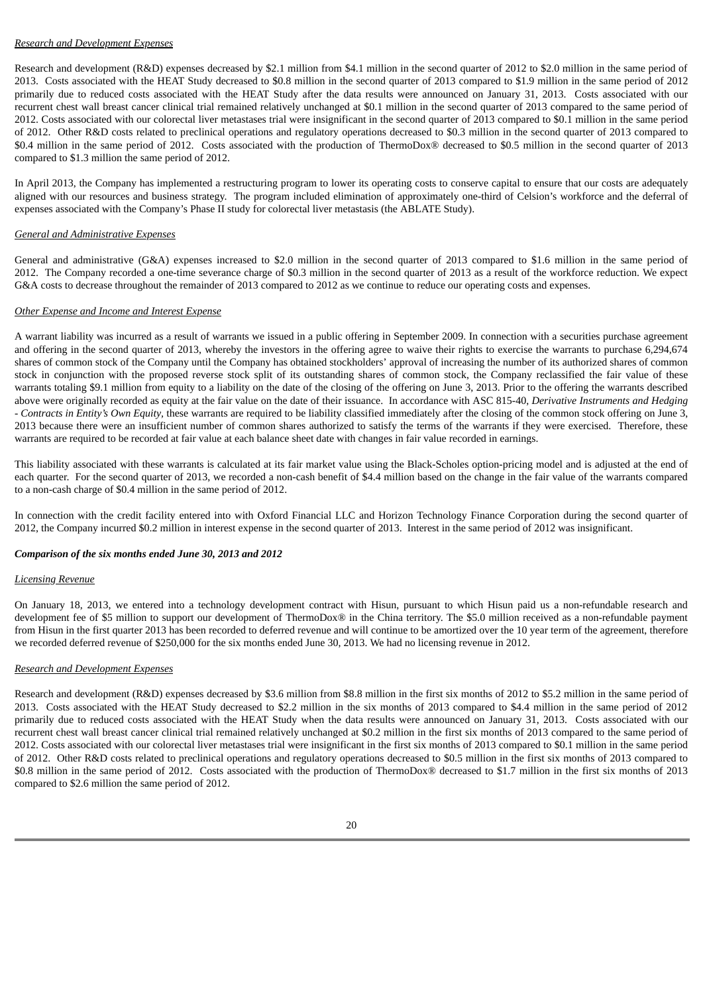### *Research and Development Expenses*

Research and development (R&D) expenses decreased by \$2.1 million from \$4.1 million in the second quarter of 2012 to \$2.0 million in the same period of 2013. Costs associated with the HEAT Study decreased to \$0.8 million in the second quarter of 2013 compared to \$1.9 million in the same period of 2012 primarily due to reduced costs associated with the HEAT Study after the data results were announced on January 31, 2013. Costs associated with our recurrent chest wall breast cancer clinical trial remained relatively unchanged at \$0.1 million in the second quarter of 2013 compared to the same period of 2012. Costs associated with our colorectal liver metastases trial were insignificant in the second quarter of 2013 compared to \$0.1 million in the same period of 2012. Other R&D costs related to preclinical operations and regulatory operations decreased to \$0.3 million in the second quarter of 2013 compared to \$0.4 million in the same period of 2012. Costs associated with the production of ThermoDox® decreased to \$0.5 million in the second quarter of 2013 compared to \$1.3 million the same period of 2012.

In April 2013, the Company has implemented a restructuring program to lower its operating costs to conserve capital to ensure that our costs are adequately aligned with our resources and business strategy. The program included elimination of approximately one-third of Celsion's workforce and the deferral of expenses associated with the Company's Phase II study for colorectal liver metastasis (the ABLATE Study).

## *General and Administrative Expenses*

General and administrative (G&A) expenses increased to \$2.0 million in the second quarter of 2013 compared to \$1.6 million in the same period of 2012. The Company recorded a one-time severance charge of \$0.3 million in the second quarter of 2013 as a result of the workforce reduction. We expect G&A costs to decrease throughout the remainder of 2013 compared to 2012 as we continue to reduce our operating costs and expenses.

### *Other Expense and Income and Interest Expense*

A warrant liability was incurred as a result of warrants we issued in a public offering in September 2009. In connection with a securities purchase agreement and offering in the second quarter of 2013, whereby the investors in the offering agree to waive their rights to exercise the warrants to purchase 6,294,674 shares of common stock of the Company until the Company has obtained stockholders' approval of increasing the number of its authorized shares of common stock in conjunction with the proposed reverse stock split of its outstanding shares of common stock, the Company reclassified the fair value of these warrants totaling \$9.1 million from equity to a liability on the date of the closing of the offering on June 3, 2013. Prior to the offering the warrants described above were originally recorded as equity at the fair value on the date of their issuance. In accordance with ASC 815-40, *Derivative Instruments and Hedging - Contracts in Entity's Own Equity,* these warrants are required to be liability classified immediately after the closing of the common stock offering on June 3, 2013 because there were an insufficient number of common shares authorized to satisfy the terms of the warrants if they were exercised. Therefore, these warrants are required to be recorded at fair value at each balance sheet date with changes in fair value recorded in earnings.

This liability associated with these warrants is calculated at its fair market value using the Black-Scholes option-pricing model and is adjusted at the end of each quarter. For the second quarter of 2013, we recorded a non-cash benefit of \$4.4 million based on the change in the fair value of the warrants compared to a non-cash charge of \$0.4 million in the same period of 2012.

In connection with the credit facility entered into with Oxford Financial LLC and Horizon Technology Finance Corporation during the second quarter of 2012, the Company incurred \$0.2 million in interest expense in the second quarter of 2013. Interest in the same period of 2012 was insignificant.

### *Comparison of the six months ended June 30, 2013 and 2012*

#### *Licensing Revenue*

On January 18, 2013, we entered into a technology development contract with Hisun, pursuant to which Hisun paid us a non-refundable research and development fee of \$5 million to support our development of ThermoDox® in the China territory. The \$5.0 million received as a non-refundable payment from Hisun in the first quarter 2013 has been recorded to deferred revenue and will continue to be amortized over the 10 year term of the agreement, therefore we recorded deferred revenue of \$250,000 for the six months ended June 30, 2013. We had no licensing revenue in 2012.

## *Research and Development Expenses*

Research and development (R&D) expenses decreased by \$3.6 million from \$8.8 million in the first six months of 2012 to \$5.2 million in the same period of 2013. Costs associated with the HEAT Study decreased to \$2.2 million in the six months of 2013 compared to \$4.4 million in the same period of 2012 primarily due to reduced costs associated with the HEAT Study when the data results were announced on January 31, 2013. Costs associated with our recurrent chest wall breast cancer clinical trial remained relatively unchanged at \$0.2 million in the first six months of 2013 compared to the same period of 2012. Costs associated with our colorectal liver metastases trial were insignificant in the first six months of 2013 compared to \$0.1 million in the same period of 2012. Other R&D costs related to preclinical operations and regulatory operations decreased to \$0.5 million in the first six months of 2013 compared to \$0.8 million in the same period of 2012. Costs associated with the production of ThermoDox® decreased to \$1.7 million in the first six months of 2013 compared to \$2.6 million the same period of 2012.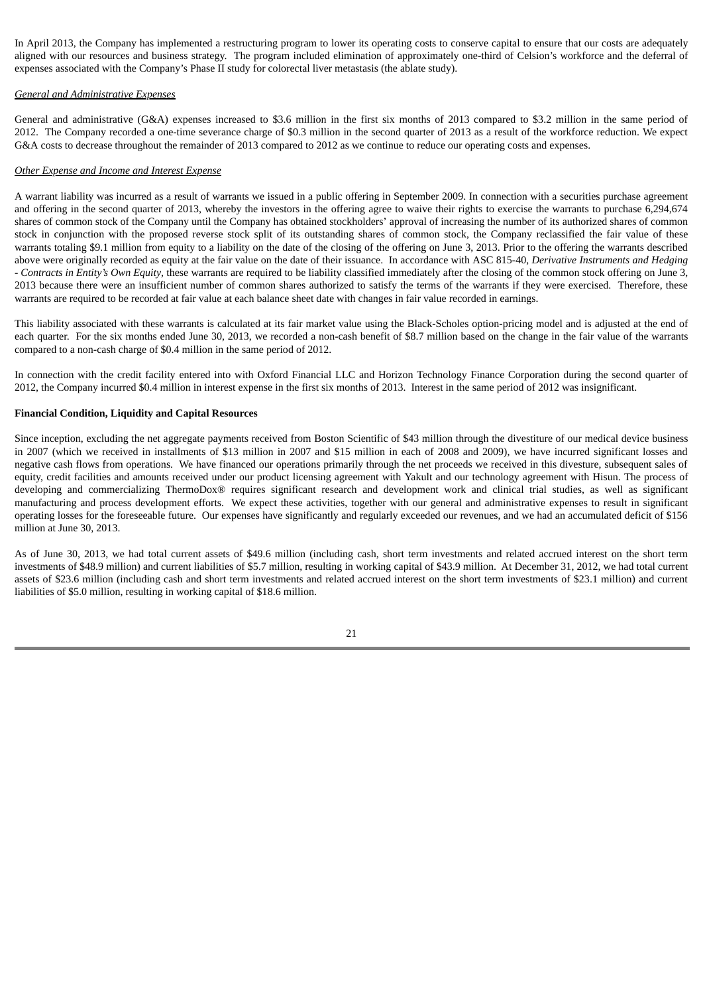In April 2013, the Company has implemented a restructuring program to lower its operating costs to conserve capital to ensure that our costs are adequately aligned with our resources and business strategy. The program included elimination of approximately one-third of Celsion's workforce and the deferral of expenses associated with the Company's Phase II study for colorectal liver metastasis (the ablate study).

### *General and Administrative Expenses*

General and administrative (G&A) expenses increased to \$3.6 million in the first six months of 2013 compared to \$3.2 million in the same period of 2012. The Company recorded a one-time severance charge of \$0.3 million in the second quarter of 2013 as a result of the workforce reduction. We expect G&A costs to decrease throughout the remainder of 2013 compared to 2012 as we continue to reduce our operating costs and expenses.

### *Other Expense and Income and Interest Expense*

A warrant liability was incurred as a result of warrants we issued in a public offering in September 2009. In connection with a securities purchase agreement and offering in the second quarter of 2013, whereby the investors in the offering agree to waive their rights to exercise the warrants to purchase 6,294,674 shares of common stock of the Company until the Company has obtained stockholders' approval of increasing the number of its authorized shares of common stock in conjunction with the proposed reverse stock split of its outstanding shares of common stock, the Company reclassified the fair value of these warrants totaling \$9.1 million from equity to a liability on the date of the closing of the offering on June 3, 2013. Prior to the offering the warrants described above were originally recorded as equity at the fair value on the date of their issuance. In accordance with ASC 815-40, *Derivative Instruments and Hedging - Contracts in Entity's Own Equity,* these warrants are required to be liability classified immediately after the closing of the common stock offering on June 3, 2013 because there were an insufficient number of common shares authorized to satisfy the terms of the warrants if they were exercised. Therefore, these warrants are required to be recorded at fair value at each balance sheet date with changes in fair value recorded in earnings.

This liability associated with these warrants is calculated at its fair market value using the Black-Scholes option-pricing model and is adjusted at the end of each quarter. For the six months ended June 30, 2013, we recorded a non-cash benefit of \$8.7 million based on the change in the fair value of the warrants compared to a non-cash charge of \$0.4 million in the same period of 2012.

In connection with the credit facility entered into with Oxford Financial LLC and Horizon Technology Finance Corporation during the second quarter of 2012, the Company incurred \$0.4 million in interest expense in the first six months of 2013. Interest in the same period of 2012 was insignificant.

### **Financial Condition, Liquidity and Capital Resources**

Since inception, excluding the net aggregate payments received from Boston Scientific of \$43 million through the divestiture of our medical device business in 2007 (which we received in installments of \$13 million in 2007 and \$15 million in each of 2008 and 2009), we have incurred significant losses and negative cash flows from operations. We have financed our operations primarily through the net proceeds we received in this divesture, subsequent sales of equity, credit facilities and amounts received under our product licensing agreement with Yakult and our technology agreement with Hisun. The process of developing and commercializing ThermoDox® requires significant research and development work and clinical trial studies, as well as significant manufacturing and process development efforts. We expect these activities, together with our general and administrative expenses to result in significant operating losses for the foreseeable future. Our expenses have significantly and regularly exceeded our revenues, and we had an accumulated deficit of \$156 million at June 30, 2013.

As of June 30, 2013, we had total current assets of \$49.6 million (including cash, short term investments and related accrued interest on the short term investments of \$48.9 million) and current liabilities of \$5.7 million, resulting in working capital of \$43.9 million. At December 31, 2012, we had total current assets of \$23.6 million (including cash and short term investments and related accrued interest on the short term investments of \$23.1 million) and current liabilities of \$5.0 million, resulting in working capital of \$18.6 million.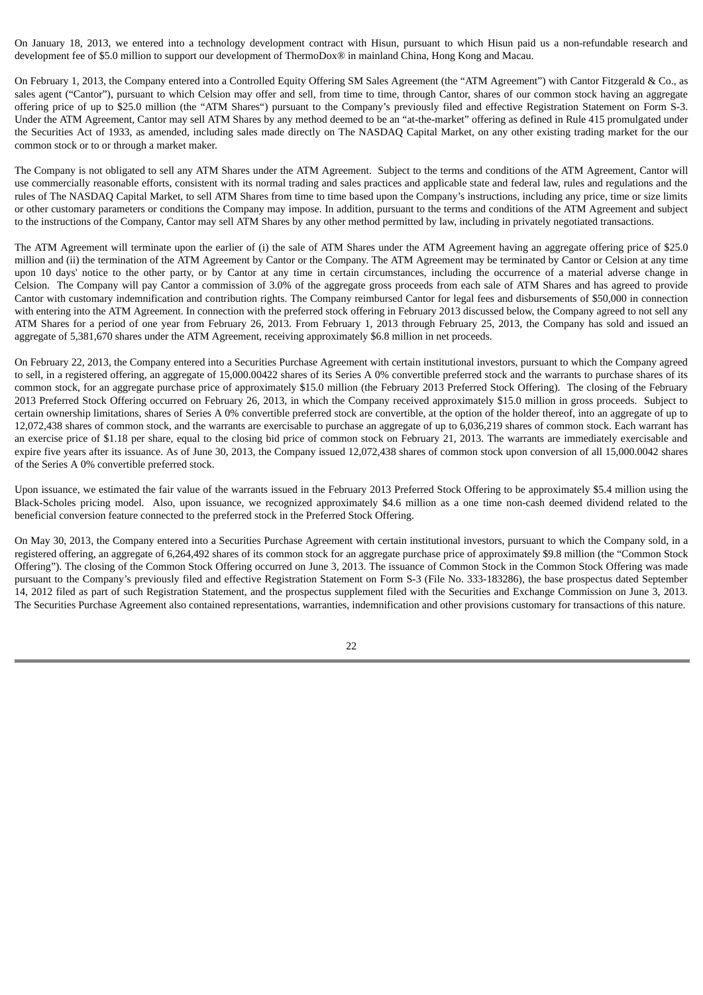On January 18, 2013, we entered into a technology development contract with Hisun, pursuant to which Hisun paid us a non-refundable research and development fee of \$5.0 million to support our development of ThermoDox® in mainland China, Hong Kong and Macau.

On February 1, 2013, the Company entered into a Controlled Equity Offering SM Sales Agreement (the "ATM Agreement") with Cantor Fitzgerald & Co., as sales agent ("Cantor"), pursuant to which Celsion may offer and sell, from time to time, through Cantor, shares of our common stock having an aggregate offering price of up to \$25.0 million (the "ATM Shares") pursuant to the Company's previously filed and effective Registration Statement on Form S-3. Under the ATM Agreement, Cantor may sell ATM Shares by any method deemed to be an "at-the-market" offering as defined in Rule 415 promulgated under the Securities Act of 1933, as amended, including sales made directly on The NASDAQ Capital Market, on any other existing trading market for the our common stock or to or through a market maker.

The Company is not obligated to sell any ATM Shares under the ATM Agreement. Subject to the terms and conditions of the ATM Agreement, Cantor will use commercially reasonable efforts, consistent with its normal trading and sales practices and applicable state and federal law, rules and regulations and the rules of The NASDAQ Capital Market, to sell ATM Shares from time to time based upon the Company's instructions, including any price, time or size limits or other customary parameters or conditions the Company may impose. In addition, pursuant to the terms and conditions of the ATM Agreement and subject to the instructions of the Company, Cantor may sell ATM Shares by any other method permitted by law, including in privately negotiated transactions.

The ATM Agreement will terminate upon the earlier of (i) the sale of ATM Shares under the ATM Agreement having an aggregate offering price of \$25.0 million and (ii) the termination of the ATM Agreement by Cantor or the Company. The ATM Agreement may be terminated by Cantor or Celsion at any time upon 10 days' notice to the other party, or by Cantor at any time in certain circumstances, including the occurrence of a material adverse change in Celsion. The Company will pay Cantor a commission of 3.0% of the aggregate gross proceeds from each sale of ATM Shares and has agreed to provide Cantor with customary indemnification and contribution rights. The Company reimbursed Cantor for legal fees and disbursements of \$50,000 in connection with entering into the ATM Agreement. In connection with the preferred stock offering in February 2013 discussed below, the Company agreed to not sell any ATM Shares for a period of one year from February 26, 2013. From February 1, 2013 through February 25, 2013, the Company has sold and issued an aggregate of 5,381,670 shares under the ATM Agreement, receiving approximately \$6.8 million in net proceeds.

On February 22, 2013, the Company entered into a Securities Purchase Agreement with certain institutional investors, pursuant to which the Company agreed to sell, in a registered offering, an aggregate of 15,000.00422 shares of its Series A 0% convertible preferred stock and the warrants to purchase shares of its common stock, for an aggregate purchase price of approximately \$15.0 million (the February 2013 Preferred Stock Offering). The closing of the February 2013 Preferred Stock Offering occurred on February 26, 2013, in which the Company received approximately \$15.0 million in gross proceeds. Subject to certain ownership limitations, shares of Series A 0% convertible preferred stock are convertible, at the option of the holder thereof, into an aggregate of up to 12,072,438 shares of common stock, and the warrants are exercisable to purchase an aggregate of up to 6,036,219 shares of common stock. Each warrant has an exercise price of \$1.18 per share, equal to the closing bid price of common stock on February 21, 2013. The warrants are immediately exercisable and expire five years after its issuance. As of June 30, 2013, the Company issued 12,072,438 shares of common stock upon conversion of all 15,000.0042 shares of the Series A 0% convertible preferred stock.

Upon issuance, we estimated the fair value of the warrants issued in the February 2013 Preferred Stock Offering to be approximately \$5.4 million using the Black-Scholes pricing model. Also, upon issuance, we recognized approximately \$4.6 million as a one time non-cash deemed dividend related to the beneficial conversion feature connected to the preferred stock in the Preferred Stock Offering.

On May 30, 2013, the Company entered into a Securities Purchase Agreement with certain institutional investors, pursuant to which the Company sold, in a registered offering, an aggregate of 6,264,492 shares of its common stock for an aggregate purchase price of approximately \$9.8 million (the "Common Stock Offering"). The closing of the Common Stock Offering occurred on June 3, 2013. The issuance of Common Stock in the Common Stock Offering was made pursuant to the Company's previously filed and effective Registration Statement on Form S-3 (File No. 333-183286), the base prospectus dated September 14, 2012 filed as part of such Registration Statement, and the prospectus supplement filed with the Securities and Exchange Commission on June 3, 2013. The Securities Purchase Agreement also contained representations, warranties, indemnification and other provisions customary for transactions of this nature.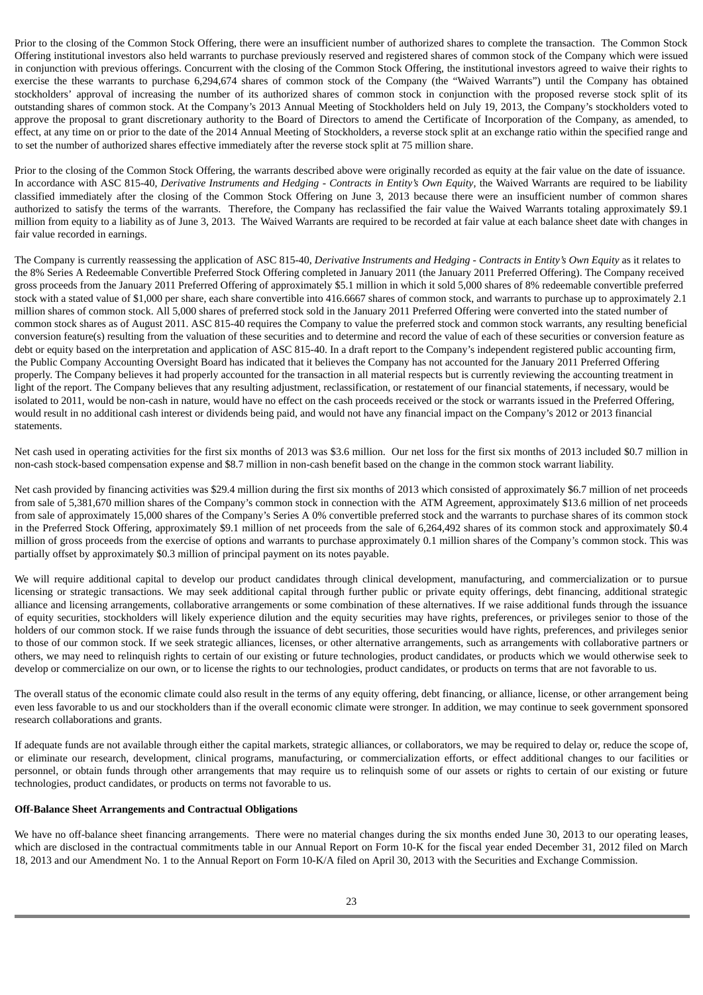Prior to the closing of the Common Stock Offering, there were an insufficient number of authorized shares to complete the transaction. The Common Stock Offering institutional investors also held warrants to purchase previously reserved and registered shares of common stock of the Company which were issued in conjunction with previous offerings. Concurrent with the closing of the Common Stock Offering, the institutional investors agreed to waive their rights to exercise the these warrants to purchase 6,294,674 shares of common stock of the Company (the "Waived Warrants") until the Company has obtained stockholders' approval of increasing the number of its authorized shares of common stock in conjunction with the proposed reverse stock split of its outstanding shares of common stock. At the Company's 2013 Annual Meeting of Stockholders held on July 19, 2013, the Company's stockholders voted to approve the proposal to grant discretionary authority to the Board of Directors to amend the Certificate of Incorporation of the Company, as amended, to effect, at any time on or prior to the date of the 2014 Annual Meeting of Stockholders, a reverse stock split at an exchange ratio within the specified range and to set the number of authorized shares effective immediately after the reverse stock split at 75 million share.

Prior to the closing of the Common Stock Offering, the warrants described above were originally recorded as equity at the fair value on the date of issuance. In accordance with ASC 815-40, *Derivative Instruments and Hedging - Contracts in Entity's Own Equity,* the Waived Warrants are required to be liability classified immediately after the closing of the Common Stock Offering on June 3, 2013 because there were an insufficient number of common shares authorized to satisfy the terms of the warrants. Therefore, the Company has reclassified the fair value the Waived Warrants totaling approximately \$9.1 million from equity to a liability as of June 3, 2013. The Waived Warrants are required to be recorded at fair value at each balance sheet date with changes in fair value recorded in earnings.

The Company is currently reassessing the application of ASC 815-40, *Derivative Instruments and Hedging - Contracts in Entity's Own Equity* as it relates to the 8% Series A Redeemable Convertible Preferred Stock Offering completed in January 2011 (the January 2011 Preferred Offering). The Company received gross proceeds from the January 2011 Preferred Offering of approximately \$5.1 million in which it sold 5,000 shares of 8% redeemable convertible preferred stock with a stated value of \$1,000 per share, each share convertible into 416.6667 shares of common stock, and warrants to purchase up to approximately 2.1 million shares of common stock. All 5,000 shares of preferred stock sold in the January 2011 Preferred Offering were converted into the stated number of common stock shares as of August 2011. ASC 815-40 requires the Company to value the preferred stock and common stock warrants, any resulting beneficial conversion feature(s) resulting from the valuation of these securities and to determine and record the value of each of these securities or conversion feature as debt or equity based on the interpretation and application of ASC 815-40. In a draft report to the Company's independent registered public accounting firm, the Public Company Accounting Oversight Board has indicated that it believes the Company has not accounted for the January 2011 Preferred Offering properly. The Company believes it had properly accounted for the transaction in all material respects but is currently reviewing the accounting treatment in light of the report. The Company believes that any resulting adjustment, reclassification, or restatement of our financial statements, if necessary, would be isolated to 2011, would be non-cash in nature, would have no effect on the cash proceeds received or the stock or warrants issued in the Preferred Offering, would result in no additional cash interest or dividends being paid, and would not have any financial impact on the Company's 2012 or 2013 financial statements.

Net cash used in operating activities for the first six months of 2013 was \$3.6 million. Our net loss for the first six months of 2013 included \$0.7 million in non-cash stock-based compensation expense and \$8.7 million in non-cash benefit based on the change in the common stock warrant liability.

Net cash provided by financing activities was \$29.4 million during the first six months of 2013 which consisted of approximately \$6.7 million of net proceeds from sale of 5,381,670 million shares of the Company's common stock in connection with the ATM Agreement, approximately \$13.6 million of net proceeds from sale of approximately 15,000 shares of the Company's Series A 0% convertible preferred stock and the warrants to purchase shares of its common stock in the Preferred Stock Offering, approximately \$9.1 million of net proceeds from the sale of 6,264,492 shares of its common stock and approximately \$0.4 million of gross proceeds from the exercise of options and warrants to purchase approximately 0.1 million shares of the Company's common stock. This was partially offset by approximately \$0.3 million of principal payment on its notes payable.

We will require additional capital to develop our product candidates through clinical development, manufacturing, and commercialization or to pursue licensing or strategic transactions. We may seek additional capital through further public or private equity offerings, debt financing, additional strategic alliance and licensing arrangements, collaborative arrangements or some combination of these alternatives. If we raise additional funds through the issuance of equity securities, stockholders will likely experience dilution and the equity securities may have rights, preferences, or privileges senior to those of the holders of our common stock. If we raise funds through the issuance of debt securities, those securities would have rights, preferences, and privileges senior to those of our common stock. If we seek strategic alliances, licenses, or other alternative arrangements, such as arrangements with collaborative partners or others, we may need to relinquish rights to certain of our existing or future technologies, product candidates, or products which we would otherwise seek to develop or commercialize on our own, or to license the rights to our technologies, product candidates, or products on terms that are not favorable to us.

The overall status of the economic climate could also result in the terms of any equity offering, debt financing, or alliance, license, or other arrangement being even less favorable to us and our stockholders than if the overall economic climate were stronger. In addition, we may continue to seek government sponsored research collaborations and grants.

If adequate funds are not available through either the capital markets, strategic alliances, or collaborators, we may be required to delay or, reduce the scope of, or eliminate our research, development, clinical programs, manufacturing, or commercialization efforts, or effect additional changes to our facilities or personnel, or obtain funds through other arrangements that may require us to relinquish some of our assets or rights to certain of our existing or future technologies, product candidates, or products on terms not favorable to us.

## **Off-Balance Sheet Arrangements and Contractual Obligations**

We have no off-balance sheet financing arrangements. There were no material changes during the six months ended June 30, 2013 to our operating leases, which are disclosed in the contractual commitments table in our Annual Report on Form 10-K for the fiscal year ended December 31, 2012 filed on March 18, 2013 and our Amendment No. 1 to the Annual Report on Form 10-K/A filed on April 30, 2013 with the Securities and Exchange Commission.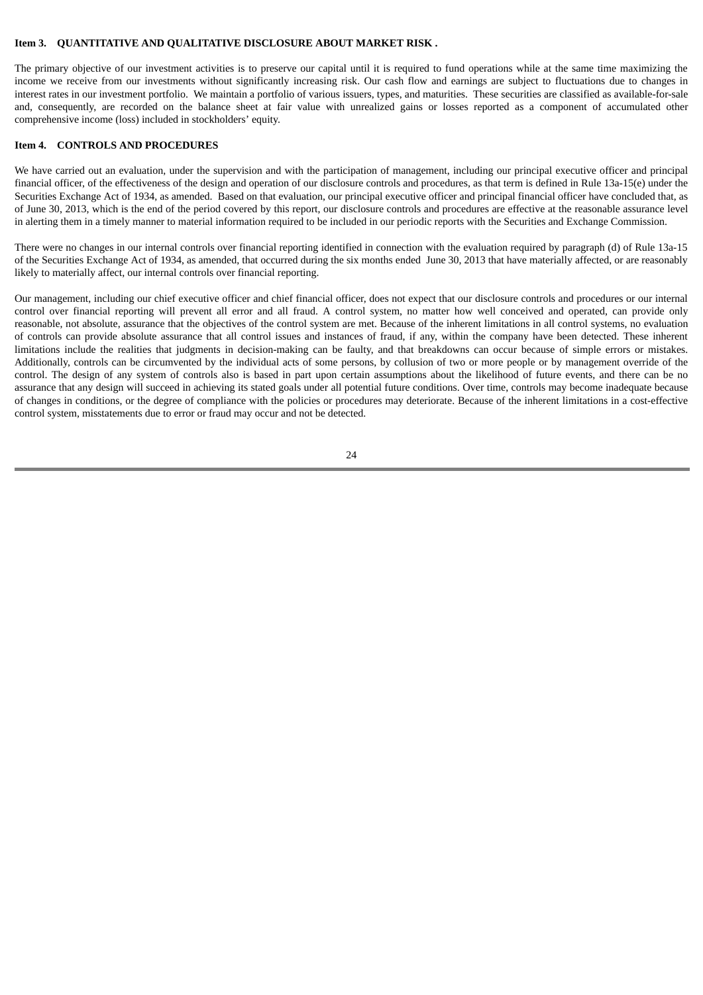#### **Item 3. QUANTITATIVE AND QUALITATIVE DISCLOSURE ABOUT MARKET RISK .**

The primary objective of our investment activities is to preserve our capital until it is required to fund operations while at the same time maximizing the income we receive from our investments without significantly increasing risk. Our cash flow and earnings are subject to fluctuations due to changes in interest rates in our investment portfolio. We maintain a portfolio of various issuers, types, and maturities. These securities are classified as available-for-sale and, consequently, are recorded on the balance sheet at fair value with unrealized gains or losses reported as a component of accumulated other comprehensive income (loss) included in stockholders' equity.

#### **Item 4. CONTROLS AND PROCEDURES**

We have carried out an evaluation, under the supervision and with the participation of management, including our principal executive officer and principal financial officer, of the effectiveness of the design and operation of our disclosure controls and procedures, as that term is defined in Rule 13a-15(e) under the Securities Exchange Act of 1934, as amended. Based on that evaluation, our principal executive officer and principal financial officer have concluded that, as of June 30, 2013, which is the end of the period covered by this report, our disclosure controls and procedures are effective at the reasonable assurance level in alerting them in a timely manner to material information required to be included in our periodic reports with the Securities and Exchange Commission.

There were no changes in our internal controls over financial reporting identified in connection with the evaluation required by paragraph (d) of Rule 13a-15 of the Securities Exchange Act of 1934, as amended, that occurred during the six months ended June 30, 2013 that have materially affected, or are reasonably likely to materially affect, our internal controls over financial reporting.

Our management, including our chief executive officer and chief financial officer, does not expect that our disclosure controls and procedures or our internal control over financial reporting will prevent all error and all fraud. A control system, no matter how well conceived and operated, can provide only reasonable, not absolute, assurance that the objectives of the control system are met. Because of the inherent limitations in all control systems, no evaluation of controls can provide absolute assurance that all control issues and instances of fraud, if any, within the company have been detected. These inherent limitations include the realities that judgments in decision-making can be faulty, and that breakdowns can occur because of simple errors or mistakes. Additionally, controls can be circumvented by the individual acts of some persons, by collusion of two or more people or by management override of the control. The design of any system of controls also is based in part upon certain assumptions about the likelihood of future events, and there can be no assurance that any design will succeed in achieving its stated goals under all potential future conditions. Over time, controls may become inadequate because of changes in conditions, or the degree of compliance with the policies or procedures may deteriorate. Because of the inherent limitations in a cost-effective control system, misstatements due to error or fraud may occur and not be detected.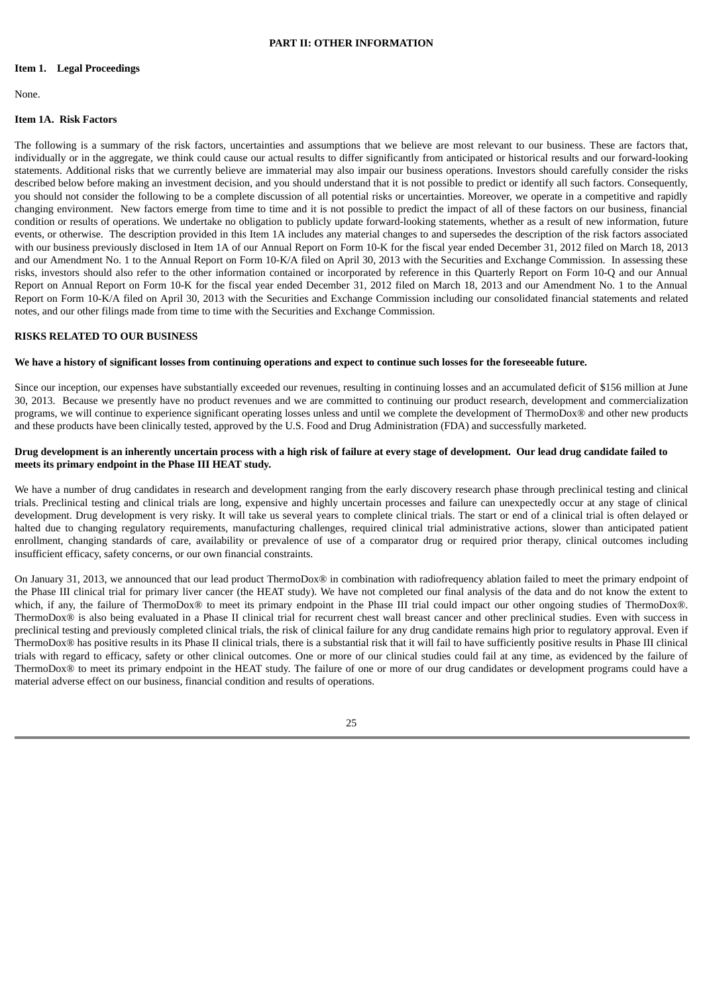#### **PART II: OTHER INFORMATION**

#### **Item 1. Legal Proceedings**

None.

#### **Item 1A. Risk Factors**

The following is a summary of the risk factors, uncertainties and assumptions that we believe are most relevant to our business. These are factors that, individually or in the aggregate, we think could cause our actual results to differ significantly from anticipated or historical results and our forward-looking statements. Additional risks that we currently believe are immaterial may also impair our business operations. Investors should carefully consider the risks described below before making an investment decision, and you should understand that it is not possible to predict or identify all such factors. Consequently, you should not consider the following to be a complete discussion of all potential risks or uncertainties. Moreover, we operate in a competitive and rapidly changing environment. New factors emerge from time to time and it is not possible to predict the impact of all of these factors on our business, financial condition or results of operations. We undertake no obligation to publicly update forward-looking statements, whether as a result of new information, future events, or otherwise. The description provided in this Item 1A includes any material changes to and supersedes the description of the risk factors associated with our business previously disclosed in Item 1A of our Annual Report on Form 10-K for the fiscal year ended December 31, 2012 filed on March 18, 2013 and our Amendment No. 1 to the Annual Report on Form 10-K/A filed on April 30, 2013 with the Securities and Exchange Commission. In assessing these risks, investors should also refer to the other information contained or incorporated by reference in this Quarterly Report on Form 10-Q and our Annual Report on Annual Report on Form 10-K for the fiscal year ended December 31, 2012 filed on March 18, 2013 and our Amendment No. 1 to the Annual Report on Form 10-K/A filed on April 30, 2013 with the Securities and Exchange Commission including our consolidated financial statements and related notes, and our other filings made from time to time with the Securities and Exchange Commission.

## **RISKS RELATED TO OUR BUSINESS**

### We have a history of significant losses from continuing operations and expect to continue such losses for the foreseeable future.

Since our inception, our expenses have substantially exceeded our revenues, resulting in continuing losses and an accumulated deficit of \$156 million at June 30, 2013. Because we presently have no product revenues and we are committed to continuing our product research, development and commercialization programs, we will continue to experience significant operating losses unless and until we complete the development of ThermoDox® and other new products and these products have been clinically tested, approved by the U.S. Food and Drug Administration (FDA) and successfully marketed.

## Drug development is an inherently uncertain process with a high risk of failure at every stage of development. Our lead drug candidate failed to **meets its primary endpoint in the Phase III HEAT study.**

We have a number of drug candidates in research and development ranging from the early discovery research phase through preclinical testing and clinical trials. Preclinical testing and clinical trials are long, expensive and highly uncertain processes and failure can unexpectedly occur at any stage of clinical development. Drug development is very risky. It will take us several years to complete clinical trials. The start or end of a clinical trial is often delayed or halted due to changing regulatory requirements, manufacturing challenges, required clinical trial administrative actions, slower than anticipated patient enrollment, changing standards of care, availability or prevalence of use of a comparator drug or required prior therapy, clinical outcomes including insufficient efficacy, safety concerns, or our own financial constraints.

On January 31, 2013, we announced that our lead product ThermoDox® in combination with radiofrequency ablation failed to meet the primary endpoint of the Phase III clinical trial for primary liver cancer (the HEAT study). We have not completed our final analysis of the data and do not know the extent to which, if any, the failure of ThermoDox® to meet its primary endpoint in the Phase III trial could impact our other ongoing studies of ThermoDox®. ThermoDox® is also being evaluated in a Phase II clinical trial for recurrent chest wall breast cancer and other preclinical studies. Even with success in preclinical testing and previously completed clinical trials, the risk of clinical failure for any drug candidate remains high prior to regulatory approval. Even if ThermoDox® has positive results in its Phase II clinical trials, there is a substantial risk that it will fail to have sufficiently positive results in Phase III clinical trials with regard to efficacy, safety or other clinical outcomes. One or more of our clinical studies could fail at any time, as evidenced by the failure of ThermoDox® to meet its primary endpoint in the HEAT study. The failure of one or more of our drug candidates or development programs could have a material adverse effect on our business, financial condition and results of operations.

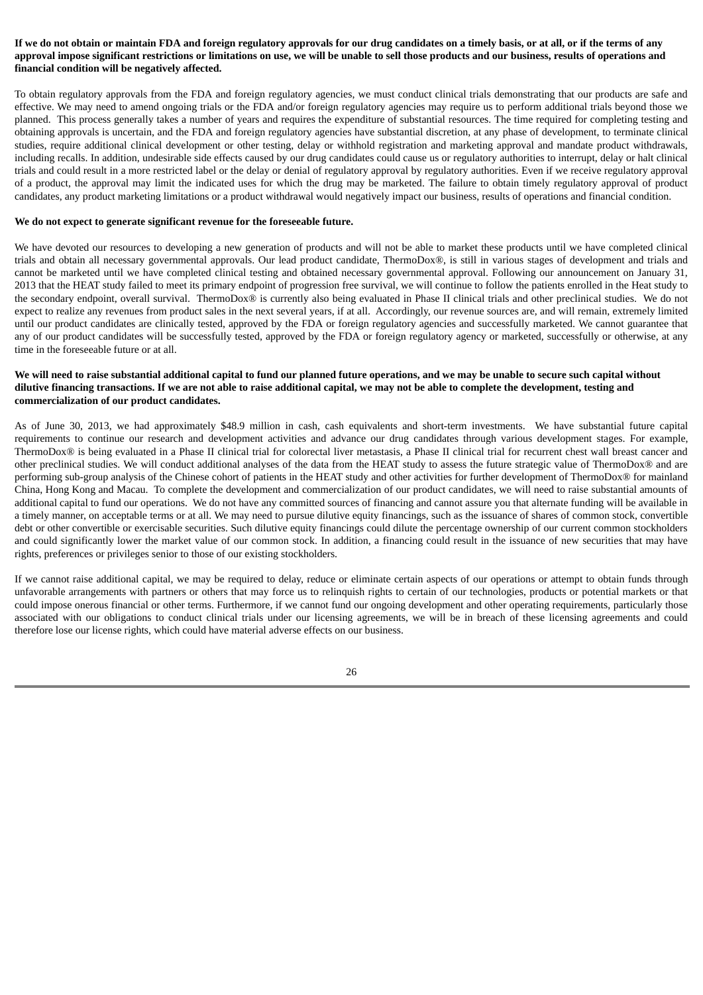### If we do not obtain or maintain FDA and foreign regulatory approvals for our drug candidates on a timely basis, or at all, or if the terms of any approval impose significant restrictions or limitations on use, we will be unable to sell those products and our business, results of operations and **financial condition will be negatively affected.**

To obtain regulatory approvals from the FDA and foreign regulatory agencies, we must conduct clinical trials demonstrating that our products are safe and effective. We may need to amend ongoing trials or the FDA and/or foreign regulatory agencies may require us to perform additional trials beyond those we planned. This process generally takes a number of years and requires the expenditure of substantial resources. The time required for completing testing and obtaining approvals is uncertain, and the FDA and foreign regulatory agencies have substantial discretion, at any phase of development, to terminate clinical studies, require additional clinical development or other testing, delay or withhold registration and marketing approval and mandate product withdrawals, including recalls. In addition, undesirable side effects caused by our drug candidates could cause us or regulatory authorities to interrupt, delay or halt clinical trials and could result in a more restricted label or the delay or denial of regulatory approval by regulatory authorities. Even if we receive regulatory approval of a product, the approval may limit the indicated uses for which the drug may be marketed. The failure to obtain timely regulatory approval of product candidates, any product marketing limitations or a product withdrawal would negatively impact our business, results of operations and financial condition.

#### **We do not expect to generate significant revenue for the foreseeable future.**

We have devoted our resources to developing a new generation of products and will not be able to market these products until we have completed clinical trials and obtain all necessary governmental approvals. Our lead product candidate, ThermoDox®, is still in various stages of development and trials and cannot be marketed until we have completed clinical testing and obtained necessary governmental approval. Following our announcement on January 31, 2013 that the HEAT study failed to meet its primary endpoint of progression free survival, we will continue to follow the patients enrolled in the Heat study to the secondary endpoint, overall survival. ThermoDox® is currently also being evaluated in Phase II clinical trials and other preclinical studies. We do not expect to realize any revenues from product sales in the next several years, if at all. Accordingly, our revenue sources are, and will remain, extremely limited until our product candidates are clinically tested, approved by the FDA or foreign regulatory agencies and successfully marketed. We cannot guarantee that any of our product candidates will be successfully tested, approved by the FDA or foreign regulatory agency or marketed, successfully or otherwise, at any time in the foreseeable future or at all.

## We will need to raise substantial additional capital to fund our planned future operations, and we may be unable to secure such capital without dilutive financing transactions. If we are not able to raise additional capital, we may not be able to complete the development, testing and **commercialization of our product candidates.**

As of June 30, 2013, we had approximately \$48.9 million in cash, cash equivalents and short-term investments. We have substantial future capital requirements to continue our research and development activities and advance our drug candidates through various development stages. For example, ThermoDox® is being evaluated in a Phase II clinical trial for colorectal liver metastasis, a Phase II clinical trial for recurrent chest wall breast cancer and other preclinical studies. We will conduct additional analyses of the data from the HEAT study to assess the future strategic value of ThermoDox® and are performing sub-group analysis of the Chinese cohort of patients in the HEAT study and other activities for further development of ThermoDox® for mainland China, Hong Kong and Macau. To complete the development and commercialization of our product candidates, we will need to raise substantial amounts of additional capital to fund our operations. We do not have any committed sources of financing and cannot assure you that alternate funding will be available in a timely manner, on acceptable terms or at all. We may need to pursue dilutive equity financings, such as the issuance of shares of common stock, convertible debt or other convertible or exercisable securities. Such dilutive equity financings could dilute the percentage ownership of our current common stockholders and could significantly lower the market value of our common stock. In addition, a financing could result in the issuance of new securities that may have rights, preferences or privileges senior to those of our existing stockholders.

If we cannot raise additional capital, we may be required to delay, reduce or eliminate certain aspects of our operations or attempt to obtain funds through unfavorable arrangements with partners or others that may force us to relinquish rights to certain of our technologies, products or potential markets or that could impose onerous financial or other terms. Furthermore, if we cannot fund our ongoing development and other operating requirements, particularly those associated with our obligations to conduct clinical trials under our licensing agreements, we will be in breach of these licensing agreements and could therefore lose our license rights, which could have material adverse effects on our business.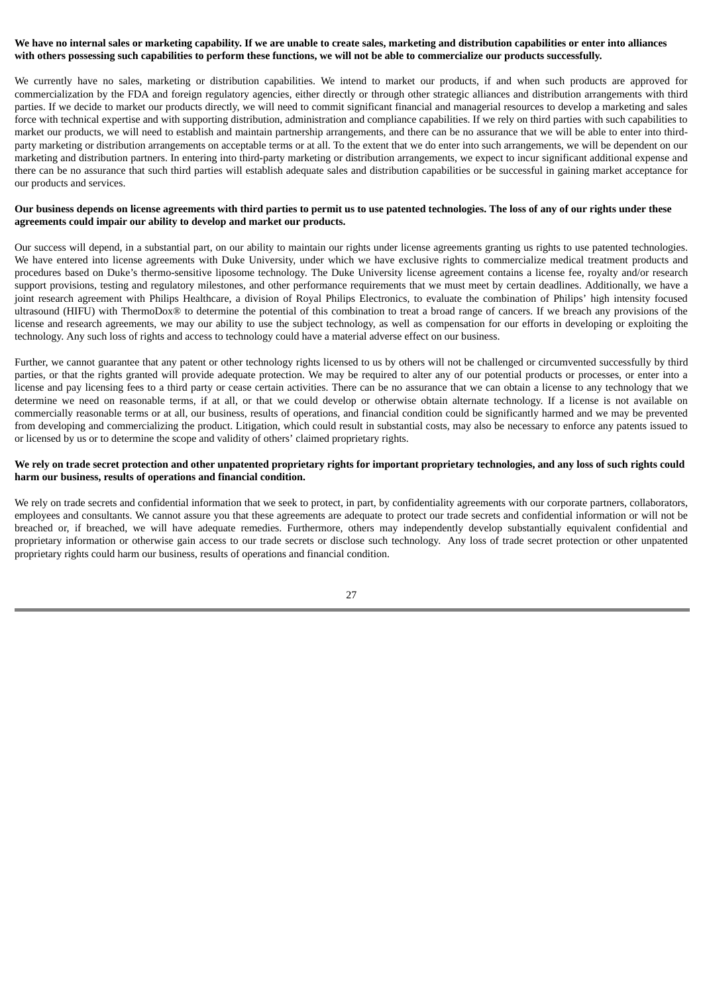## We have no internal sales or marketing capability. If we are unable to create sales, marketing and distribution capabilities or enter into alliances with others possessing such capabilities to perform these functions, we will not be able to commercialize our products successfully.

We currently have no sales, marketing or distribution capabilities. We intend to market our products, if and when such products are approved for commercialization by the FDA and foreign regulatory agencies, either directly or through other strategic alliances and distribution arrangements with third parties. If we decide to market our products directly, we will need to commit significant financial and managerial resources to develop a marketing and sales force with technical expertise and with supporting distribution, administration and compliance capabilities. If we rely on third parties with such capabilities to market our products, we will need to establish and maintain partnership arrangements, and there can be no assurance that we will be able to enter into thirdparty marketing or distribution arrangements on acceptable terms or at all. To the extent that we do enter into such arrangements, we will be dependent on our marketing and distribution partners. In entering into third-party marketing or distribution arrangements, we expect to incur significant additional expense and there can be no assurance that such third parties will establish adequate sales and distribution capabilities or be successful in gaining market acceptance for our products and services.

## Our business depends on license agreements with third parties to permit us to use patented technologies. The loss of any of our rights under these **agreements could impair our ability to develop and market our products.**

Our success will depend, in a substantial part, on our ability to maintain our rights under license agreements granting us rights to use patented technologies. We have entered into license agreements with Duke University, under which we have exclusive rights to commercialize medical treatment products and procedures based on Duke's thermo-sensitive liposome technology. The Duke University license agreement contains a license fee, royalty and/or research support provisions, testing and regulatory milestones, and other performance requirements that we must meet by certain deadlines. Additionally, we have a joint research agreement with Philips Healthcare, a division of Royal Philips Electronics, to evaluate the combination of Philips' high intensity focused ultrasound (HIFU) with ThermoDox® to determine the potential of this combination to treat a broad range of cancers. If we breach any provisions of the license and research agreements, we may our ability to use the subject technology, as well as compensation for our efforts in developing or exploiting the technology. Any such loss of rights and access to technology could have a material adverse effect on our business.

Further, we cannot guarantee that any patent or other technology rights licensed to us by others will not be challenged or circumvented successfully by third parties, or that the rights granted will provide adequate protection. We may be required to alter any of our potential products or processes, or enter into a license and pay licensing fees to a third party or cease certain activities. There can be no assurance that we can obtain a license to any technology that we determine we need on reasonable terms, if at all, or that we could develop or otherwise obtain alternate technology. If a license is not available on commercially reasonable terms or at all, our business, results of operations, and financial condition could be significantly harmed and we may be prevented from developing and commercializing the product. Litigation, which could result in substantial costs, may also be necessary to enforce any patents issued to or licensed by us or to determine the scope and validity of others' claimed proprietary rights.

## We rely on trade secret protection and other unpatented proprietary rights for important proprietary technologies, and any loss of such rights could **harm our business, results of operations and financial condition.**

We rely on trade secrets and confidential information that we seek to protect, in part, by confidentiality agreements with our corporate partners, collaborators, employees and consultants. We cannot assure you that these agreements are adequate to protect our trade secrets and confidential information or will not be breached or, if breached, we will have adequate remedies. Furthermore, others may independently develop substantially equivalent confidential and proprietary information or otherwise gain access to our trade secrets or disclose such technology. Any loss of trade secret protection or other unpatented proprietary rights could harm our business, results of operations and financial condition.

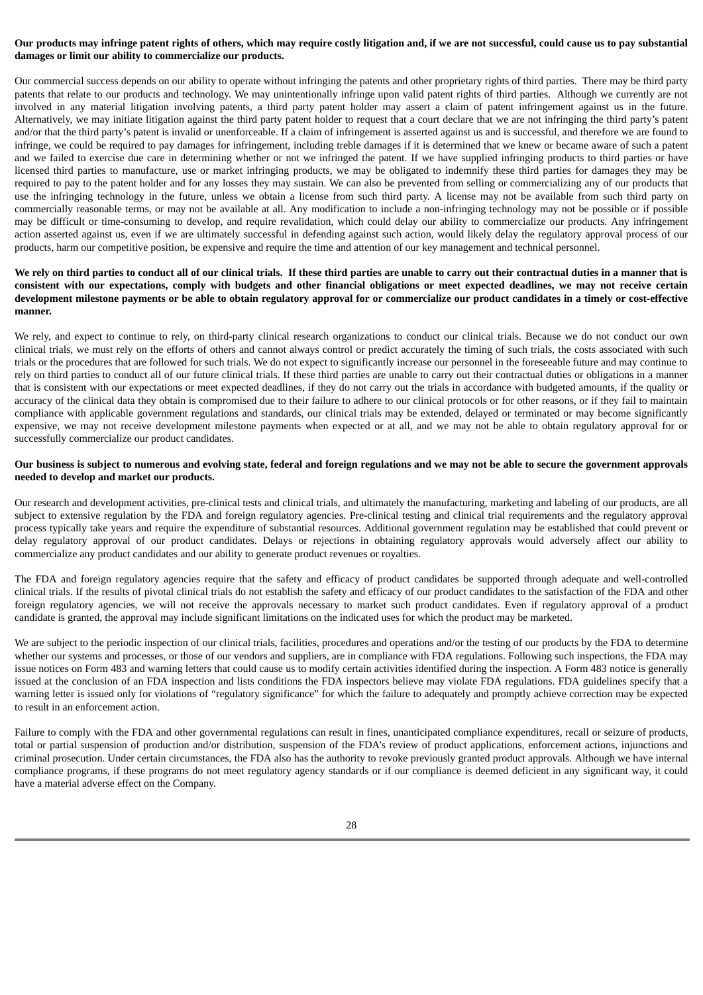## Our products may infringe patent rights of others, which may require costly litigation and, if we are not successful, could cause us to pay substantial **damages or limit our ability to commercialize our products.**

Our commercial success depends on our ability to operate without infringing the patents and other proprietary rights of third parties. There may be third party patents that relate to our products and technology. We may unintentionally infringe upon valid patent rights of third parties. Although we currently are not involved in any material litigation involving patents, a third party patent holder may assert a claim of patent infringement against us in the future. Alternatively, we may initiate litigation against the third party patent holder to request that a court declare that we are not infringing the third party's patent and/or that the third party's patent is invalid or unenforceable. If a claim of infringement is asserted against us and is successful, and therefore we are found to infringe, we could be required to pay damages for infringement, including treble damages if it is determined that we knew or became aware of such a patent and we failed to exercise due care in determining whether or not we infringed the patent. If we have supplied infringing products to third parties or have licensed third parties to manufacture, use or market infringing products, we may be obligated to indemnify these third parties for damages they may be required to pay to the patent holder and for any losses they may sustain. We can also be prevented from selling or commercializing any of our products that use the infringing technology in the future, unless we obtain a license from such third party. A license may not be available from such third party on commercially reasonable terms, or may not be available at all. Any modification to include a non-infringing technology may not be possible or if possible may be difficult or time-consuming to develop, and require revalidation, which could delay our ability to commercialize our products. Any infringement action asserted against us, even if we are ultimately successful in defending against such action, would likely delay the regulatory approval process of our products, harm our competitive position, be expensive and require the time and attention of our key management and technical personnel.

## We rely on third parties to conduct all of our clinical trials. If these third parties are unable to carry out their contractual duties in a manner that is consistent with our expectations, comply with budgets and other financial obligations or meet expected deadlines, we may not receive certain development milestone payments or be able to obtain regulatory approval for or commercialize our product candidates in a timely or cost-effective **manner.**

We rely, and expect to continue to rely, on third-party clinical research organizations to conduct our clinical trials. Because we do not conduct our own clinical trials, we must rely on the efforts of others and cannot always control or predict accurately the timing of such trials, the costs associated with such trials or the procedures that are followed for such trials. We do not expect to significantly increase our personnel in the foreseeable future and may continue to rely on third parties to conduct all of our future clinical trials. If these third parties are unable to carry out their contractual duties or obligations in a manner that is consistent with our expectations or meet expected deadlines, if they do not carry out the trials in accordance with budgeted amounts, if the quality or accuracy of the clinical data they obtain is compromised due to their failure to adhere to our clinical protocols or for other reasons, or if they fail to maintain compliance with applicable government regulations and standards, our clinical trials may be extended, delayed or terminated or may become significantly expensive, we may not receive development milestone payments when expected or at all, and we may not be able to obtain regulatory approval for or successfully commercialize our product candidates.

## Our business is subject to numerous and evolving state, federal and foreign regulations and we may not be able to secure the government approvals **needed to develop and market our products.**

Our research and development activities, pre-clinical tests and clinical trials, and ultimately the manufacturing, marketing and labeling of our products, are all subject to extensive regulation by the FDA and foreign regulatory agencies. Pre-clinical testing and clinical trial requirements and the regulatory approval process typically take years and require the expenditure of substantial resources. Additional government regulation may be established that could prevent or delay regulatory approval of our product candidates. Delays or rejections in obtaining regulatory approvals would adversely affect our ability to commercialize any product candidates and our ability to generate product revenues or royalties.

The FDA and foreign regulatory agencies require that the safety and efficacy of product candidates be supported through adequate and well-controlled clinical trials. If the results of pivotal clinical trials do not establish the safety and efficacy of our product candidates to the satisfaction of the FDA and other foreign regulatory agencies, we will not receive the approvals necessary to market such product candidates. Even if regulatory approval of a product candidate is granted, the approval may include significant limitations on the indicated uses for which the product may be marketed.

We are subject to the periodic inspection of our clinical trials, facilities, procedures and operations and/or the testing of our products by the FDA to determine whether our systems and processes, or those of our vendors and suppliers, are in compliance with FDA regulations. Following such inspections, the FDA may issue notices on Form 483 and warning letters that could cause us to modify certain activities identified during the inspection. A Form 483 notice is generally issued at the conclusion of an FDA inspection and lists conditions the FDA inspectors believe may violate FDA regulations. FDA guidelines specify that a warning letter is issued only for violations of "regulatory significance" for which the failure to adequately and promptly achieve correction may be expected to result in an enforcement action.

Failure to comply with the FDA and other governmental regulations can result in fines, unanticipated compliance expenditures, recall or seizure of products, total or partial suspension of production and/or distribution, suspension of the FDA's review of product applications, enforcement actions, injunctions and criminal prosecution. Under certain circumstances, the FDA also has the authority to revoke previously granted product approvals. Although we have internal compliance programs, if these programs do not meet regulatory agency standards or if our compliance is deemed deficient in any significant way, it could have a material adverse effect on the Company.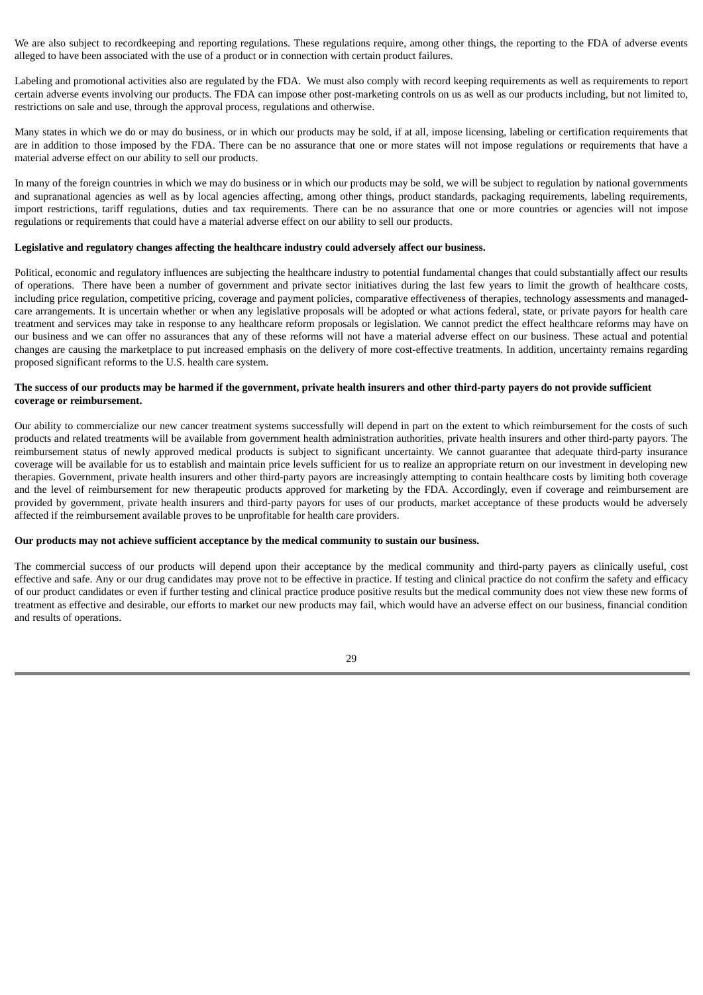We are also subject to recordkeeping and reporting regulations. These regulations require, among other things, the reporting to the FDA of adverse events alleged to have been associated with the use of a product or in connection with certain product failures.

Labeling and promotional activities also are regulated by the FDA. We must also comply with record keeping requirements as well as requirements to report certain adverse events involving our products. The FDA can impose other post-marketing controls on us as well as our products including, but not limited to, restrictions on sale and use, through the approval process, regulations and otherwise.

Many states in which we do or may do business, or in which our products may be sold, if at all, impose licensing, labeling or certification requirements that are in addition to those imposed by the FDA. There can be no assurance that one or more states will not impose regulations or requirements that have a material adverse effect on our ability to sell our products.

In many of the foreign countries in which we may do business or in which our products may be sold, we will be subject to regulation by national governments and supranational agencies as well as by local agencies affecting, among other things, product standards, packaging requirements, labeling requirements, import restrictions, tariff regulations, duties and tax requirements. There can be no assurance that one or more countries or agencies will not impose regulations or requirements that could have a material adverse effect on our ability to sell our products.

#### **Legislative and regulatory changes affecting the healthcare industry could adversely affect our business.**

Political, economic and regulatory influences are subjecting the healthcare industry to potential fundamental changes that could substantially affect our results of operations. There have been a number of government and private sector initiatives during the last few years to limit the growth of healthcare costs, including price regulation, competitive pricing, coverage and payment policies, comparative effectiveness of therapies, technology assessments and managedcare arrangements. It is uncertain whether or when any legislative proposals will be adopted or what actions federal, state, or private payors for health care treatment and services may take in response to any healthcare reform proposals or legislation. We cannot predict the effect healthcare reforms may have on our business and we can offer no assurances that any of these reforms will not have a material adverse effect on our business. These actual and potential changes are causing the marketplace to put increased emphasis on the delivery of more cost-effective treatments. In addition, uncertainty remains regarding proposed significant reforms to the U.S. health care system.

#### The success of our products may be harmed if the government, private health insurers and other third-party payers do not provide sufficient **coverage or reimbursement.**

Our ability to commercialize our new cancer treatment systems successfully will depend in part on the extent to which reimbursement for the costs of such products and related treatments will be available from government health administration authorities, private health insurers and other third-party payors. The reimbursement status of newly approved medical products is subject to significant uncertainty. We cannot guarantee that adequate third-party insurance coverage will be available for us to establish and maintain price levels sufficient for us to realize an appropriate return on our investment in developing new therapies. Government, private health insurers and other third-party payors are increasingly attempting to contain healthcare costs by limiting both coverage and the level of reimbursement for new therapeutic products approved for marketing by the FDA. Accordingly, even if coverage and reimbursement are provided by government, private health insurers and third-party payors for uses of our products, market acceptance of these products would be adversely affected if the reimbursement available proves to be unprofitable for health care providers.

## **Our products may not achieve sufficient acceptance by the medical community to sustain our business.**

The commercial success of our products will depend upon their acceptance by the medical community and third-party payers as clinically useful, cost effective and safe. Any or our drug candidates may prove not to be effective in practice. If testing and clinical practice do not confirm the safety and efficacy of our product candidates or even if further testing and clinical practice produce positive results but the medical community does not view these new forms of treatment as effective and desirable, our efforts to market our new products may fail, which would have an adverse effect on our business, financial condition and results of operations.

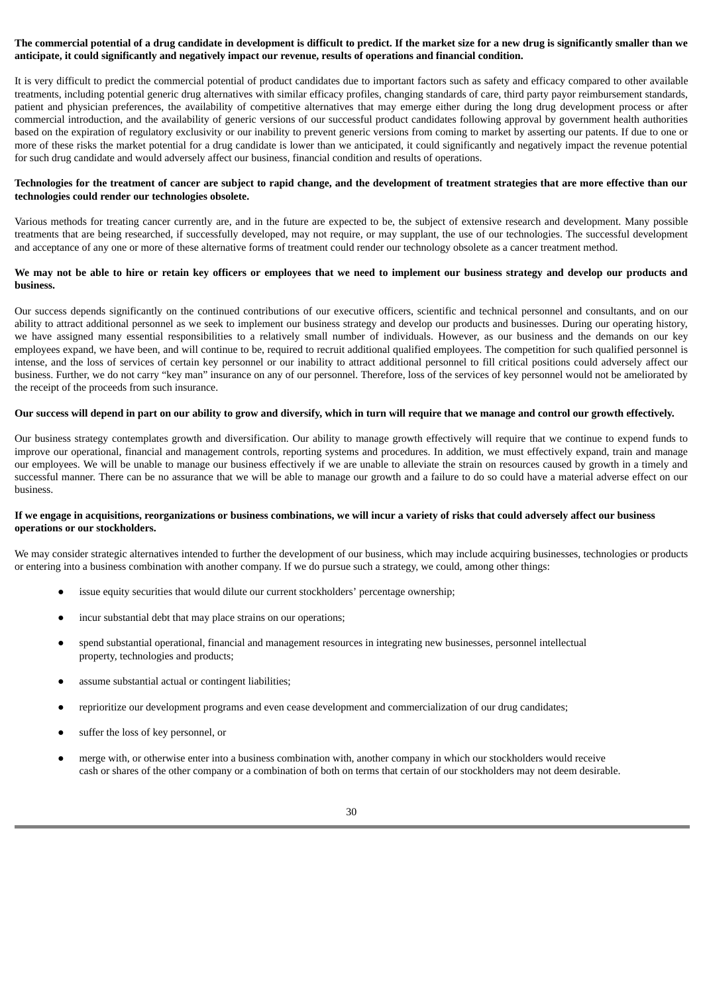## The commercial potential of a drug candidate in development is difficult to predict. If the market size for a new drug is significantly smaller than we **anticipate, it could significantly and negatively impact our revenue, results of operations and financial condition.**

It is very difficult to predict the commercial potential of product candidates due to important factors such as safety and efficacy compared to other available treatments, including potential generic drug alternatives with similar efficacy profiles, changing standards of care, third party payor reimbursement standards, patient and physician preferences, the availability of competitive alternatives that may emerge either during the long drug development process or after commercial introduction, and the availability of generic versions of our successful product candidates following approval by government health authorities based on the expiration of regulatory exclusivity or our inability to prevent generic versions from coming to market by asserting our patents. If due to one or more of these risks the market potential for a drug candidate is lower than we anticipated, it could significantly and negatively impact the revenue potential for such drug candidate and would adversely affect our business, financial condition and results of operations.

## Technologies for the treatment of cancer are subject to rapid change, and the development of treatment strategies that are more effective than our **technologies could render our technologies obsolete.**

Various methods for treating cancer currently are, and in the future are expected to be, the subject of extensive research and development. Many possible treatments that are being researched, if successfully developed, may not require, or may supplant, the use of our technologies. The successful development and acceptance of any one or more of these alternative forms of treatment could render our technology obsolete as a cancer treatment method.

## We may not be able to hire or retain key officers or employees that we need to implement our business strategy and develop our products and **business.**

Our success depends significantly on the continued contributions of our executive officers, scientific and technical personnel and consultants, and on our ability to attract additional personnel as we seek to implement our business strategy and develop our products and businesses. During our operating history, we have assigned many essential responsibilities to a relatively small number of individuals. However, as our business and the demands on our key employees expand, we have been, and will continue to be, required to recruit additional qualified employees. The competition for such qualified personnel is intense, and the loss of services of certain key personnel or our inability to attract additional personnel to fill critical positions could adversely affect our business. Further, we do not carry "key man" insurance on any of our personnel. Therefore, loss of the services of key personnel would not be ameliorated by the receipt of the proceeds from such insurance.

### Our success will depend in part on our ability to grow and diversify, which in turn will require that we manage and control our growth effectively.

Our business strategy contemplates growth and diversification. Our ability to manage growth effectively will require that we continue to expend funds to improve our operational, financial and management controls, reporting systems and procedures. In addition, we must effectively expand, train and manage our employees. We will be unable to manage our business effectively if we are unable to alleviate the strain on resources caused by growth in a timely and successful manner. There can be no assurance that we will be able to manage our growth and a failure to do so could have a material adverse effect on our business.

### If we engage in acquisitions, reorganizations or business combinations, we will incur a variety of risks that could adversely affect our business **operations or our stockholders.**

We may consider strategic alternatives intended to further the development of our business, which may include acquiring businesses, technologies or products or entering into a business combination with another company. If we do pursue such a strategy, we could, among other things:

- issue equity securities that would dilute our current stockholders' percentage ownership;
- incur substantial debt that may place strains on our operations;
- spend substantial operational, financial and management resources in integrating new businesses, personnel intellectual property, technologies and products;
- assume substantial actual or contingent liabilities;
- reprioritize our development programs and even cease development and commercialization of our drug candidates;
- suffer the loss of key personnel, or
- merge with, or otherwise enter into a business combination with, another company in which our stockholders would receive cash or shares of the other company or a combination of both on terms that certain of our stockholders may not deem desirable.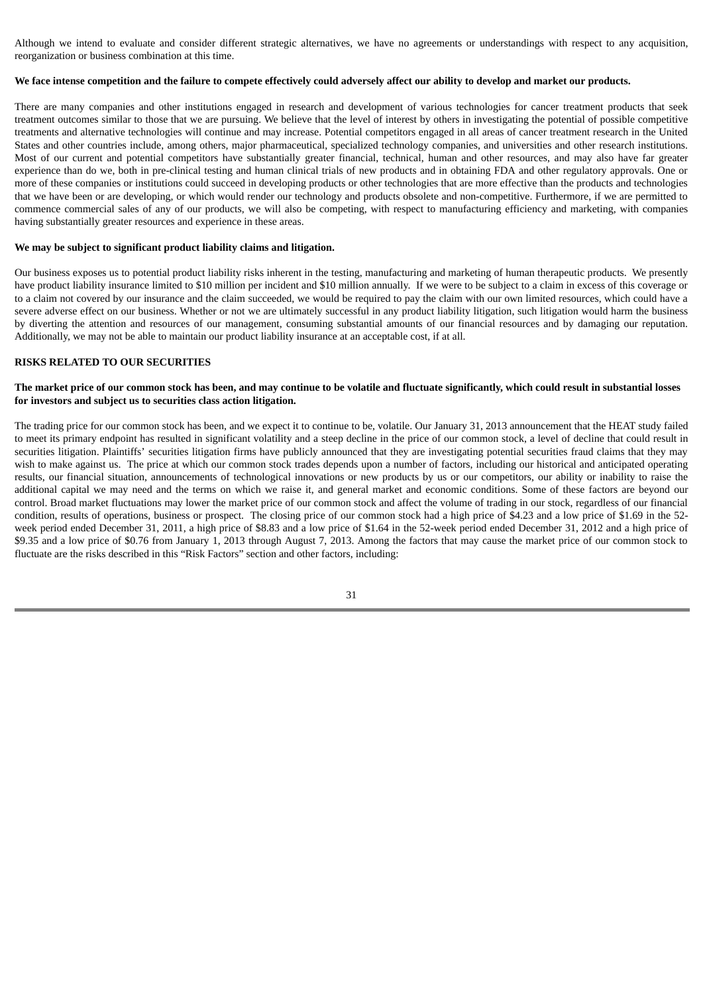Although we intend to evaluate and consider different strategic alternatives, we have no agreements or understandings with respect to any acquisition, reorganization or business combination at this time.

#### We face intense competition and the failure to compete effectively could adversely affect our ability to develop and market our products.

There are many companies and other institutions engaged in research and development of various technologies for cancer treatment products that seek treatment outcomes similar to those that we are pursuing. We believe that the level of interest by others in investigating the potential of possible competitive treatments and alternative technologies will continue and may increase. Potential competitors engaged in all areas of cancer treatment research in the United States and other countries include, among others, major pharmaceutical, specialized technology companies, and universities and other research institutions. Most of our current and potential competitors have substantially greater financial, technical, human and other resources, and may also have far greater experience than do we, both in pre-clinical testing and human clinical trials of new products and in obtaining FDA and other regulatory approvals. One or more of these companies or institutions could succeed in developing products or other technologies that are more effective than the products and technologies that we have been or are developing, or which would render our technology and products obsolete and non-competitive. Furthermore, if we are permitted to commence commercial sales of any of our products, we will also be competing, with respect to manufacturing efficiency and marketing, with companies having substantially greater resources and experience in these areas.

### **We may be subject to significant product liability claims and litigation.**

Our business exposes us to potential product liability risks inherent in the testing, manufacturing and marketing of human therapeutic products. We presently have product liability insurance limited to \$10 million per incident and \$10 million annually. If we were to be subject to a claim in excess of this coverage or to a claim not covered by our insurance and the claim succeeded, we would be required to pay the claim with our own limited resources, which could have a severe adverse effect on our business. Whether or not we are ultimately successful in any product liability litigation, such litigation would harm the business by diverting the attention and resources of our management, consuming substantial amounts of our financial resources and by damaging our reputation. Additionally, we may not be able to maintain our product liability insurance at an acceptable cost, if at all.

### **RISKS RELATED TO OUR SECURITIES**

## The market price of our common stock has been, and may continue to be volatile and fluctuate significantly, which could result in substantial losses **for investors and subject us to securities class action litigation.**

The trading price for our common stock has been, and we expect it to continue to be, volatile. Our January 31, 2013 announcement that the HEAT study failed to meet its primary endpoint has resulted in significant volatility and a steep decline in the price of our common stock, a level of decline that could result in securities litigation. Plaintiffs' securities litigation firms have publicly announced that they are investigating potential securities fraud claims that they may wish to make against us. The price at which our common stock trades depends upon a number of factors, including our historical and anticipated operating results, our financial situation, announcements of technological innovations or new products by us or our competitors, our ability or inability to raise the additional capital we may need and the terms on which we raise it, and general market and economic conditions. Some of these factors are beyond our control. Broad market fluctuations may lower the market price of our common stock and affect the volume of trading in our stock, regardless of our financial condition, results of operations, business or prospect. The closing price of our common stock had a high price of \$4.23 and a low price of \$1.69 in the 52 week period ended December 31, 2011, a high price of \$8.83 and a low price of \$1.64 in the 52-week period ended December 31, 2012 and a high price of \$9.35 and a low price of \$0.76 from January 1, 2013 through August 7, 2013. Among the factors that may cause the market price of our common stock to fluctuate are the risks described in this "Risk Factors" section and other factors, including:

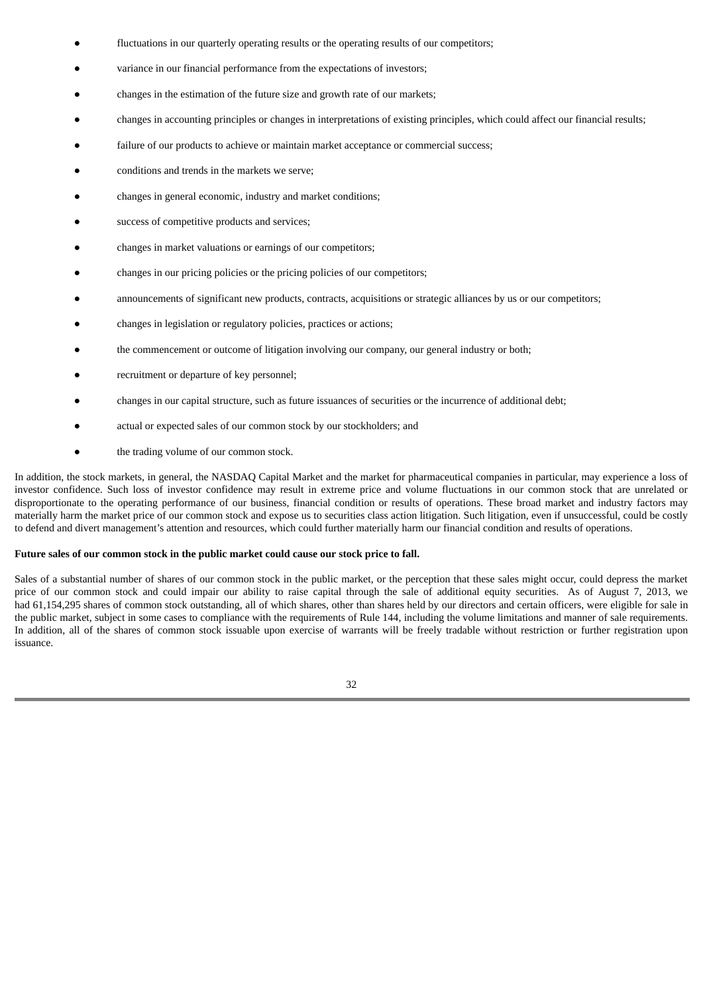- fluctuations in our quarterly operating results or the operating results of our competitors;
- variance in our financial performance from the expectations of investors;
- changes in the estimation of the future size and growth rate of our markets;
- changes in accounting principles or changes in interpretations of existing principles, which could affect our financial results;
- failure of our products to achieve or maintain market acceptance or commercial success;
- conditions and trends in the markets we serve;
- changes in general economic, industry and market conditions;
- success of competitive products and services;
- changes in market valuations or earnings of our competitors;
- changes in our pricing policies or the pricing policies of our competitors;
- announcements of significant new products, contracts, acquisitions or strategic alliances by us or our competitors;
- changes in legislation or regulatory policies, practices or actions;
- the commencement or outcome of litigation involving our company, our general industry or both;
- recruitment or departure of key personnel:
- changes in our capital structure, such as future issuances of securities or the incurrence of additional debt;
- actual or expected sales of our common stock by our stockholders; and
- the trading volume of our common stock.

In addition, the stock markets, in general, the NASDAQ Capital Market and the market for pharmaceutical companies in particular, may experience a loss of investor confidence. Such loss of investor confidence may result in extreme price and volume fluctuations in our common stock that are unrelated or disproportionate to the operating performance of our business, financial condition or results of operations. These broad market and industry factors may materially harm the market price of our common stock and expose us to securities class action litigation. Such litigation, even if unsuccessful, could be costly to defend and divert management's attention and resources, which could further materially harm our financial condition and results of operations.

### **Future sales of our common stock in the public market could cause our stock price to fall.**

Sales of a substantial number of shares of our common stock in the public market, or the perception that these sales might occur, could depress the market price of our common stock and could impair our ability to raise capital through the sale of additional equity securities. As of August 7, 2013, we had 61,154,295 shares of common stock outstanding, all of which shares, other than shares held by our directors and certain officers, were eligible for sale in the public market, subject in some cases to compliance with the requirements of Rule 144, including the volume limitations and manner of sale requirements. In addition, all of the shares of common stock issuable upon exercise of warrants will be freely tradable without restriction or further registration upon issuance.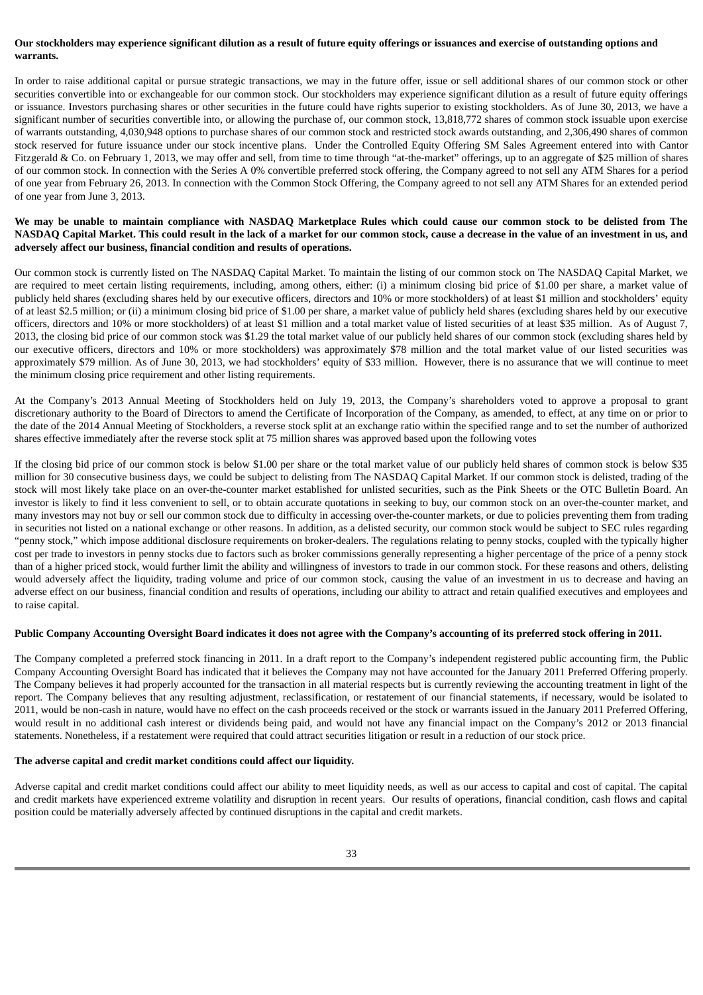### Our stockholders may experience significant dilution as a result of future equity offerings or issuances and exercise of outstanding options and **warrants.**

In order to raise additional capital or pursue strategic transactions, we may in the future offer, issue or sell additional shares of our common stock or other securities convertible into or exchangeable for our common stock. Our stockholders may experience significant dilution as a result of future equity offerings or issuance. Investors purchasing shares or other securities in the future could have rights superior to existing stockholders. As of June 30, 2013, we have a significant number of securities convertible into, or allowing the purchase of, our common stock, 13,818,772 shares of common stock issuable upon exercise of warrants outstanding, 4,030,948 options to purchase shares of our common stock and restricted stock awards outstanding, and 2,306,490 shares of common stock reserved for future issuance under our stock incentive plans. Under the Controlled Equity Offering SM Sales Agreement entered into with Cantor Fitzgerald & Co. on February 1, 2013, we may offer and sell, from time to time through "at-the-market" offerings, up to an aggregate of \$25 million of shares of our common stock. In connection with the Series A 0% convertible preferred stock offering, the Company agreed to not sell any ATM Shares for a period of one year from February 26, 2013. In connection with the Common Stock Offering, the Company agreed to not sell any ATM Shares for an extended period of one year from June 3, 2013.

## We may be unable to maintain compliance with NASDAQ Marketplace Rules which could cause our common stock to be delisted from The NASDAQ Capital Market. This could result in the lack of a market for our common stock, cause a decrease in the value of an investment in us, and **adversely affect our business, financial condition and results of operations.**

Our common stock is currently listed on The NASDAQ Capital Market. To maintain the listing of our common stock on The NASDAQ Capital Market, we are required to meet certain listing requirements, including, among others, either: (i) a minimum closing bid price of \$1.00 per share, a market value of publicly held shares (excluding shares held by our executive officers, directors and 10% or more stockholders) of at least \$1 million and stockholders' equity of at least \$2.5 million; or (ii) a minimum closing bid price of \$1.00 per share, a market value of publicly held shares (excluding shares held by our executive officers, directors and 10% or more stockholders) of at least \$1 million and a total market value of listed securities of at least \$35 million. As of August 7, 2013, the closing bid price of our common stock was \$1.29 the total market value of our publicly held shares of our common stock (excluding shares held by our executive officers, directors and 10% or more stockholders) was approximately \$78 million and the total market value of our listed securities was approximately \$79 million. As of June 30, 2013, we had stockholders' equity of \$33 million. However, there is no assurance that we will continue to meet the minimum closing price requirement and other listing requirements.

At the Company's 2013 Annual Meeting of Stockholders held on July 19, 2013, the Company's shareholders voted to approve a proposal to grant discretionary authority to the Board of Directors to amend the Certificate of Incorporation of the Company, as amended, to effect, at any time on or prior to the date of the 2014 Annual Meeting of Stockholders, a reverse stock split at an exchange ratio within the specified range and to set the number of authorized shares effective immediately after the reverse stock split at 75 million shares was approved based upon the following votes

If the closing bid price of our common stock is below \$1.00 per share or the total market value of our publicly held shares of common stock is below \$35 million for 30 consecutive business days, we could be subject to delisting from The NASDAQ Capital Market. If our common stock is delisted, trading of the stock will most likely take place on an over-the-counter market established for unlisted securities, such as the Pink Sheets or the OTC Bulletin Board. An investor is likely to find it less convenient to sell, or to obtain accurate quotations in seeking to buy, our common stock on an over-the-counter market, and many investors may not buy or sell our common stock due to difficulty in accessing over-the-counter markets, or due to policies preventing them from trading in securities not listed on a national exchange or other reasons. In addition, as a delisted security, our common stock would be subject to SEC rules regarding "penny stock," which impose additional disclosure requirements on broker-dealers. The regulations relating to penny stocks, coupled with the typically higher cost per trade to investors in penny stocks due to factors such as broker commissions generally representing a higher percentage of the price of a penny stock than of a higher priced stock, would further limit the ability and willingness of investors to trade in our common stock. For these reasons and others, delisting would adversely affect the liquidity, trading volume and price of our common stock, causing the value of an investment in us to decrease and having an adverse effect on our business, financial condition and results of operations, including our ability to attract and retain qualified executives and employees and to raise capital.

## Public Company Accounting Oversight Board indicates it does not agree with the Company's accounting of its preferred stock offering in 2011.

The Company completed a preferred stock financing in 2011. In a draft report to the Company's independent registered public accounting firm, the Public Company Accounting Oversight Board has indicated that it believes the Company may not have accounted for the January 2011 Preferred Offering properly. The Company believes it had properly accounted for the transaction in all material respects but is currently reviewing the accounting treatment in light of the report. The Company believes that any resulting adjustment, reclassification, or restatement of our financial statements, if necessary, would be isolated to 2011, would be non-cash in nature, would have no effect on the cash proceeds received or the stock or warrants issued in the January 2011 Preferred Offering, would result in no additional cash interest or dividends being paid, and would not have any financial impact on the Company's 2012 or 2013 financial statements. Nonetheless, if a restatement were required that could attract securities litigation or result in a reduction of our stock price.

## **The adverse capital and credit market conditions could affect our liquidity.**

Adverse capital and credit market conditions could affect our ability to meet liquidity needs, as well as our access to capital and cost of capital. The capital and credit markets have experienced extreme volatility and disruption in recent years. Our results of operations, financial condition, cash flows and capital position could be materially adversely affected by continued disruptions in the capital and credit markets.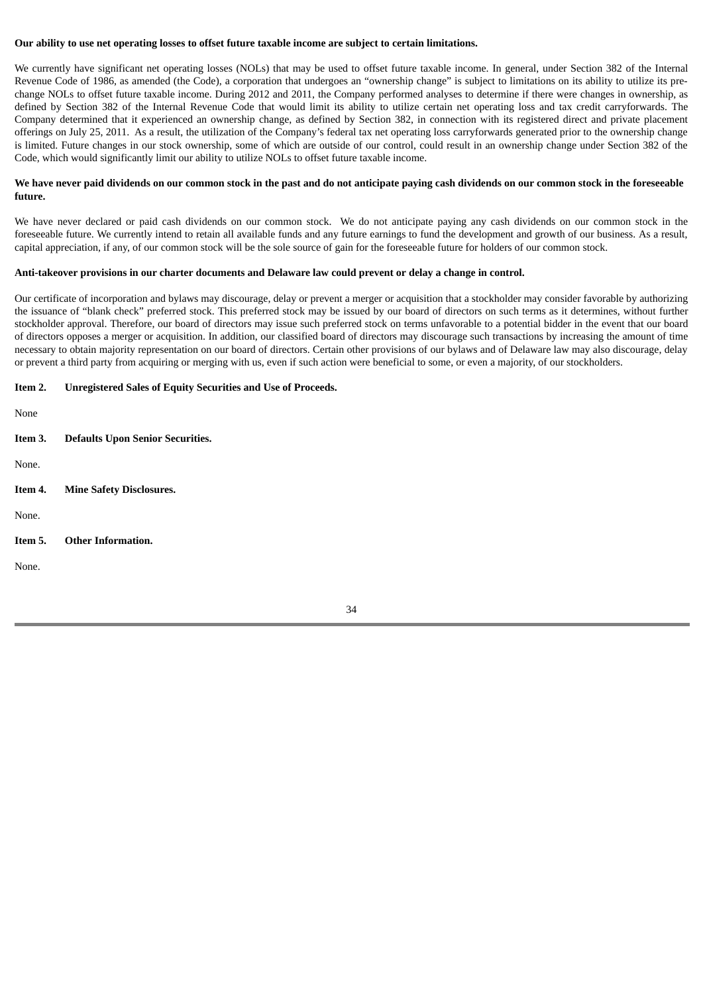### Our ability to use net operating losses to offset future taxable income are subject to certain limitations.

We currently have significant net operating losses (NOLs) that may be used to offset future taxable income. In general, under Section 382 of the Internal Revenue Code of 1986, as amended (the Code), a corporation that undergoes an "ownership change" is subject to limitations on its ability to utilize its prechange NOLs to offset future taxable income. During 2012 and 2011, the Company performed analyses to determine if there were changes in ownership, as defined by Section 382 of the Internal Revenue Code that would limit its ability to utilize certain net operating loss and tax credit carryforwards. The Company determined that it experienced an ownership change, as defined by Section 382, in connection with its registered direct and private placement offerings on July 25, 2011. As a result, the utilization of the Company's federal tax net operating loss carryforwards generated prior to the ownership change is limited. Future changes in our stock ownership, some of which are outside of our control, could result in an ownership change under Section 382 of the Code, which would significantly limit our ability to utilize NOLs to offset future taxable income.

### We have never paid dividends on our common stock in the past and do not anticipate paying cash dividends on our common stock in the foreseeable **future.**

We have never declared or paid cash dividends on our common stock. We do not anticipate paying any cash dividends on our common stock in the foreseeable future. We currently intend to retain all available funds and any future earnings to fund the development and growth of our business. As a result, capital appreciation, if any, of our common stock will be the sole source of gain for the foreseeable future for holders of our common stock.

### Anti-takeover provisions in our charter documents and Delaware law could prevent or delay a change in control.

Our certificate of incorporation and bylaws may discourage, delay or prevent a merger or acquisition that a stockholder may consider favorable by authorizing the issuance of "blank check" preferred stock. This preferred stock may be issued by our board of directors on such terms as it determines, without further stockholder approval. Therefore, our board of directors may issue such preferred stock on terms unfavorable to a potential bidder in the event that our board of directors opposes a merger or acquisition. In addition, our classified board of directors may discourage such transactions by increasing the amount of time necessary to obtain majority representation on our board of directors. Certain other provisions of our bylaws and of Delaware law may also discourage, delay or prevent a third party from acquiring or merging with us, even if such action were beneficial to some, or even a majority, of our stockholders.

## **Item 2. Unregistered Sales of Equity Securities and Use of Proceeds.**

None **Item 3. Defaults Upon Senior Securities.** None. **Item 4. Mine Safety Disclosures.** None. **Item 5. Other Information.** None.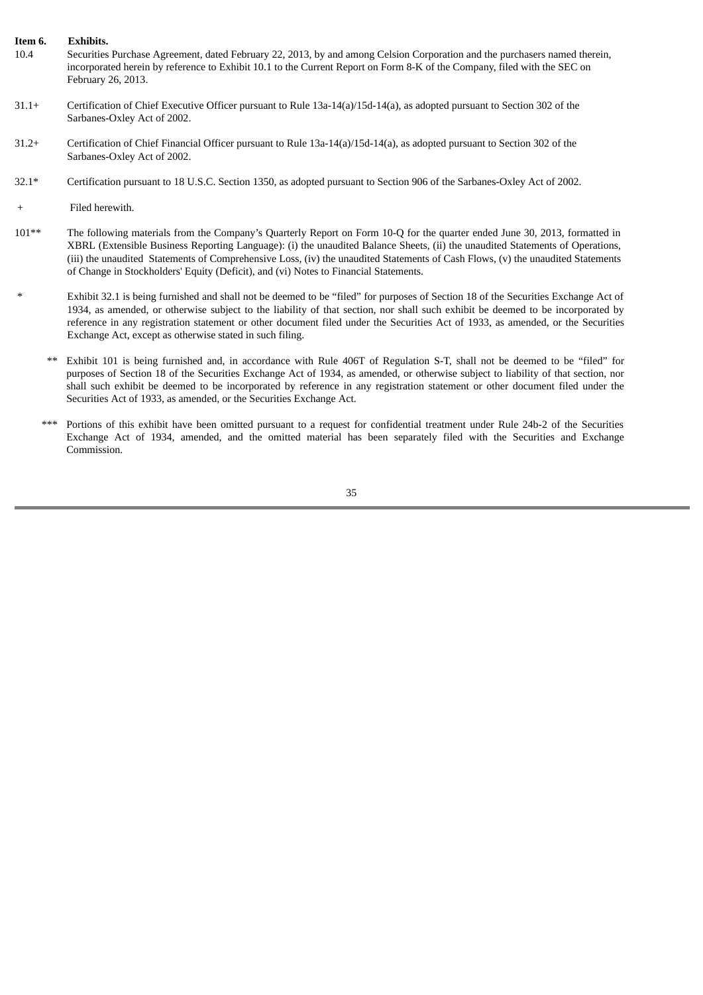## **Item 6. Exhibits.**

- 10.4 Securities Purchase Agreement, dated February 22, 2013, by and among Celsion Corporation and the purchasers named therein, incorporated herein by reference to Exhibit 10.1 to the Current Report on Form 8-K of the Company, filed with the SEC on February 26, 2013.
- 31.1+ Certification of Chief Executive Officer pursuant to Rule 13a-14(a)/15d-14(a), as adopted pursuant to Section 302 of the Sarbanes-Oxley Act of 2002.
- 31.2+ Certification of Chief Financial Officer pursuant to Rule 13a-14(a)/15d-14(a), as adopted pursuant to Section 302 of the Sarbanes-Oxley Act of 2002.
- 32.1\* Certification pursuant to 18 U.S.C. Section 1350, as adopted pursuant to Section 906 of the Sarbanes-Oxley Act of 2002.
- + Filed herewith.
- 101\*\* The following materials from the Company's Quarterly Report on Form 10-Q for the quarter ended June 30, 2013, formatted in XBRL (Extensible Business Reporting Language): (i) the unaudited Balance Sheets, (ii) the unaudited Statements of Operations, (iii) the unaudited Statements of Comprehensive Loss, (iv) the unaudited Statements of Cash Flows, (v) the unaudited Statements of Change in Stockholders' Equity (Deficit), and (vi) Notes to Financial Statements.
- \* Exhibit 32.1 is being furnished and shall not be deemed to be "filed" for purposes of Section 18 of the Securities Exchange Act of 1934, as amended, or otherwise subject to the liability of that section, nor shall such exhibit be deemed to be incorporated by reference in any registration statement or other document filed under the Securities Act of 1933, as amended, or the Securities Exchange Act, except as otherwise stated in such filing.
	- \*\* Exhibit 101 is being furnished and, in accordance with Rule 406T of Regulation S-T, shall not be deemed to be "filed" for purposes of Section 18 of the Securities Exchange Act of 1934, as amended, or otherwise subject to liability of that section, nor shall such exhibit be deemed to be incorporated by reference in any registration statement or other document filed under the Securities Act of 1933, as amended, or the Securities Exchange Act.
	- \*\*\* Portions of this exhibit have been omitted pursuant to a request for confidential treatment under Rule 24b-2 of the Securities Exchange Act of 1934, amended, and the omitted material has been separately filed with the Securities and Exchange Commission.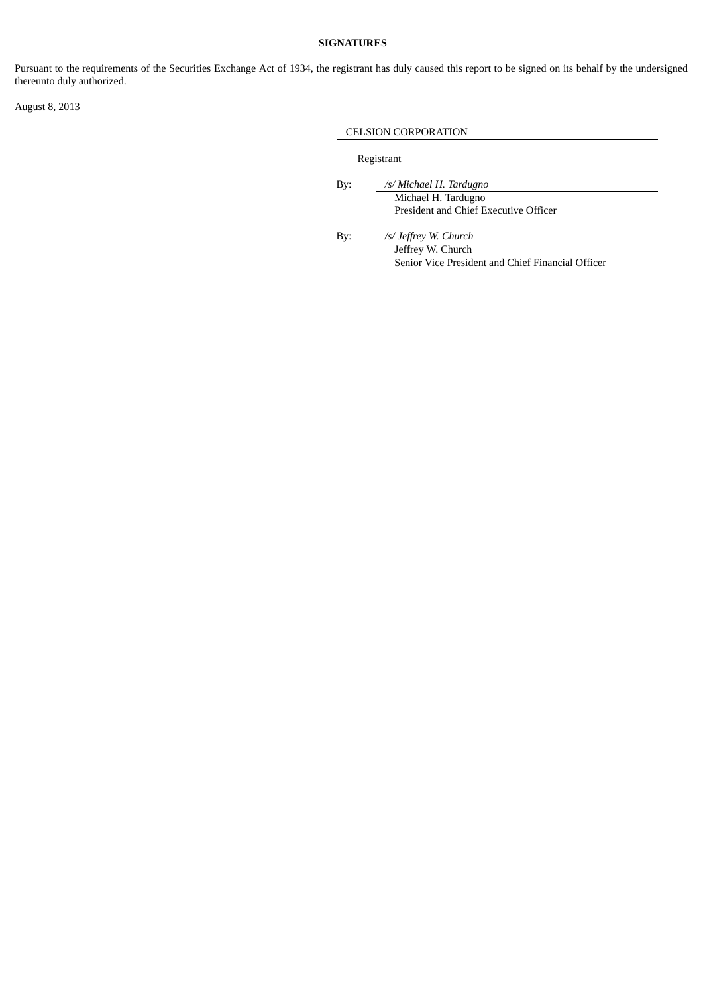### **SIGNATURES**

Pursuant to the requirements of the Securities Exchange Act of 1934, the registrant has duly caused this report to be signed on its behalf by the undersigned thereunto duly authorized.

August 8, 2013

#### CELSION CORPORATION

Registrant

By: */s/ Michael H. Tardugno* Michael H. Tardugno President and Chief Executive Officer

By: */s/ Jeffrey W. Church* Jeffrey W. Church Senior Vice President and Chief Financial Officer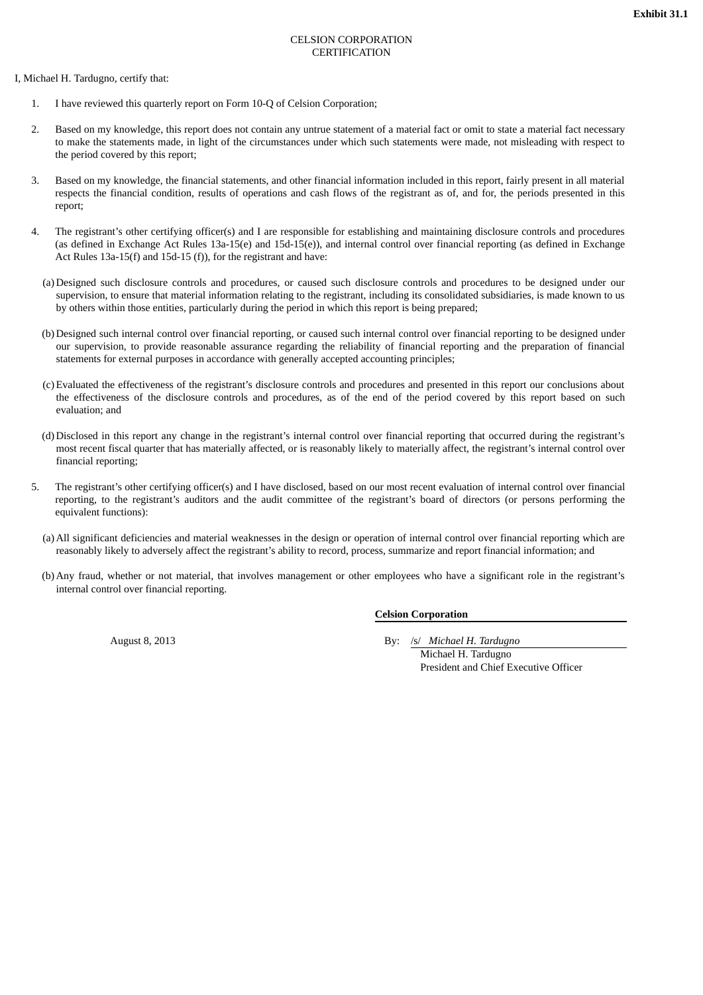## CELSION CORPORATION **CERTIFICATION**

I, Michael H. Tardugno, certify that:

- 1. I have reviewed this quarterly report on Form 10-Q of Celsion Corporation;
- 2. Based on my knowledge, this report does not contain any untrue statement of a material fact or omit to state a material fact necessary to make the statements made, in light of the circumstances under which such statements were made, not misleading with respect to the period covered by this report;
- 3. Based on my knowledge, the financial statements, and other financial information included in this report, fairly present in all material respects the financial condition, results of operations and cash flows of the registrant as of, and for, the periods presented in this report;
- 4. The registrant's other certifying officer(s) and I are responsible for establishing and maintaining disclosure controls and procedures (as defined in Exchange Act Rules 13a-15(e) and 15d-15(e)), and internal control over financial reporting (as defined in Exchange Act Rules 13a-15(f) and 15d-15 (f)), for the registrant and have:
	- (a) Designed such disclosure controls and procedures, or caused such disclosure controls and procedures to be designed under our supervision, to ensure that material information relating to the registrant, including its consolidated subsidiaries, is made known to us by others within those entities, particularly during the period in which this report is being prepared;
	- (b) Designed such internal control over financial reporting, or caused such internal control over financial reporting to be designed under our supervision, to provide reasonable assurance regarding the reliability of financial reporting and the preparation of financial statements for external purposes in accordance with generally accepted accounting principles;
	- (c) Evaluated the effectiveness of the registrant's disclosure controls and procedures and presented in this report our conclusions about the effectiveness of the disclosure controls and procedures, as of the end of the period covered by this report based on such evaluation; and
	- (d) Disclosed in this report any change in the registrant's internal control over financial reporting that occurred during the registrant's most recent fiscal quarter that has materially affected, or is reasonably likely to materially affect, the registrant's internal control over financial reporting;
- 5. The registrant's other certifying officer(s) and I have disclosed, based on our most recent evaluation of internal control over financial reporting, to the registrant's auditors and the audit committee of the registrant's board of directors (or persons performing the equivalent functions):
	- (a) All significant deficiencies and material weaknesses in the design or operation of internal control over financial reporting which are reasonably likely to adversely affect the registrant's ability to record, process, summarize and report financial information; and
	- (b) Any fraud, whether or not material, that involves management or other employees who have a significant role in the registrant's internal control over financial reporting.

## **Celsion Corporation**

August 8, 2013 By: /s/ *Michael H. Tardugno*

Michael H. Tardugno President and Chief Executive Officer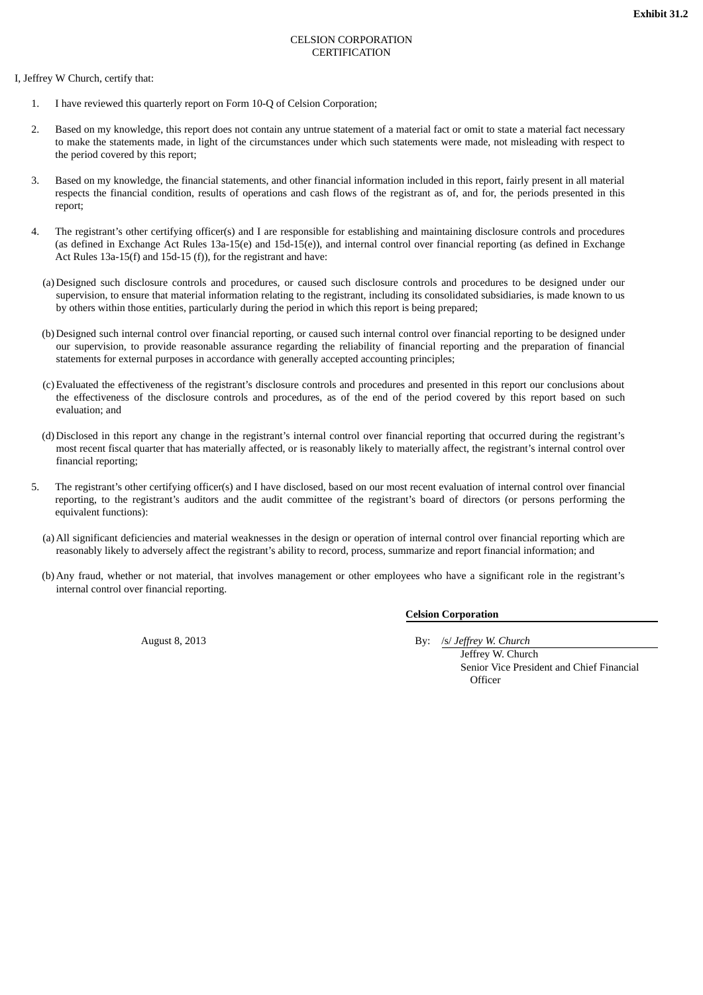## CELSION CORPORATION **CERTIFICATION**

I, Jeffrey W Church, certify that:

- 1. I have reviewed this quarterly report on Form 10-Q of Celsion Corporation;
- 2. Based on my knowledge, this report does not contain any untrue statement of a material fact or omit to state a material fact necessary to make the statements made, in light of the circumstances under which such statements were made, not misleading with respect to the period covered by this report;
- 3. Based on my knowledge, the financial statements, and other financial information included in this report, fairly present in all material respects the financial condition, results of operations and cash flows of the registrant as of, and for, the periods presented in this report;
- 4. The registrant's other certifying officer(s) and I are responsible for establishing and maintaining disclosure controls and procedures (as defined in Exchange Act Rules 13a-15(e) and 15d-15(e)), and internal control over financial reporting (as defined in Exchange Act Rules 13a-15(f) and 15d-15 (f)), for the registrant and have:
	- (a) Designed such disclosure controls and procedures, or caused such disclosure controls and procedures to be designed under our supervision, to ensure that material information relating to the registrant, including its consolidated subsidiaries, is made known to us by others within those entities, particularly during the period in which this report is being prepared;
	- (b) Designed such internal control over financial reporting, or caused such internal control over financial reporting to be designed under our supervision, to provide reasonable assurance regarding the reliability of financial reporting and the preparation of financial statements for external purposes in accordance with generally accepted accounting principles;
	- (c) Evaluated the effectiveness of the registrant's disclosure controls and procedures and presented in this report our conclusions about the effectiveness of the disclosure controls and procedures, as of the end of the period covered by this report based on such evaluation; and
	- (d) Disclosed in this report any change in the registrant's internal control over financial reporting that occurred during the registrant's most recent fiscal quarter that has materially affected, or is reasonably likely to materially affect, the registrant's internal control over financial reporting;
- 5. The registrant's other certifying officer(s) and I have disclosed, based on our most recent evaluation of internal control over financial reporting, to the registrant's auditors and the audit committee of the registrant's board of directors (or persons performing the equivalent functions):
	- (a) All significant deficiencies and material weaknesses in the design or operation of internal control over financial reporting which are reasonably likely to adversely affect the registrant's ability to record, process, summarize and report financial information; and
	- (b) Any fraud, whether or not material, that involves management or other employees who have a significant role in the registrant's internal control over financial reporting.

**Celsion Corporation**

August 8, 2013 By: /s/ *Jeffrey W. Church*

Jeffrey W. Church Senior Vice President and Chief Financial **Officer**